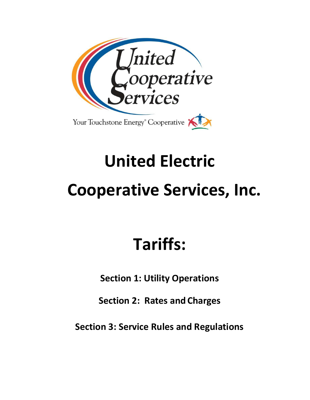

# **United Electric**

# **Cooperative Services, Inc.**

## **Tariffs:**

**Section 1: Utility Operations** 

**Section 2: Rates andCharges**

**Section 3: Service Rules and Regulations**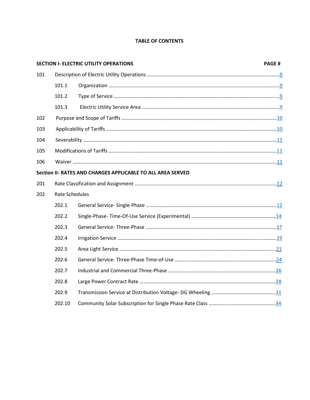## **TABLE OF CONTENTS**

|     |                       | <b>SECTION I- ELECTRIC UTILITY OPERATIONS</b>               | <b>PAGE#</b> |
|-----|-----------------------|-------------------------------------------------------------|--------------|
| 101 |                       |                                                             |              |
|     | 101.1                 |                                                             |              |
|     | 101.2                 |                                                             |              |
|     | 101.3                 |                                                             |              |
| 102 |                       |                                                             |              |
| 103 |                       |                                                             |              |
| 104 |                       |                                                             |              |
| 105 |                       |                                                             |              |
| 106 |                       |                                                             |              |
|     |                       | Section II- RATES AND CHARGES APPLICABLE TO ALL AREA SERVED |              |
| 201 |                       |                                                             |              |
| 202 | <b>Rate Schedules</b> |                                                             |              |
|     | 202.1                 |                                                             |              |
|     | 202.2                 |                                                             |              |
|     | 202.3                 |                                                             |              |
|     | 202.4                 |                                                             |              |
|     | 202.5                 |                                                             |              |
|     | 202.6                 |                                                             |              |
|     | 202.7                 |                                                             |              |
|     | 202.8                 |                                                             |              |
|     | 202.9                 |                                                             |              |
|     | 202.10                |                                                             |              |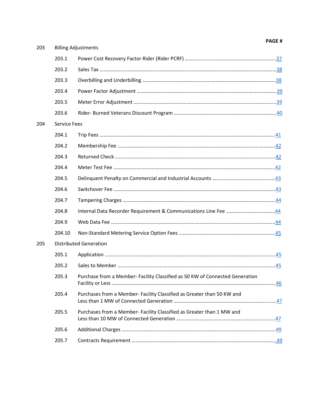| 203 | <b>Billing Adjustments</b> |                                                                              |  |
|-----|----------------------------|------------------------------------------------------------------------------|--|
|     | 203.1                      |                                                                              |  |
|     | 203.2                      |                                                                              |  |
|     | 203.3                      |                                                                              |  |
|     | 203.4                      |                                                                              |  |
|     | 203.5                      |                                                                              |  |
|     | 203.6                      |                                                                              |  |
| 204 | <b>Service Fees</b>        |                                                                              |  |
|     | 204.1                      |                                                                              |  |
|     | 204.2                      |                                                                              |  |
|     | 204.3                      |                                                                              |  |
|     | 204.4                      |                                                                              |  |
|     | 204.5                      |                                                                              |  |
|     | 204.6                      |                                                                              |  |
|     | 204.7                      |                                                                              |  |
|     | 204.8                      |                                                                              |  |
|     | 204.9                      |                                                                              |  |
|     | 204.10                     |                                                                              |  |
| 205 |                            | <b>Distributed Generation</b>                                                |  |
|     | 205.1                      |                                                                              |  |
|     | 205.2                      |                                                                              |  |
|     | 205.3                      | Purchase from a Member- Facility Classified as 50 KW of Connected Generation |  |
|     | 205.4                      | Purchases from a Member- Facility Classified as Greater than 50 KW and       |  |
|     | 205.5                      | Purchases from a Member- Facility Classified as Greater than 1 MW and        |  |
|     | 205.6                      |                                                                              |  |
|     | 205.7                      |                                                                              |  |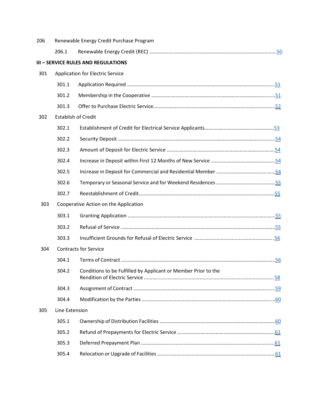| 206 |                | Renewable Energy Credit Purchase Program                       |  |
|-----|----------------|----------------------------------------------------------------|--|
|     | 206.1          |                                                                |  |
|     |                | <b>III - SERVICE RULES AND REGULATIONS</b>                     |  |
| 301 |                | <b>Application for Electric Service</b>                        |  |
|     | 301.1          |                                                                |  |
|     | 301.2          |                                                                |  |
|     | 301.3          |                                                                |  |
| 302 |                | <b>Establish of Credit</b>                                     |  |
|     | 302.1          |                                                                |  |
|     | 302.2          |                                                                |  |
|     | 302.3          |                                                                |  |
|     | 302.4          |                                                                |  |
|     | 302.5          |                                                                |  |
|     | 302.6          |                                                                |  |
|     | 302.7          |                                                                |  |
| 303 |                | Cooperative Action on the Application                          |  |
|     | 303.1          |                                                                |  |
|     | 303.2          |                                                                |  |
|     | 303.3          |                                                                |  |
| 304 |                | <b>Contracts for Service</b>                                   |  |
|     | 304.1          |                                                                |  |
|     | 304.2          | Conditions to be Fulfilled by Applicant or Member Prior to the |  |
|     | 304.3          |                                                                |  |
|     | 304.4          |                                                                |  |
| 305 | Line Extension |                                                                |  |
|     | 305.1          |                                                                |  |
|     | 305.2          |                                                                |  |
|     | 305.3          |                                                                |  |
|     | 305.4          |                                                                |  |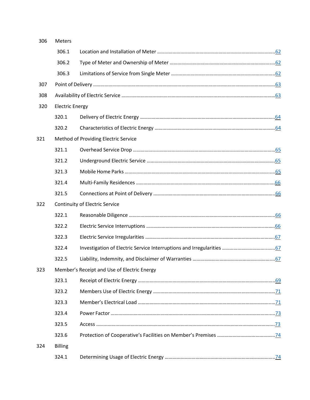| 306 | <b>Meters</b>          |                                             |  |
|-----|------------------------|---------------------------------------------|--|
|     | 306.1                  |                                             |  |
|     | 306.2                  |                                             |  |
|     | 306.3                  |                                             |  |
| 307 |                        |                                             |  |
| 308 |                        |                                             |  |
| 320 | <b>Electric Energy</b> |                                             |  |
|     | 320.1                  |                                             |  |
|     | 320.2                  |                                             |  |
| 321 |                        | Method of Providing Electric Service        |  |
|     | 321.1                  |                                             |  |
|     | 321.2                  |                                             |  |
|     | 321.3                  |                                             |  |
|     | 321.4                  |                                             |  |
|     | 321.5                  |                                             |  |
| 322 |                        | <b>Continuity of Electric Service</b>       |  |
|     | 322.1                  |                                             |  |
|     | 322.2                  |                                             |  |
|     | 322.3                  |                                             |  |
|     | 322.4                  |                                             |  |
|     | 322.5                  |                                             |  |
| 323 |                        | Member's Receipt and Use of Electric Energy |  |
|     | 323.1                  |                                             |  |
|     | 323.2                  |                                             |  |
|     | 323.3                  |                                             |  |
|     | 323.4                  |                                             |  |
|     | 323.5                  |                                             |  |
|     | 323.6                  |                                             |  |
| 324 | <b>Billing</b>         |                                             |  |
|     | 324.1                  |                                             |  |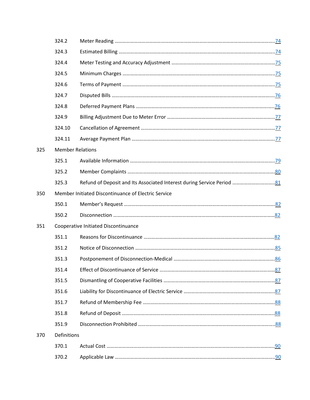|     | 324.2       |                                                     |  |
|-----|-------------|-----------------------------------------------------|--|
|     | 324.3       |                                                     |  |
|     | 324.4       |                                                     |  |
|     | 324.5       |                                                     |  |
|     | 324.6       |                                                     |  |
|     | 324.7       |                                                     |  |
|     | 324.8       |                                                     |  |
|     | 324.9       |                                                     |  |
|     | 324.10      |                                                     |  |
|     | 324.11      |                                                     |  |
| 325 |             | <b>Member Relations</b>                             |  |
|     | 325.1       |                                                     |  |
|     | 325.2       |                                                     |  |
|     | 325.3       |                                                     |  |
| 350 |             | Member Initiated Discontinuance of Electric Service |  |
|     | 350.1       |                                                     |  |
|     | 350.2       |                                                     |  |
| 351 |             | Cooperative Initiated Discontinuance                |  |
|     | 351.1       |                                                     |  |
|     | 351.2       |                                                     |  |
|     | 351.3       |                                                     |  |
|     | 351.4       |                                                     |  |
|     | 351.5       |                                                     |  |
|     | 351.6       |                                                     |  |
|     | 351.7       |                                                     |  |
|     | 351.8       |                                                     |  |
|     | 351.9       |                                                     |  |
| 370 | Definitions |                                                     |  |
|     | 370.1       |                                                     |  |
|     | 370.2       |                                                     |  |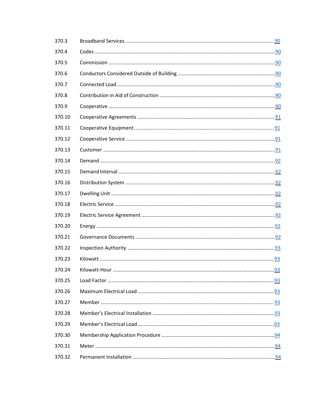| 370.3  |  |
|--------|--|
| 370.4  |  |
| 370.5  |  |
| 370.6  |  |
| 370.7  |  |
| 370.8  |  |
| 370.9  |  |
| 370.10 |  |
| 370.11 |  |
| 370.12 |  |
| 370.13 |  |
| 370.14 |  |
| 370.15 |  |
| 370.16 |  |
| 370.17 |  |
| 370.18 |  |
| 370.19 |  |
| 370.20 |  |
| 370.21 |  |
| 370.22 |  |
| 370.23 |  |
| 370.24 |  |
| 370.25 |  |
| 370.26 |  |
| 370.27 |  |
| 370.28 |  |
| 370.29 |  |
| 370.30 |  |
| 370.31 |  |
| 370.32 |  |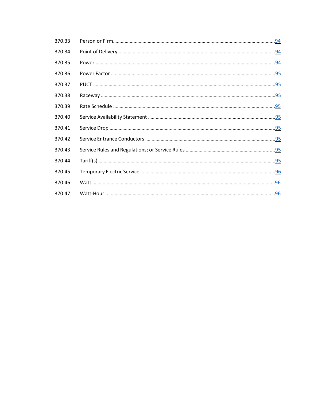| 370.33 |  |
|--------|--|
| 370.34 |  |
| 370.35 |  |
| 370.36 |  |
| 370.37 |  |
| 370.38 |  |
| 370.39 |  |
| 370.40 |  |
| 370.41 |  |
| 370.42 |  |
| 370.43 |  |
| 370.44 |  |
| 370.45 |  |
| 370.46 |  |
| 370.47 |  |
|        |  |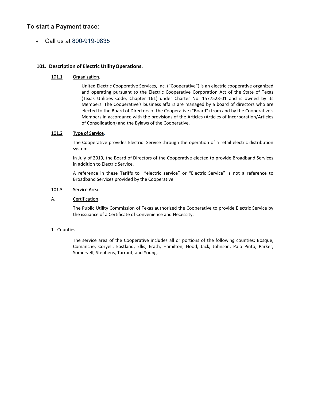## **To start a Payment trace**:

## • Call us at [800-919-9835](tel:800-919-9835)

## <span id="page-8-1"></span><span id="page-8-0"></span>**101. Description of Electric UtilityOperations.**

### 101.1 Organization.

United Electric Cooperative Services, Inc. ("Cooperative") is an electric cooperative organized and operating pursuant to the Electric Cooperative Corporation Act of the State of Texas (Texas Utilities Code, Chapter 161) under Charter No. 1577523-01 and is owned by its Members. The Cooperative's business affairs are managed by a board of directors who are elected to the Board of Directors of the Cooperative ("Board") from and by the Cooperative's Members in accordance with the provisions of the Articles (Articles of Incorporation/Articles of Consolidation) and the Bylaws of the Cooperative.

## <span id="page-8-3"></span><span id="page-8-2"></span>101.2 Type of Service.

The Cooperative provides Electric Service through the operation of a retail electric distribution system.

In July of 2019, the Board of Directors of the Cooperative elected to provide Broadband Services in addition to Electric Service.

A reference in these Tariffs to "electric service" or "Electric Service" is not a reference to Broadband Services provided by the Cooperative.

#### 101.3 Service Area.

#### A. Certification.

The Public Utility Commission of Texas authorized the Cooperative to provide Electric Service by the issuance of a Certificate of Convenience and Necessity.

#### 1. Counties.

The service area of the Cooperative includes all or portions of the following counties: Bosque, Comanche, Coryell, Eastland, Ellis, Erath, Hamilton, Hood, Jack, Johnson, Palo Pinto, Parker, Somervell, Stephens, Tarrant, and Young.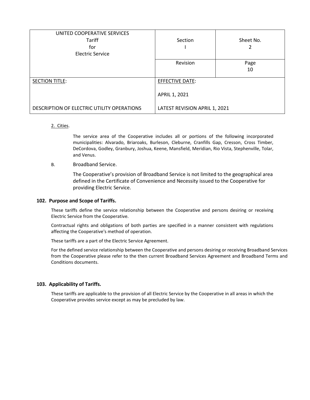| UNITED COOPERATIVE SERVICES<br><b>Tariff</b><br>for<br>Electric Service | Section                       | Sheet No.  |
|-------------------------------------------------------------------------|-------------------------------|------------|
|                                                                         | Revision                      | Page<br>10 |
| <b>SECTION TITLE:</b>                                                   | <b>EFFECTIVE DATE:</b>        |            |
|                                                                         | APRIL 1, 2021                 |            |
| DESCRIPTION OF ELECTRIC UTILITY OPERATIONS                              | LATEST REVISION APRIL 1, 2021 |            |

#### 2. Cities.

The service area of the Cooperative includes all or portions of the following incorporated municipalities: Alvarado, Briaroaks, Burleson, Cleburne, Cranfills Gap, Cresson, Cross Timber, DeCordova, Godley, Granbury, Joshua, Keene, Mansfield, Meridian, Rio Vista, Stephenville, Tolar, and Venus.

## B. Broadband Service.

The Cooperative's provision of Broadband Service is not limited to the geographical area defined in the Certificate of Convenience and Necessity issued to the Cooperative for providing Electric Service.

#### <span id="page-9-0"></span>**102. Purpose and Scope of Tariffs.**

These tariffs define the service relationship between the Cooperative and persons desiring or receiving Electric Service from the Cooperative.

Contractual rights and obligations of both parties are specified in a manner consistent with regulations affecting the Cooperative's method of operation.

These tariffs are a part of the Electric Service Agreement.

For the defined service relationship between the Cooperative and persons desiring or receiving Broadband Services from the Cooperative please refer to the then current Broadband Services Agreement and Broadband Terms and Conditions documents.

#### <span id="page-9-1"></span>**103. Applicability of Tariffs.**

These tariffs are applicable to the provision of all Electric Service by the Cooperative in all areas in which the Cooperative provides service except as may be precluded by law.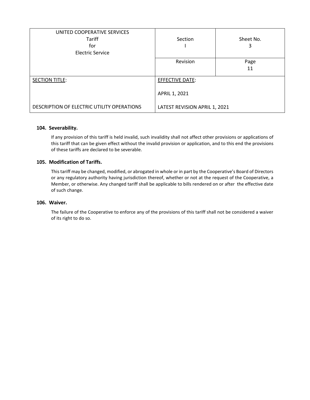| UNITED COOPERATIVE SERVICES<br><b>Tariff</b><br>for<br>Electric Service | Section                       | Sheet No.<br>3 |
|-------------------------------------------------------------------------|-------------------------------|----------------|
|                                                                         | Revision                      | Page<br>11     |
| SECTION TITLE:                                                          | <b>EFFECTIVE DATE:</b>        |                |
|                                                                         | APRIL 1, 2021                 |                |
| DESCRIPTION OF ELECTRIC UTILITY OPERATIONS                              | LATEST REVISION APRIL 1, 2021 |                |

#### <span id="page-10-0"></span>**104. Severability.**

If any provision of this tariff is held invalid, such invalidity shall not affect other provisions or applications of this tariff that can be given effect without the invalid provision or application, and to this end the provisions of these tariffs are declared to be severable.

## <span id="page-10-1"></span>**105. Modification of Tariffs.**

This tariff may be changed, modified, or abrogated in whole or in part by the Cooperative's Board of Directors or any regulatory authority having jurisdiction thereof, whether or not at the request of the Cooperative, a Member, or otherwise. Any changed tariff shall be applicable to bills rendered on or after the effective date of such change.

## <span id="page-10-2"></span>**106. Waiver.**

The failure of the Cooperative to enforce any of the provisions of this tariff shall not be considered a waiver of its right to do so.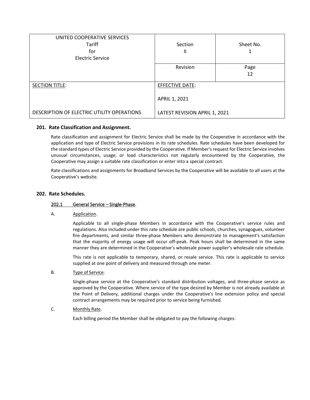| UNITED COOPERATIVE SERVICES<br>Tariff                                       | Section                | Sheet No. |
|-----------------------------------------------------------------------------|------------------------|-----------|
| for                                                                         | Ш                      |           |
| Electric Service                                                            |                        |           |
|                                                                             | Revision               | Page      |
|                                                                             |                        | 12        |
| <b>SECTION TITLE:</b>                                                       | <b>EFFECTIVE DATE:</b> |           |
|                                                                             | APRIL 1, 2021          |           |
| DESCRIPTION OF ELECTRIC UTILITY OPERATIONS<br>LATEST REVISION APRIL 1, 2021 |                        |           |

#### <span id="page-11-0"></span>**201. Rate Classification and Assignment.**

Rate classification and assignment for Electric Service shall be made by the Cooperative in accordance with the application and type of Electric Service provisions in its rate schedules. Rate schedules have been developed for the standard types of Electric Service provided by the Cooperative. If Member's request for Electric Service involves unusual circumstances, usage, or load characteristics not regularly encountered by the Cooperative, the Cooperative may assign a suitable rate classification or enter into a special contract.

Rate classifications and assignments for Broadband Services by the Cooperative will be available to all users at the Cooperative's website.

#### <span id="page-11-1"></span>**202. Rate Schedules.**

#### 202.1 General Service – Single-Phase.

A. **Application.** 

Applicable to all single-phase Members in accordance with the Cooperative's service rules and regulations. Also included under this rate schedule are public schools, churches, synagogues, volunteer fire departments, and similar three-phase Members who demonstrate to management's satisfaction that the majority of energy usage will occur off-peak. Peak hours shall be determined in the same manner they are determined in the Cooperative's wholesale power supplier's wholesale rate schedule.

This rate is not applicable to temporary, shared, or resale service. This rate is applicable to service supplied at one point of delivery and measured through one meter.

B. Type of Service.

Single-phase service at the Cooperative's standard distribution voltages, and three-phase service as approved by the Cooperative. Where service of the type desired by Member is not already available at the Point of Delivery, additional charges under the Cooperative's line extension policy and special contract arrangements may be required prior to service being furnished.

C. Monthly Rate.

Each billing period the Member shall be obligated to pay the following charges: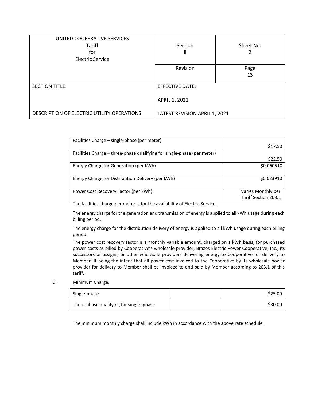| UNITED COOPERATIVE SERVICES<br>Tariff<br>for<br>Electric Service | Section<br>Ш                  | Sheet No.  |
|------------------------------------------------------------------|-------------------------------|------------|
|                                                                  | Revision                      | Page<br>13 |
| <b>SECTION TITLE:</b>                                            | <b>EFFECTIVE DATE:</b>        |            |
|                                                                  | APRIL 1, 2021                 |            |
| DESCRIPTION OF ELECTRIC UTILITY OPERATIONS                       | LATEST REVISION APRIL 1, 2021 |            |

| Facilities Charge – single-phase (per meter)                            |                      |
|-------------------------------------------------------------------------|----------------------|
|                                                                         | \$17.50              |
| Facilities Charge – three-phase qualifying for single-phase (per meter) |                      |
|                                                                         | \$22.50              |
| Energy Charge for Generation (per kWh)                                  | \$0.060510           |
|                                                                         |                      |
| Energy Charge for Distribution Delivery (per kWh)                       | \$0.023910           |
|                                                                         |                      |
| Power Cost Recovery Factor (per kWh)                                    | Varies Monthly per   |
|                                                                         | Tariff Section 203.1 |

The facilities charge per meter is for the availability of Electric Service.

The energy charge for the generation and transmission of energy is applied to all kWh usage during each billing period.

The energy charge for the distribution delivery of energy is applied to all kWh usage during each billing period.

The power cost recovery factor is a monthly variable amount, charged on a kWh basis, for purchased power costs as billed by Cooperative's wholesale provider, Brazos Electric Power Cooperative, Inc., its successors or assigns, or other wholesale providers delivering energy to Cooperative for delivery to Member. It being the intent that all power cost invoiced to the Cooperative by its wholesale power provider for delivery to Member shall be invoiced to and paid by Member according to 203.1 of this tariff.

#### D. Minimum Charge.

| Single-phase                             | \$25.00 |
|------------------------------------------|---------|
| Three-phase qualifying for single- phase | \$30.00 |

The minimum monthly charge shall include kWh in accordance with the above rate schedule.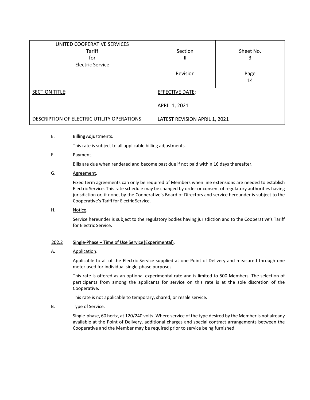| UNITED COOPERATIVE SERVICES<br><b>Tariff</b><br>for | Section<br>Ш                  | Sheet No.<br>3 |
|-----------------------------------------------------|-------------------------------|----------------|
| Electric Service                                    |                               |                |
|                                                     | Revision                      | Page           |
|                                                     |                               | 14             |
|                                                     |                               |                |
| <b>SECTION TITLE:</b>                               | <b>EFFECTIVE DATE:</b>        |                |
|                                                     | APRIL 1, 2021                 |                |
| DESCRIPTION OF ELECTRIC UTILITY OPERATIONS          | LATEST REVISION APRIL 1, 2021 |                |

#### E. BillingAdjustments.

This rate is subject to all applicable billing adjustments.

#### F. Payment.

Bills are due when rendered and become past due if not paid within 16 days thereafter.

#### G. Agreement.

Fixed term agreements can only be required of Members when line extensions are needed to establish Electric Service. This rate schedule may be changed by order or consent of regulatory authorities having jurisdiction or, if none, by the Cooperative's Board of Directors and service hereunder is subject to the Cooperative's Tariff for Electric Service.

#### H. Notice.

Service hereunder is subject to the regulatory bodies having jurisdiction and to the Cooperative's Tariff for Electric Service.

#### <span id="page-13-0"></span>202.2 Single‐Phase – Time of Use Service (Experimental).

#### A. Application.

Applicable to all of the Electric Service supplied at one Point of Delivery and measured through one meter used for individual single-phase purposes.

This rate is offered as an optional experimental rate and is limited to 500 Members. The selection of participants from among the applicants for service on this rate is at the sole discretion of the Cooperative.

This rate is not applicable to temporary, shared, or resale service.

#### B. Type of Service.

Single-phase, 60 hertz, at 120/240 volts. Where service of the type desired by the Member is not already available at the Point of Delivery, additional charges and special contract arrangements between the Cooperative and the Member may be required prior to service being furnished.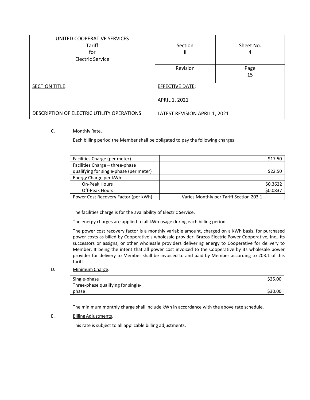| UNITED COOPERATIVE SERVICES<br>Tariff<br>for | Section<br>Ш                  | Sheet No.<br>4 |
|----------------------------------------------|-------------------------------|----------------|
| Electric Service                             |                               |                |
|                                              | Revision                      | Page<br>15     |
| <b>SECTION TITLE:</b>                        | <b>EFFECTIVE DATE:</b>        |                |
|                                              | APRIL 1, 2021                 |                |
| DESCRIPTION OF ELECTRIC UTILITY OPERATIONS   | LATEST REVISION APRIL 1, 2021 |                |

## C. Monthly Rate.

Each billing period the Member shall be obligated to pay the following charges:

| Facilities Charge (per meter)           | \$17.50                                 |
|-----------------------------------------|-----------------------------------------|
| Facilities Charge - three-phase         |                                         |
| qualifying for single-phase (per meter) | \$22.50                                 |
| Energy Charge per kWh:                  |                                         |
| <b>On-Peak Hours</b>                    | \$0.3622                                |
| Off-Peak Hours                          | \$0.0837                                |
| Power Cost Recovery Factor (per kWh)    | Varies Monthly per Tariff Section 203.1 |

The facilities charge is for the availability of Electric Service.

The energy charges are applied to all kWh usage during each billing period.

The power cost recovery factor is a monthly variable amount, charged on a kWh basis, for purchased power costs as billed by Cooperative's wholesale provider, Brazos Electric Power Cooperative, Inc., its successors or assigns, or other wholesale providers delivering energy to Cooperative for delivery to Member. It being the intent that all power cost invoiced to the Cooperative by its wholesale power provider for delivery to Member shall be invoiced to and paid by Member according to 203.1 of this tariff.

## D. **Minimum Charge.**

| Single-phase                       | \$25.00 |
|------------------------------------|---------|
| Three-phase qualifying for single- |         |
| phase                              | \$30.00 |

The minimum monthly charge shall include kWh in accordance with the above rate schedule.

#### E. BillingAdjustments.

This rate is subject to all applicable billing adjustments.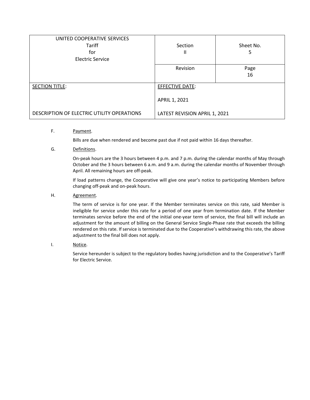| UNITED COOPERATIVE SERVICES<br><b>Tariff</b><br>for<br>Electric Service | Section<br>Ш                  | Sheet No.<br>5 |
|-------------------------------------------------------------------------|-------------------------------|----------------|
|                                                                         | Revision                      | Page<br>16     |
| <b>SECTION TITLE:</b>                                                   | <b>EFFECTIVE DATE:</b>        |                |
|                                                                         | APRIL 1, 2021                 |                |
| DESCRIPTION OF ELECTRIC UTILITY OPERATIONS                              | LATEST REVISION APRIL 1, 2021 |                |

#### F. Payment.

Bills are due when rendered and become past due if not paid within 16 days thereafter.

G. Definitions.

On-peak hours are the 3 hours between 4 p.m. and 7 p.m. during the calendar months of May through October and the 3 hours between 6 a.m. and 9 a.m. during the calendar months of November through April. All remaining hours are off-peak.

If load patterns change, the Cooperative will give one year's notice to participating Members before changing off-peak and on-peak hours.

## H. Agreement.

The term of service is for one year. If the Member terminates service on this rate, said Member is ineligible for service under this rate for a period of one year from termination date. If the Member terminates service before the end of the initial one-year term of service, the final bill will include an adjustment for the amount of billing on the General Service Single-Phase rate that exceeds the billing rendered on this rate. If service is terminated due to the Cooperative's withdrawing this rate, the above adjustment to the final bill does not apply.

## I. Notice.

Service hereunder is subject to the regulatory bodies having jurisdiction and to the Cooperative's Tariff for Electric Service.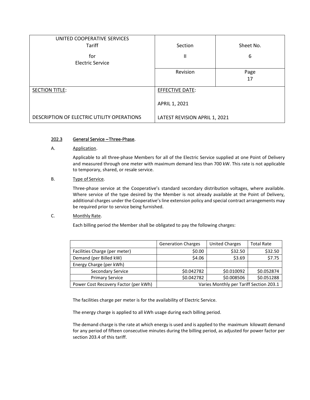| UNITED COOPERATIVE SERVICES<br><b>Tariff</b> | Section                       | Sheet No.  |
|----------------------------------------------|-------------------------------|------------|
| for<br><b>Electric Service</b>               | $\mathsf{I}$                  | 6          |
|                                              | Revision                      | Page<br>17 |
| <b>SECTION TITLE:</b>                        | <b>EFFECTIVE DATE:</b>        |            |
|                                              | APRIL 1, 2021                 |            |
| DESCRIPTION OF ELECTRIC UTILITY OPERATIONS   | LATEST REVISION APRIL 1, 2021 |            |

#### <span id="page-16-0"></span>202.3 General Service – Three-Phase.

A. Application.

Applicable to all three-phase Members for all of the Electric Service supplied at one Point of Delivery and measured through one meter with maximum demand less than 700 kW. This rate is not applicable to temporary, shared, or resale service.

## B. Type of Service.

Three-phase service at the Cooperative's standard secondary distribution voltages, where available. Where service of the type desired by the Member is not already available at the Point of Delivery, additional charges under the Cooperative's line extension policy and special contract arrangements may be required prior to service being furnished.

## C. Monthly Rate.

Each billing period the Member shall be obligated to pay the following charges:

|                                      | <b>Generation Charges</b> | <b>United Charges</b>                   | <b>Total Rate</b> |
|--------------------------------------|---------------------------|-----------------------------------------|-------------------|
| Facilities Charge (per meter)        | \$0.00                    | \$32.50                                 | \$32.50           |
| Demand (per Billed kW)               | \$4.06                    | \$3.69                                  | \$7.75            |
| Energy Charge (per kWh)              |                           |                                         |                   |
| Secondary Service                    | \$0.042782                | \$0.010092                              | \$0.052874        |
| <b>Primary Service</b>               | \$0.042782                | \$0.008506                              | \$0.051288        |
| Power Cost Recovery Factor (per kWh) |                           | Varies Monthly per Tariff Section 203.1 |                   |

The facilities charge per meter is for the availability of Electric Service.

The energy charge is applied to all kWh usage during each billing period.

The demand charge is the rate at which energy is used and is applied to the maximum kilowatt demand for any period of fifteen consecutive minutes during the billing period, as adjusted for power factor per section 203.4 of this tariff.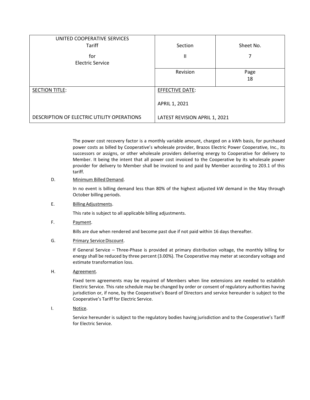| UNITED COOPERATIVE SERVICES<br><b>Tariff</b> | Section                       | Sheet No. |
|----------------------------------------------|-------------------------------|-----------|
|                                              |                               |           |
| for<br>Electric Service                      | $\mathsf{I}$                  | 7         |
|                                              |                               |           |
|                                              | Revision                      | Page      |
|                                              |                               | 18        |
| <b>SECTION TITLE:</b>                        | <b>EFFECTIVE DATE:</b>        |           |
|                                              | APRIL 1, 2021                 |           |
| DESCRIPTION OF ELECTRIC UTILITY OPERATIONS   | LATEST REVISION APRIL 1, 2021 |           |

The power cost recovery factor is a monthly variable amount, charged on a kWh basis, for purchased power costs as billed by Cooperative's wholesale provider, Brazos Electric Power Cooperative, Inc., its successors or assigns, or other wholesale providers delivering energy to Cooperative for delivery to Member. It being the intent that all power cost invoiced to the Cooperative by its wholesale power provider for delivery to Member shall be invoiced to and paid by Member according to 203.1 of this tariff.

#### D. Minimum Billed Demand.

In no event is billing demand less than 80% of the highest adjusted kW demand in the May through October billing periods.

#### E. **Billing Adjustments.**

This rate is subject to all applicable billing adjustments.

#### F. Payment.

Bills are due when rendered and become past due if not paid within 16 days thereafter.

#### G. Primary Service Discount.

If General Service – Three-Phase is provided at primary distribution voltage, the monthly billing for energy shall be reduced by three percent (3.00%). The Cooperative may meter at secondary voltage and estimate transformation loss.

#### H. Agreement.

Fixed term agreements may be required of Members when line extensions are needed to establish Electric Service. This rate schedule may be changed by order or consent of regulatory authorities having jurisdiction or, if none, by the Cooperative's Board of Directors and service hereunder is subject to the Cooperative's Tariff for Electric Service.

I. Notice.

Service hereunder is subject to the regulatory bodies having jurisdiction and to the Cooperative's Tariff for Electric Service.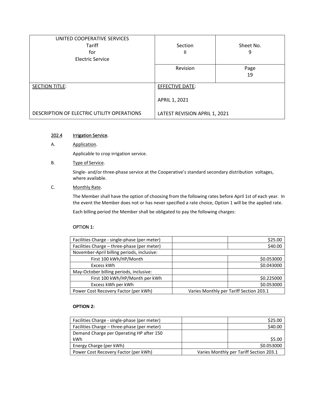| UNITED COOPERATIVE SERVICES<br><b>Tariff</b><br>for<br>Electric Service | Section<br>Ш                  | Sheet No.<br>9 |
|-------------------------------------------------------------------------|-------------------------------|----------------|
|                                                                         | Revision                      | Page<br>19     |
| SECTION TITLE:                                                          | <b>EFFECTIVE DATE:</b>        |                |
|                                                                         | APRIL 1, 2021                 |                |
| DESCRIPTION OF ELECTRIC UTILITY OPERATIONS                              | LATEST REVISION APRIL 1, 2021 |                |

#### <span id="page-18-0"></span>202.4 Irrigation Service.

A. **Application.** 

Applicable to crop irrigation service.

#### B. Type of Service.

Single- and/or three-phase service at the Cooperative's standard secondary distribution voltages, where available.

## C. Monthly Rate.

The Member shall have the option of choosing from the following rates before April 1st of each year. In the event the Member does not or has never specified a rate choice, Option 1 will be the applied rate.

Each billing period the Member shall be obligated to pay the following charges:

#### OPTION 1:

| Facilities Charge - single-phase (per meter) | \$25.00                                 |
|----------------------------------------------|-----------------------------------------|
| Facilities Charge - three-phase (per meter)  | \$40.00                                 |
| November-April billing periods, inclusive:   |                                         |
| First 100 kWh/HP/Month                       | \$0.053000                              |
| Excess kWh                                   | \$0.043000                              |
| May-October billing periods, inclusive:      |                                         |
| First 100 kWh/HP/Month per kWh               | \$0.225000                              |
| Excess kWh per kWh                           | \$0.053000                              |
| Power Cost Recovery Factor (per kWh)         | Varies Monthly per Tariff Section 203.1 |

#### **OPTION 2:**

| Facilities Charge - single-phase (per meter) | \$25.00                                 |
|----------------------------------------------|-----------------------------------------|
| Facilities Charge – three-phase (per meter)  | \$40.00                                 |
| Demand Charge per Operating HP after 150     |                                         |
| kWh                                          | \$5.00                                  |
| Energy Charge (per kWh)                      | \$0.053000                              |
| Power Cost Recovery Factor (per kWh)         | Varies Monthly per Tariff Section 203.1 |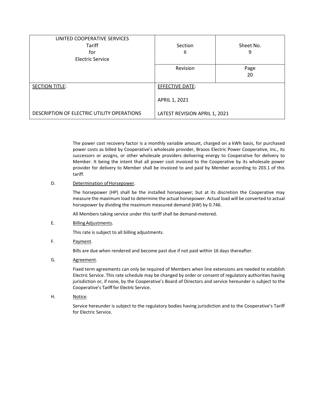| UNITED COOPERATIVE SERVICES<br><b>Tariff</b><br>for<br>Electric Service | Section<br>Ш                  | Sheet No.<br>9 |
|-------------------------------------------------------------------------|-------------------------------|----------------|
|                                                                         | Revision                      | Page<br>20     |
| <b>SECTION TITLE:</b>                                                   | <b>EFFECTIVE DATE:</b>        |                |
|                                                                         | APRIL 1, 2021                 |                |
| DESCRIPTION OF ELECTRIC UTILITY OPERATIONS                              | LATEST REVISION APRIL 1, 2021 |                |

The power cost recovery factor is a monthly variable amount, charged on a kWh basis, for purchased power costs as billed by Cooperative's wholesale provider, Brazos Electric Power Cooperative, Inc., its successors or assigns, or other wholesale providers delivering energy to Cooperative for delivery to Member. It being the intent that all power cost invoiced to the Cooperative by its wholesale power provider for delivery to Member shall be invoiced to and paid by Member according to 203.1 of this tariff.

#### D. Determination of Horsepower.

The horsepower (HP) shall be the installed horsepower; but at its discretion the Cooperative may measure the maximum load to determine the actual horsepower. Actual load will be converted to actual horsepower by dividing the maximum measured demand (kW) by 0.746.

All Members taking service under this tariff shall be demand-metered.

#### E. BillingAdjustments.

This rate is subject to all billing adjustments.

## F. Payment.

Bills are due when rendered and become past due if not paid within 16 days thereafter.

G. Agreement.

Fixed term agreements can only be required of Members when line extensions are needed to establish Electric Service. This rate schedule may be changed by order or consent of regulatory authorities having jurisdiction or, if none, by the Cooperative's Board of Directors and service hereunder is subject to the Cooperative's Tariff for Electric Service.

H. Notice.

Service hereunder is subject to the regulatory bodies having jurisdiction and to the Cooperative's Tariff for Electric Service.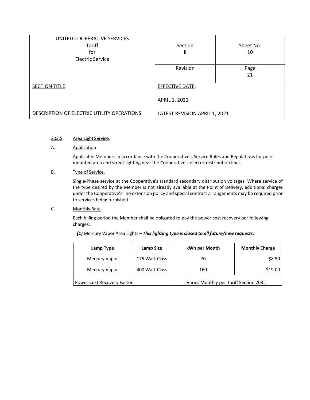| UNITED COOPERATIVE SERVICES<br><b>Tariff</b><br>for<br>Electric Service | Section<br>Ш                  | Sheet No.<br>10 |
|-------------------------------------------------------------------------|-------------------------------|-----------------|
|                                                                         | Revision                      | Page<br>21      |
| <b>SECTION TITLE:</b>                                                   | <b>EFFECTIVE DATE:</b>        |                 |
|                                                                         | APRIL 1, 2021                 |                 |
| DESCRIPTION OF ELECTRIC UTILITY OPERATIONS                              | LATEST REVISION APRIL 1, 2021 |                 |

#### <span id="page-20-0"></span>202.5 Area Light Service.

#### A. Application.

Applicable Members in accordance with the Cooperative's Service Rules and Regulations for polemounted area and street lighting near the Cooperative's electric distribution lines.

## B. Type of Service.

Single-Phase service at the Cooperative's standard secondary distribution voltages. Where service of the type desired by the Member is not already available at the Point of Delivery, additional charges under the Cooperative's line extension policy and special contract arrangements may be required prior to services being furnished.

## C. Monthly Rate.

Each billing period the Member shall be obligated to pay the power cost recovery per following charges:

#### *(1)* Mercury Vapor Area Lights – *This lighting type is closed to all future/new requests:*

| Lamp Type                  | Lamp Size      | kWh per Month                           | <b>Monthly Charge</b> |
|----------------------------|----------------|-----------------------------------------|-----------------------|
| Mercury Vapor              | 175 Watt Class | 70                                      | \$8.50                |
| Mercury Vapor              | 400 Watt Class | 160                                     | \$19.00               |
| Power Cost Recovery Factor |                | Varies Monthly per Tariff Section 203.1 |                       |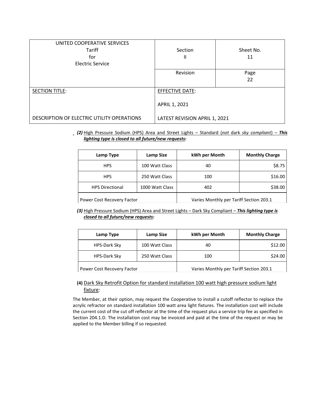| UNITED COOPERATIVE SERVICES<br>Tariff<br>for<br>Electric Service | Section<br>Ш                  | Sheet No.<br>11 |
|------------------------------------------------------------------|-------------------------------|-----------------|
|                                                                  | Revision                      | Page<br>22      |
| <b>SECTION TITLE:</b>                                            | <b>EFFECTIVE DATE:</b>        |                 |
|                                                                  | APRIL 1, 2021                 |                 |
| DESCRIPTION OF ELECTRIC UTILITY OPERATIONS                       | LATEST REVISION APRIL 1, 2021 |                 |

*(2)* High Pressure Sodium (HPS) Area and Street Lights – Standard (*not* dark *sky compliant*) – *This lighting type is closed to all future/new requests:*

| Lamp Type                  | Lamp Size                               | kWh per Month | <b>Monthly Charge</b> |
|----------------------------|-----------------------------------------|---------------|-----------------------|
| <b>HPS</b>                 | 100 Watt Class                          | 40            | \$8.75                |
| <b>HPS</b>                 | 250 Watt Class                          | 100           | \$16.00               |
| <b>HPS Directional</b>     | 1000 Watt Class                         | 402           | \$38.00               |
| Power Cost Recovery Factor | Varies Monthly per Tariff Section 203.1 |               |                       |

*(3)* High Pressure Sodium (HPS) Area and Street Lights – Dark Sky Compliant – *This lighting type is closed to all future/new requests:*

| Lamp Type                  | Lamp Size      | kWh per Month                           | <b>Monthly Charge</b> |
|----------------------------|----------------|-----------------------------------------|-----------------------|
| HPS-Dark Sky               | 100 Watt Class | 40                                      | \$12.00               |
| HPS-Dark Sky               | 250 Watt Class | 100                                     | \$24.00               |
| Power Cost Recovery Factor |                | Varies Monthly per Tariff Section 203.1 |                       |

## **(4)** Dark Sky Retrofit Option for standard installation 100 watt high pressure sodium light fixture:

The Member, at their option, may request the Cooperative to install a cutoff reflector to replace the acrylic refractor on standard installation 100 watt area light fixtures. The installation cost will include the current cost of the cut off reflector at the time of the request plus a service trip fee as specified in Section 204.1.D. The installation cost may be invoiced and paid at the time of the request or may be applied to the Member billing if so requested.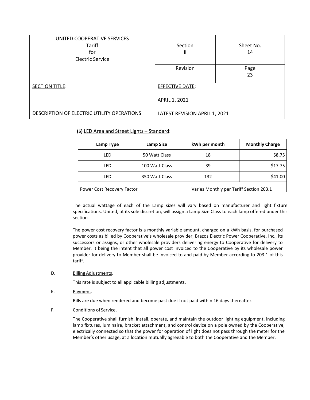| UNITED COOPERATIVE SERVICES<br><b>Tariff</b><br>for<br>Electric Service | Section<br>Ш                  | Sheet No.<br>14 |
|-------------------------------------------------------------------------|-------------------------------|-----------------|
|                                                                         | Revision                      | Page<br>23      |
| SECTION TITLE:                                                          | <b>EFFECTIVE DATE:</b>        |                 |
|                                                                         | APRIL 1, 2021                 |                 |
| DESCRIPTION OF ELECTRIC UTILITY OPERATIONS                              | LATEST REVISION APRIL 1, 2021 |                 |

**(5)** LED Area and Street Lights – Standard:

| Lamp Type                  | Lamp Size      | kWh per month                           | <b>Monthly Charge</b> |
|----------------------------|----------------|-----------------------------------------|-----------------------|
| LED                        | 50 Watt Class  | 18                                      | \$8.75                |
| LED                        | 100 Watt Class | 39                                      | \$17.75               |
| LED                        | 350 Watt Class | 132                                     | \$41.00               |
| Power Cost Recovery Factor |                | Varies Monthly per Tariff Section 203.1 |                       |

The actual wattage of each of the Lamp sizes will vary based on manufacturer and light fixture specifications. United, at its sole discretion, will assign a Lamp Size Class to each lamp offered under this section.

The power cost recovery factor is a monthly variable amount, charged on a kWh basis, for purchased power costs as billed by Cooperative's wholesale provider, Brazos Electric Power Cooperative, Inc., its successors or assigns, or other wholesale providers delivering energy to Cooperative for delivery to Member. It being the intent that all power cost invoiced to the Cooperative by its wholesale power provider for delivery to Member shall be invoiced to and paid by Member according to 203.1 of this tariff.

D. BillingAdjustments.

This rate is subject to all applicable billing adjustments.

E. Payment.

Bills are due when rendered and become past due if not paid within 16 days thereafter.

F. Conditions of Service.

The Cooperative shall furnish, install, operate, and maintain the outdoor lighting equipment, including lamp fixtures, luminaire, bracket attachment, and control device on a pole owned by the Cooperative, electrically connected so that the power for operation of light does not pass through the meter for the Member's other usage, at a location mutually agreeable to both the Cooperative and the Member.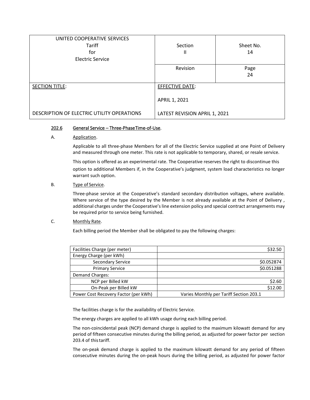| UNITED COOPERATIVE SERVICES<br><b>Tariff</b><br>for<br>Electric Service | Section<br>Ш                  | Sheet No.<br>14 |
|-------------------------------------------------------------------------|-------------------------------|-----------------|
|                                                                         | Revision                      | Page<br>24      |
| <b>SECTION TITLE:</b>                                                   | <b>EFFECTIVE DATE:</b>        |                 |
|                                                                         | APRIL 1, 2021                 |                 |
| DESCRIPTION OF ELECTRIC UTILITY OPERATIONS                              | LATEST REVISION APRIL 1, 2021 |                 |

## <span id="page-23-0"></span>202.6 General Service – Three-Phase Time-of-Use.

#### A. Application.

Applicable to all three-phase Members for all of the Electric Service supplied at one Point of Delivery and measured through one meter. This rate is not applicable to temporary, shared, or resale service.

This option is offered as an experimental rate. The Cooperative reserves the right to discontinue this option to additional Members if, in the Cooperative's judgment, system load characteristics no longer warrant such option.

#### B. Type of Service.

Three-phase service at the Cooperative's standard secondary distribution voltages, where available. Where service of the type desired by the Member is not already available at the Point of Delivery, additional charges under the Cooperative's line extension policy and special contract arrangements may be required prior to service being furnished.

#### C. Monthly Rate.

Each billing period the Member shall be obligated to pay the following charges:

| Facilities Charge (per meter)        | \$32.50                                 |
|--------------------------------------|-----------------------------------------|
| Energy Charge (per kWh)              |                                         |
| <b>Secondary Service</b>             | \$0.052874                              |
| <b>Primary Service</b>               | \$0.051288                              |
| Demand Charges:                      |                                         |
| NCP per Billed kW                    | \$2.60                                  |
| On-Peak per Billed kW                | \$12.00                                 |
| Power Cost Recovery Factor (per kWh) | Varies Monthly per Tariff Section 203.1 |

The facilities charge is for the availability of Electric Service.

The energy charges are applied to all kWh usage during each billing period.

The non-coincidental peak (NCP) demand charge is applied to the maximum kilowatt demand for any period of fifteen consecutive minutes during the billing period, as adjusted for power factor per section 203.4 of thistariff.

The on-peak demand charge is applied to the maximum kilowatt demand for any period of fifteen consecutive minutes during the on-peak hours during the billing period, as adjusted for power factor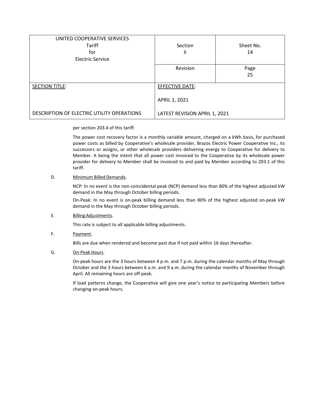| UNITED COOPERATIVE SERVICES<br><b>Tariff</b><br>for<br>Electric Service | Section<br>Ш                            | Sheet No.<br>14 |
|-------------------------------------------------------------------------|-----------------------------------------|-----------------|
|                                                                         | Revision                                | Page<br>25      |
| SECTION TITLE:                                                          | <b>EFFECTIVE DATE:</b><br>APRIL 1, 2021 |                 |
| DESCRIPTION OF ELECTRIC UTILITY OPERATIONS                              | LATEST REVISION APRIL 1, 2021           |                 |

per section 203.4 of this tariff.

The power cost recovery factor is a monthly variable amount, charged on a kWh basis, for purchased power costs as billed by Cooperative's wholesale provider, Brazos Electric Power Cooperative Inc., its successors or assigns, or other wholesale providers delivering energy to Cooperative for delivery to Member. It being the intent that all power cost invoiced to the Cooperative by its wholesale power provider for delivery to Member shall be invoiced to and paid by Member according to 203.1 of this tariff.

## D. Minimum Billed Demands.

NCP: In no event is the non-coincidental peak (NCP) demand less than 80% of the highest adjusted kW demand in the May through October billing periods.

On-Peak: In no event is on-peak billing demand less than 80% of the highest adjusted on-peak kW demand in the May through October billing periods.

## E. BillingAdjustments.

This rate is subject to all applicable billing adjustments.

F. Payment.

Bills are due when rendered and become past due if not paid within 16 days thereafter.

## G. On-Peak Hours.

On-peak hours are the 3 hours between 4 p.m. and 7 p.m. during the calendar months of May through October and the 3 hours between 6 a.m. and 9 a.m. during the calendar months of November through April. All remaining hours are off-peak.

If load patterns change, the Cooperative will give one year's notice to participating Members before changing on-peak hours.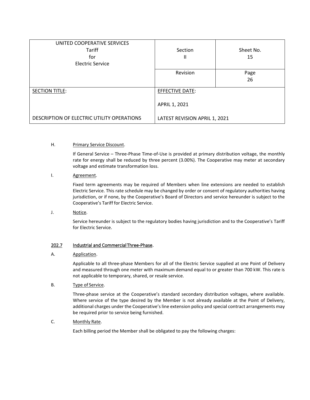| UNITED COOPERATIVE SERVICES<br><b>Tariff</b><br>for<br>Electric Service | Section<br>Ш                  | Sheet No.<br>15 |
|-------------------------------------------------------------------------|-------------------------------|-----------------|
|                                                                         | Revision                      | Page<br>26      |
| <b>SECTION TITLE:</b>                                                   | <b>EFFECTIVE DATE:</b>        |                 |
|                                                                         | APRIL 1, 2021                 |                 |
| DESCRIPTION OF ELECTRIC UTILITY OPERATIONS                              | LATEST REVISION APRIL 1, 2021 |                 |

#### H. Primary Service Discount.

If General Service – Three-Phase Time-of-Use is provided at primary distribution voltage, the monthly rate for energy shall be reduced by three percent (3.00%). The Cooperative may meter at secondary voltage and estimate transformation loss.

## I. Agreement.

Fixed term agreements may be required of Members when line extensions are needed to establish Electric Service. This rate schedule may be changed by order or consent of regulatory authorities having jurisdiction, or if none, by the Cooperative's Board of Directors and service hereunder is subject to the Cooperative's Tariff for Electric Service.

#### J. Notice.

Service hereunder is subject to the regulatory bodies having jurisdiction and to the Cooperative's Tariff for Electric Service.

## <span id="page-25-0"></span>202.7 Industrial and Commercial Three-Phase.

#### A. Application.

Applicable to all three-phase Members for all of the Electric Service supplied at one Point of Delivery and measured through one meter with maximum demand equal to or greater than 700 kW. This rate is not applicable to temporary, shared, or resale service.

#### B. Type of Service.

Three-phase service at the Cooperative's standard secondary distribution voltages, where available. Where service of the type desired by the Member is not already available at the Point of Delivery, additional charges under the Cooperative's line extension policy and special contract arrangements may be required prior to service being furnished.

#### C. Monthly Rate.

Each billing period the Member shall be obligated to pay the following charges: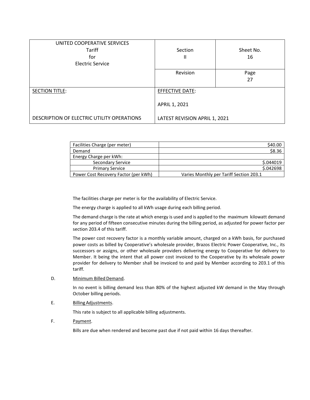| UNITED COOPERATIVE SERVICES<br><b>Tariff</b><br>for<br>Electric Service | Section<br>Ш                  | Sheet No.<br>16 |
|-------------------------------------------------------------------------|-------------------------------|-----------------|
|                                                                         | Revision                      | Page<br>27      |
| <b>SECTION TITLE:</b>                                                   | <b>EFFECTIVE DATE:</b>        |                 |
|                                                                         | APRIL 1, 2021                 |                 |
| DESCRIPTION OF ELECTRIC UTILITY OPERATIONS                              | LATEST REVISION APRIL 1, 2021 |                 |

| Facilities Charge (per meter)        | \$40.00                                 |
|--------------------------------------|-----------------------------------------|
| Demand                               | \$8.36                                  |
| Energy Charge per kWh:               |                                         |
| Secondary Service                    | \$.044019                               |
| <b>Primary Service</b>               | \$.042698                               |
| Power Cost Recovery Factor (per kWh) | Varies Monthly per Tariff Section 203.1 |

The facilities charge per meter is for the availability of Electric Service.

The energy charge is applied to all kWh usage during each billing period.

The demand charge is the rate at which energy is used and is applied to the maximum kilowatt demand for any period of fifteen consecutive minutes during the billing period, as adjusted for power factor per section 203.4 of this tariff.

The power cost recovery factor is a monthly variable amount, charged on a kWh basis, for purchased power costs as billed by Cooperative's wholesale provider, Brazos Electric Power Cooperative, Inc., its successors or assigns, or other wholesale providers delivering energy to Cooperative for delivery to Member. It being the intent that all power cost invoiced to the Cooperative by its wholesale power provider for delivery to Member shall be invoiced to and paid by Member according to 203.1 of this tariff.

#### D. Minimum Billed Demand.

In no event is billing demand less than 80% of the highest adjusted kW demand in the May through October billing periods.

E. Billing Adjustments.

This rate is subject to all applicable billing adjustments.

F. Payment.

Bills are due when rendered and become past due if not paid within 16 days thereafter.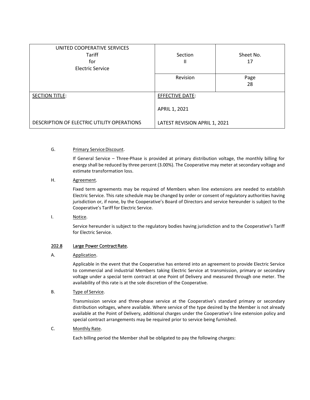| UNITED COOPERATIVE SERVICES<br><b>Tariff</b><br>for<br>Electric Service | Section<br>Ш                            | Sheet No.<br>17 |
|-------------------------------------------------------------------------|-----------------------------------------|-----------------|
|                                                                         | Revision                                | Page<br>28      |
| SECTION TITLE:                                                          | <b>EFFECTIVE DATE:</b><br>APRIL 1, 2021 |                 |
| DESCRIPTION OF ELECTRIC UTILITY OPERATIONS                              | LATEST REVISION APRIL 1, 2021           |                 |

## G. Primary Service Discount.

If General Service – Three-Phase is provided at primary distribution voltage, the monthly billing for energy shall be reduced by three percent (3.00%). The Cooperative may meter at secondary voltage and estimate transformation loss.

#### H. Agreement.

Fixed term agreements may be required of Members when line extensions are needed to establish Electric Service. This rate schedule may be changed by order or consent of regulatory authorities having jurisdiction or, if none, by the Cooperative's Board of Directors and service hereunder is subject to the Cooperative's Tariff for Electric Service.

#### I. Notice.

Service hereunder is subject to the regulatory bodies having jurisdiction and to the Cooperative's Tariff for Electric Service.

#### <span id="page-27-0"></span>202.8 Large Power Contract Rate.

#### A. Application.

Applicable in the event that the Cooperative has entered into an agreement to provide Electric Service to commercial and industrial Members taking Electric Service at transmission, primary or secondary voltage under a special term contract at one Point of Delivery and measured through one meter. The availability of this rate is at the sole discretion of the Cooperative.

#### B. Type of Service.

Transmission service and three-phase service at the Cooperative's standard primary or secondary distribution voltages, where available. Where service of the type desired by the Member is not already available at the Point of Delivery, additional charges under the Cooperative's line extension policy and special contract arrangements may be required prior to service being furnished.

## C. Monthly Rate.

Each billing period the Member shall be obligated to pay the following charges: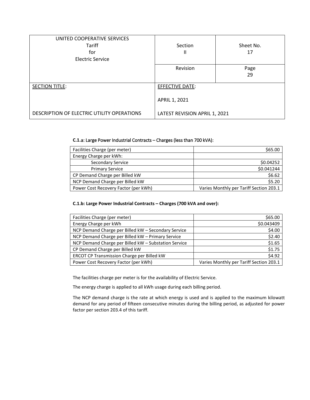| UNITED COOPERATIVE SERVICES<br><b>Tariff</b><br>for<br><b>Electric Service</b> | Section<br>Ш                  | Sheet No.<br>17 |
|--------------------------------------------------------------------------------|-------------------------------|-----------------|
|                                                                                | Revision                      | Page<br>29      |
| SECTION TITLE:                                                                 | <b>EFFECTIVE DATE:</b>        |                 |
|                                                                                | APRIL 1, 2021                 |                 |
| DESCRIPTION OF ELECTRIC UTILITY OPERATIONS                                     | LATEST REVISION APRIL 1, 2021 |                 |

#### **C.1.**a: Large Power Industrial Contracts – Charges (less than 700 kVA):

| Facilities Charge (per meter)        | \$65.00                                 |
|--------------------------------------|-----------------------------------------|
| Energy Charge per kWh:               |                                         |
| Secondary Service                    | \$0.04252                               |
| <b>Primary Service</b>               | \$0.041244                              |
| CP Demand Charge per Billed kW       | \$6.62                                  |
| NCP Demand Charge per Billed kW      | \$5.20                                  |
| Power Cost Recovery Factor (per kWh) | Varies Monthly per Tariff Section 203.1 |

#### **C.1.b: Large Power Industrial Contracts – Charges (700 kVA and over):**

| Facilities Charge (per meter)                        | \$65.00                                 |
|------------------------------------------------------|-----------------------------------------|
| Energy Charge per kWh                                | \$0.043409                              |
| NCP Demand Charge per Billed kW - Secondary Service  | \$4.00                                  |
| NCP Demand Charge per Billed kW - Primary Service    | \$2.40                                  |
| NCP Demand Charge per Billed kW - Substation Service | \$1.65                                  |
| CP Demand Charge per Billed kW                       | \$1.75                                  |
| ERCOT CP Transmission Charge per Billed kW           | \$4.92                                  |
| Power Cost Recovery Factor (per kWh)                 | Varies Monthly per Tariff Section 203.1 |

The facilities charge per meter is for the availability of Electric Service.

The energy charge is applied to all kWh usage during each billing period.

The NCP demand charge is the rate at which energy is used and is applied to the maximum kilowatt demand for any period of fifteen consecutive minutes during the billing period, as adjusted for power factor per section 203.4 of this tariff.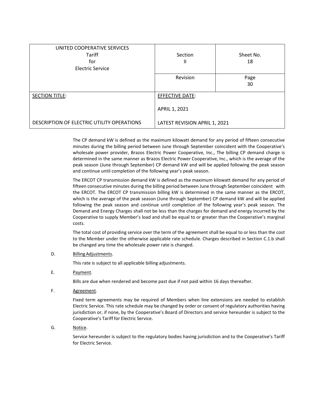| UNITED COOPERATIVE SERVICES<br><b>Tariff</b><br>for<br>Electric Service | Section<br>Ш                  | Sheet No.<br>18 |
|-------------------------------------------------------------------------|-------------------------------|-----------------|
|                                                                         | Revision                      | Page<br>30      |
| <b>SECTION TITLE:</b>                                                   | <b>EFFECTIVE DATE:</b>        |                 |
|                                                                         | APRIL 1, 2021                 |                 |
| DESCRIPTION OF ELECTRIC UTILITY OPERATIONS                              | LATEST REVISION APRIL 1, 2021 |                 |

The CP demand kW is defined as the maximum kilowatt demand for any period of fifteen consecutive minutes during the billing period between June through September coincident with the Cooperative's wholesale power provider, Brazos Electric Power Cooperative, Inc., The billing CP demand charge is determined in the same manner as Brazos Electric Power Cooperative, Inc., which is the average of the peak season (June through September) CP demand kW and will be applied following the peak season and continue until completion of the following year's peak season.

The ERCOT CP transmission demand kW is defined as the maximum kilowatt demand for any period of fifteen consecutive minutes during the billing period between June through September coincident with the ERCOT. The ERCOT CP transmission billing kW is determined in the same manner as the ERCOT, which is the average of the peak season (June through September) CP demand kW and will be applied following the peak season and continue until completion of the following year's peak season. The Demand and Energy Charges shall not be less than the charges for demand and energy incurred by the Cooperative to supply Member's load and shall be equal to or greater than the Cooperative's marginal costs.

The total cost of providing service over the term of the agreement shall be equal to or less than the cost to the Member under the otherwise applicable rate schedule. Charges described in Section C.1.b shall be changed any time the wholesale power rate is changed.

D. BillingAdjustments.

This rate is subject to all applicable billing adjustments.

E. Payment.

Bills are due when rendered and become past due if not paid within 16 days thereafter.

F. Agreement.

Fixed term agreements may be required of Members when line extensions are needed to establish Electric Service. This rate schedule may be changed by order or consent of regulatory authorities having jurisdiction or, if none, by the Cooperative's Board of Directors and service hereunder is subject to the Cooperative's Tariff for Electric Service.

G. Notice.

Service hereunder is subject to the regulatory bodies having jurisdiction and to the Cooperative's Tariff for Electric Service.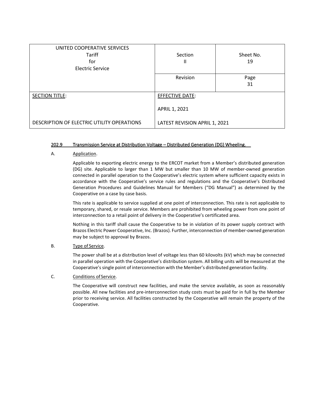| UNITED COOPERATIVE SERVICES<br>Tariff<br>for<br>Electric Service | Section<br>н                  | Sheet No.<br>19 |
|------------------------------------------------------------------|-------------------------------|-----------------|
|                                                                  | Revision                      | Page<br>31      |
| SECTION TITLE:                                                   | <b>EFFECTIVE DATE:</b>        |                 |
|                                                                  | APRIL 1, 2021                 |                 |
| DESCRIPTION OF ELECTRIC UTILITY OPERATIONS                       | LATEST REVISION APRIL 1, 2021 |                 |

## 202.9 Transmission Service at Distribution Voltage – Distributed Generation (DG) Wheeling.

<span id="page-30-0"></span>A. Application.

Applicable to exporting electric energy to the ERCOT market from a Member's distributed generation (DG) site. Applicable to larger than 1 MW but smaller than 10 MW of member-owned generation connected in parallel operation to the Cooperative's electric system where sufficient capacity exists in accordance with the Cooperative's service rules and regulations and the Cooperative's Distributed Generation Procedures and Guidelines Manual for Members ("DG Manual") as determined by the Cooperative on a case by case basis.

This rate is applicable to service supplied at one point of interconnection. This rate is not applicable to temporary, shared, or resale service. Members are prohibited from wheeling power from one point of interconnection to a retail point of delivery in the Cooperative's certificated area.

Nothing in this tariff shall cause the Cooperative to be in violation of its power supply contract with Brazos Electric Power Cooperative, Inc. (Brazos). Further, interconnection of member-owned generation may be subject to approval by Brazos.

#### B. Type of Service.

The power shall be at a distribution level of voltage less than 60 kilovolts (kV) which may be connected in parallel operation with the Cooperative's distribution system. All billing units will be measured at the Cooperative's single point of interconnection with the Member's distributed generation facility.

C. Conditions of Service.

The Cooperative will construct new facilities, and make the service available, as soon as reasonably possible. All new facilities and pre-interconnection study costs must be paid for in full by the Member prior to receiving service. All facilities constructed by the Cooperative will remain the property of the Cooperative.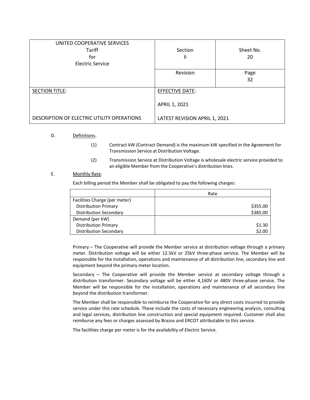| UNITED COOPERATIVE SERVICES<br><b>Tariff</b><br>for<br>Electric Service | Section<br>Ш                  | Sheet No.<br>20 |
|-------------------------------------------------------------------------|-------------------------------|-----------------|
|                                                                         | Revision                      | Page<br>32      |
| <b>SECTION TITLE:</b>                                                   | <b>EFFECTIVE DATE:</b>        |                 |
|                                                                         | APRIL 1, 2021                 |                 |
| DESCRIPTION OF ELECTRIC UTILITY OPERATIONS                              | LATEST REVISION APRIL 1, 2021 |                 |

- D. Definitions.
	- (1) Contract kW (Contract Demand) is the maximum kW specified in the Agreement for Transmission Service at Distribution Voltage.
	- (2) Transmission Service at Distribution Voltage is wholesale electric service provided to an eligible Member from the Cooperative's distribution lines.

## E. Monthly Rate.

Each billing period the Member shall be obligated to pay the following charges:

|                               | Rate     |
|-------------------------------|----------|
| Facilities Charge (per meter) |          |
| <b>Distribution Primary</b>   | \$355.00 |
| <b>Distribution Secondary</b> | \$385.00 |
| Demand (per kW)               |          |
| <b>Distribution Primary</b>   | \$1.30   |
| Distribution Secondary        | \$2.00   |

Primary – The Cooperative will provide the Member service at distribution voltage through a primary meter. Distribution voltage will be either 12.5kV or 25kV three-phase service. The Member will be responsible for the installation, operations and maintenance of all distribution line, secondary line and equipment beyond the primary meter location.

Secondary – The Cooperative will provide the Member service at secondary voltage through a distribution transformer. Secondary voltage will be either 4,160V or 480V three-phase service. The Member will be responsible for the installation, operations and maintenance of all secondary line beyond the distribution transformer.

The Member shall be responsible to reimburse the Cooperative for any direct costs incurred to provide service under this rate schedule. These include the costs of necessary engineering analysis, consulting and legal services, distribution line construction and special equipment required. Customer shall also reimburse any fees or charges assessed by Brazos and ERCOT attributable to this service.

The facilities charge per meter is for the availability of Electric Service.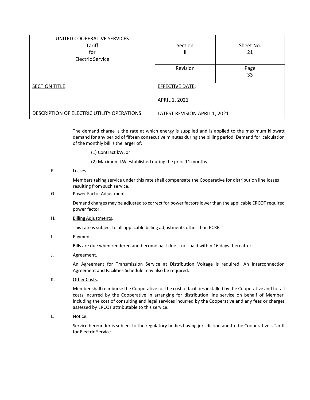| UNITED COOPERATIVE SERVICES<br>Tariff<br>for<br>Electric Service | Section<br>Ш                  | Sheet No.<br>21 |
|------------------------------------------------------------------|-------------------------------|-----------------|
|                                                                  | Revision                      | Page<br>33      |
| SECTION TITLE:                                                   | <b>EFFECTIVE DATE:</b>        |                 |
|                                                                  | APRIL 1, 2021                 |                 |
| DESCRIPTION OF ELECTRIC UTILITY OPERATIONS                       | LATEST REVISION APRIL 1, 2021 |                 |

The demand charge is the rate at which energy is supplied and is applied to the maximum kilowatt demand for any period of fifteen consecutive minutes during the billing period. Demand for calculation of the monthly bill is the larger of:

(1) Contract kW, or

(2) Maximum kW established during the prior 11 months.

#### F. Losses.

Members taking service under this rate shall compensate the Cooperative for distribution line losses resulting from such service.

#### G. Power Factor Adjustment.

Demand charges may be adjusted to correct for power factors lower than the applicable ERCOT required power factor.

#### H. BillingAdjustments.

This rate is subject to all applicable billing adjustments other than PCRF.

I. Payment.

Bills are due when rendered and become past due if not paid within 16 days thereafter.

J. **Agreement.** 

An Agreement for Transmission Service at Distribution Voltage is required. An Interconnection Agreement and Facilities Schedule may also be required.

K. Other Costs.

Member shall reimburse the Cooperative for the cost of facilities installed by the Cooperative and for all costs incurred by the Cooperative in arranging for distribution line service on behalf of Member, including the cost of consulting and legal services incurred by the Cooperative and any fees or charges assessed by ERCOT attributable to this service.

L. Notice.

Service hereunder is subject to the regulatory bodies having jurisdiction and to the Cooperative's Tariff for Electric Service.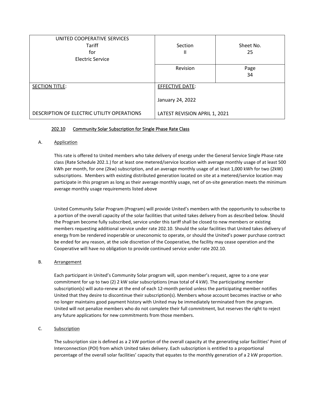| UNITED COOPERATIVE SERVICES<br><b>Tariff</b><br>for<br>Electric Service | Section<br>Ш                  | Sheet No.<br>25 |
|-------------------------------------------------------------------------|-------------------------------|-----------------|
|                                                                         | Revision                      | Page<br>34      |
| <b>SECTION TITLE:</b>                                                   | <b>EFFECTIVE DATE:</b>        |                 |
|                                                                         | January 24, 2022              |                 |
| DESCRIPTION OF ELECTRIC UTILITY OPERATIONS                              | LATEST REVISION APRIL 1, 2021 |                 |

## 202.10 Community Solar Subscription for Single Phase Rate Class

#### <span id="page-33-0"></span>A. Application

This rate is offered to United members who take delivery of energy under the General Service Single Phase rate class (Rate Schedule 202.1.) for at least one metered/service location with average monthly usage of at least 500 kWh per month, for one (2kw) subscription, and an average monthly usage of at least 1,000 kWh for two (2kW) subscriptions. Members with existing distributed generation located on site at a metered/service location may participate in this program as long as their average monthly usage, net of on-site generation meets the minimum average monthly usage requirements listed above

United Community Solar Program (Program) will provide United's members with the opportunity to subscribe to a portion of the overall capacity of the solar facilities that united takes delivery from as described below. Should the Program become fully subscribed, service under this tariff shall be closed to new members or existing members requesting additional service under rate 202.10. Should the solar facilities that United takes delivery of energy from be rendered inoperable or uneconomic to operate, or should the United's power purchase contract be ended for any reason, at the sole discretion of the Cooperative, the facility may cease operation and the Cooperative will have no obligation to provide continued service under rate 202.10.

#### B. Arrangement

Each participant in United's Community Solar program will, upon member's request, agree to a one year commitment for up to two (2) 2 kW solar subscriptions (max total of 4 kW). The participating member subscription(s) will auto-renew at the end of each 12-month period unless the participating member notifies United that they desire to discontinue their subscription(s). Members whose account becomes inactive or who no longer maintains good payment history with United may be immediately terminated from the program. United will not penalize members who do not complete their full commitment, but reserves the right to reject any future applications for new commitments from those members.

#### C. Subscription

The subscription size is defined as a 2 kW portion of the overall capacity at the generating solar facilities' Point of Interconnection (POI) from which United takes delivery. Each subscription is entitled to a proportional percentage of the overall solar facilities' capacity that equates to the monthly generation of a 2 kW proportion.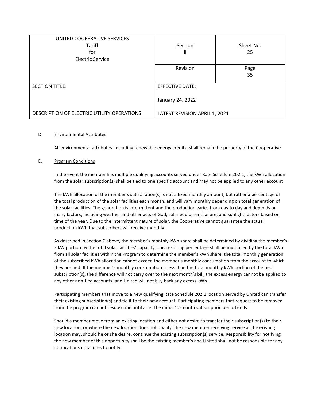| UNITED COOPERATIVE SERVICES<br><b>Tariff</b><br>for<br>Electric Service | Section<br>Ш                               | Sheet No.<br>25 |
|-------------------------------------------------------------------------|--------------------------------------------|-----------------|
|                                                                         | Revision                                   | Page<br>35      |
| <b>SECTION TITLE:</b>                                                   | <b>EFFECTIVE DATE:</b><br>January 24, 2022 |                 |
|                                                                         |                                            |                 |
| DESCRIPTION OF ELECTRIC UTILITY OPERATIONS                              | LATEST REVISION APRIL 1, 2021              |                 |

#### D. Environmental Attributes

All environmental attributes, including renewable energy credits, shall remain the property of the Cooperative.

#### E. Program Conditions

In the event the member has multiple qualifying accounts served under Rate Schedule 202.1, the kWh allocation from the solar subscription(s) shall be tied to one specific account and may not be applied to any other account

The kWh allocation of the member's subscription(s) is not a fixed monthly amount, but rather a percentage of the total production of the solar facilities each month, and will vary monthly depending on total generation of the solar facilities. The generation is intermittent and the production varies from day to day and depends on many factors, including weather and other acts of God, solar equipment failure, and sunlight factors based on time of the year. Due to the intermittent nature of solar, the Cooperative cannot guarantee the actual production kWh that subscribers will receive monthly.

As described in Section C above, the member's monthly kWh share shall be determined by dividing the member's 2 kW portion by the total solar facilities' capacity. This resulting percentage shall be multiplied by the total kWh from all solar facilities within the Program to determine the member's kWh share. the total monthly generation of the subscribed kWh allocation cannot exceed the member's monthly consumption from the account to which they are tied. If the member's monthly consumption is less than the total monthly kWh portion of the tied subscription(s), the difference will not carry over to the next month's bill, the excess energy cannot be applied to any other non-tied accounts, and United will not buy back any excess kWh.

Participating members that move to a new qualifying Rate Schedule 202.1 location served by United can transfer their existing subscription(s) and tie it to their new account. Participating members that request to be removed from the program cannot resubscribe until after the initial 12-month subscription period ends.

Should a member move from an existing location and either not desire to transfer their subscription(s) to their new location, or where the new location does not qualify, the new member receiving service at the existing location may, should he or she desire, continue the existing subscription(s) service. Responsibility for notifying the new member of this opportunity shall be the existing member's and United shall not be responsible for any notifications or failures to notify.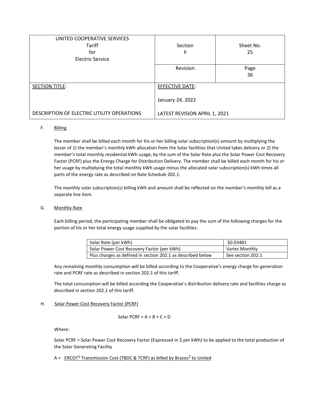| UNITED COOPERATIVE SERVICES<br><b>Tariff</b><br>for<br>Electric Service | Section<br>Ш                               | Sheet No.<br>25 |
|-------------------------------------------------------------------------|--------------------------------------------|-----------------|
|                                                                         | Revision                                   | Page<br>36      |
| <b>SECTION TITLE:</b>                                                   | <b>EFFECTIVE DATE:</b><br>January 24, 2022 |                 |
|                                                                         |                                            |                 |
| DESCRIPTION OF ELECTRIC UTILITY OPERATIONS                              | LATEST REVISION APRIL 1, 2021              |                 |

## F. Billing

The member shall be billed each month for his or her billing solar subscription(s) amount by multiplying the lesser of 1) the member's monthly kWh allocation from the Solar facilities that United takes delivery or 2) the member's total monthly residential kWh usage, by the sum of the Solar Rate plus the Solar Power Cost Recovery Factor (PCRF) plus the Energy Charge for Distribution Delivery. The member shall be billed each month for his or her usage by multiplying the total monthly kWh usage minus the allocated solar subscription(s) kWh times all parts of the energy rate as described on Rate Schedule 202.1.

The monthly solar subscription(s) billing kWh and amount shall be reflected on the member's monthly bill as a separate line item.

#### G. Monthly Rate

Each billing period, the participating member shall be obligated to pay the sum of the following charges for the portion of his or her total energy usage supplied by the solar facilities.

| Solar Rate (per kWh)                                        | \$0.03481         |
|-------------------------------------------------------------|-------------------|
| Solar Power Cost Recovery Factor (per kWh)                  | Varies Monthly    |
| Plus charges as defined in section 202.1 as described below | See section 202.1 |

Any remaining monthly consumption will be billed according to the Cooperative's energy charge for generation rate and PCRF rate as described in section 202.1 of this tariff.

The total consumption will be billed according the Cooperative's distribution delivery rate and facilities charge as described in section 202.1 of this tariff.

## H. Solar Power Cost Recovery Factor (PCRF)

$$
Solar PCRF = A + B + C + D
$$

Where:

Solar PCRF = Solar Power Cost Recovery Factor (Expressed in \$ per kWh) to be applied to the total production of the Solar Generating Facility

## A =  $ERCOT<sup>1</sup>$  Transmission Cost (TBDC & TCRF) as billed by Brazos<sup>2</sup> to United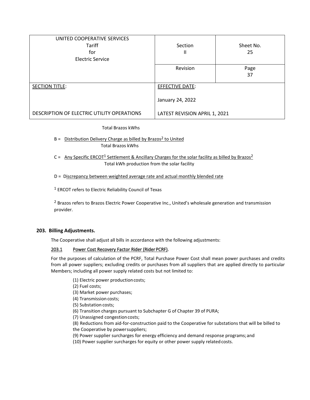| UNITED COOPERATIVE SERVICES<br>Tariff<br>for<br>Electric Service | Section<br>Ш                  | Sheet No.<br>25 |
|------------------------------------------------------------------|-------------------------------|-----------------|
|                                                                  | Revision                      | Page<br>37      |
| SECTION TITLE:                                                   | <b>EFFECTIVE DATE:</b>        |                 |
|                                                                  | January 24, 2022              |                 |
| DESCRIPTION OF ELECTRIC UTILITY OPERATIONS                       | LATEST REVISION APRIL 1, 2021 |                 |

#### Total Brazos kWhs

- $B =$  Distribution Delivery Charge as billed by Brazos<sup>2</sup> to United Total Brazos kWhs
- C = Any Specific ERCOT<sup>1</sup> Settlement & Ancillary Charges for the solar facility as billed by Brazos<sup>2</sup> Total kWh production from the solar facility

# D = Discrepancy between weighted average rate and actual monthly blended rate

<sup>1</sup> ERCOT refers to Electric Reliability Council of Texas

<sup>2</sup> Brazos refers to Brazos Electric Power Cooperative Inc., United's wholesale generation and transmission provider.

#### **203. Billing Adjustments.**

The Cooperative shall adjust all bills in accordance with the following adjustments:

# 203.1 Power Cost Recovery Factor Rider (Rider PCRF).

For the purposes of calculation of the PCRF, Total Purchase Power Cost shall mean power purchases and credits from all power suppliers; excluding credits or purchases from all suppliers that are applied directly to particular Members; including all power supply related costs but not limited to:

- (1) Electric power productioncosts;
- (2) Fuel costs;
- (3) Market power purchases;
- (4) Transmission costs;
- (5) Substation costs;
- (6) Transition charges pursuant to Subchapter G of Chapter 39 of PURA;
- (7) Unassigned congestion costs;
- (8) Reductions from aid-for-construction paid to the Cooperative for substations that will be billed to the Cooperative by powersuppliers;
- (9) Power supplier surcharges for energy efficiency and demand response programs;and
- (10) Power supplier surcharges for equity or other power supply related costs.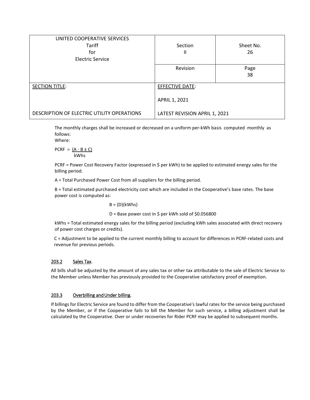| UNITED COOPERATIVE SERVICES<br>Tariff<br>for<br><b>Electric Service</b> | Section<br>Ш                                   | Sheet No.<br>26 |
|-------------------------------------------------------------------------|------------------------------------------------|-----------------|
|                                                                         | Revision                                       | Page<br>38      |
| <b>SECTION TITLE:</b>                                                   | <b>EFFECTIVE DATE:</b>                         |                 |
| DESCRIPTION OF ELECTRIC UTILITY OPERATIONS                              | APRIL 1, 2021<br>LATEST REVISION APRIL 1, 2021 |                 |

The monthly charges shall be increased or decreased on a uniform per-kWh basis computed monthly as follows:

Where:

 $PCRF = (A - B \pm C)$ kWhs

PCRF = Power Cost Recovery Factor (expressed in \$ per kWh) to be applied to estimated energy sales for the billing period.

A = Total Purchased Power Cost from all suppliers for the billing period.

B = Total estimated purchased electricity cost which are included in the Cooperative's base rates. The base power cost is computed as:

 $B = (D)(kWhs)$ 

 $D =$  Base power cost in \$ per kWh sold of \$0.056800

kWhs = Total estimated energy sales for the billing period (excluding kWh sales associated with direct recovery of power cost charges or credits).

C = Adjustment to be applied to the current monthly billing to account for differences in PCRF-related costs and revenue for previous periods.

# 203.2 Sales Tax.

All bills shall be adjusted by the amount of any sales tax or other tax attributable to the sale of Electric Service to the Member unless Member has previously provided to the Cooperative satisfactory proof of exemption.

#### 203.3 Overbilling and Under billing.

If billings for Electric Service are found to differ from the Cooperative's lawful rates for the service being purchased by the Member, or if the Cooperative fails to bill the Member for such service, a billing adjustment shall be calculated by the Cooperative. Over or under recoveries for Rider PCRF may be applied to subsequent months.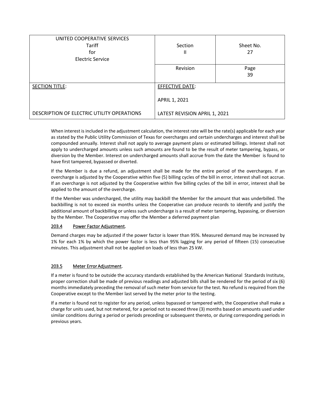| UNITED COOPERATIVE SERVICES<br><b>Tariff</b><br>for<br>Electric Service | Section<br>н                  | Sheet No.<br>27 |
|-------------------------------------------------------------------------|-------------------------------|-----------------|
|                                                                         | Revision                      | Page<br>39      |
| <b>SECTION TITLE:</b>                                                   | <b>EFFECTIVE DATE:</b>        |                 |
|                                                                         | APRIL 1, 2021                 |                 |
| DESCRIPTION OF ELECTRIC UTILITY OPERATIONS                              | LATEST REVISION APRIL 1, 2021 |                 |

When interest is included in the adjustment calculation, the interest rate will be the rate(s) applicable for each year as stated by the Public Utility Commission of Texas for overcharges and certain undercharges and interest shall be compounded annually. Interest shall not apply to average payment plans or estimated billings. Interest shall not apply to undercharged amounts unless such amounts are found to be the result of meter tampering, bypass, or diversion by the Member. Interest on undercharged amounts shall accrue from the date the Member is found to have first tampered, bypassed or diverted.

If the Member is due a refund, an adjustment shall be made for the entire period of the overcharges. If an overcharge is adjusted by the Cooperative within five (5) billing cycles of the bill in error, interest shall not accrue. If an overcharge is not adjusted by the Cooperative within five billing cycles of the bill in error, interest shall be applied to the amount of the overcharge.

If the Member was undercharged, the utility may backbill the Member for the amount that was underbilled. The backbilling is not to exceed six months unless the Cooperative can produce records to identify and justify the additional amount of backbilling or unless such undercharge is a result of meter tampering, bypassing, or diversion by the Member. The Cooperative may offer the Member a deferred payment plan

# 203.4 Power Factor Adjustment.

Demand charges may be adjusted if the power factor is lower than 95%. Measured demand may be increased by 1% for each 1% by which the power factor is less than 95% lagging for any period of fifteen (15) consecutive minutes. This adjustment shall not be applied on loads of less than 25 kW.

# 203.5 Meter Error Adjustment.

If a meter is found to be outside the accuracy standards established by the American National Standards Institute, proper correction shall be made of previous readings and adjusted bills shall be rendered for the period of six (6) months immediately preceding the removal of such meter from service for the test. No refund is required from the Cooperative except to the Member last served by the meter prior to the testing.

If a meter is found not to register for any period, unless bypassed or tampered with, the Cooperative shall make a charge for units used, but not metered, for a period not to exceed three (3) months based on amounts used under similar conditions during a period or periods preceding or subsequent thereto, or during corresponding periods in previous years.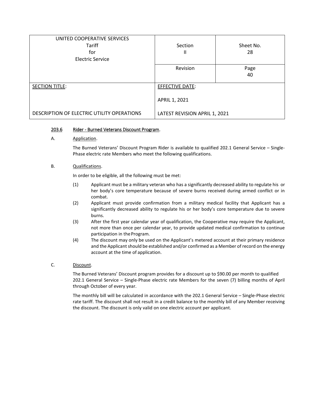| UNITED COOPERATIVE SERVICES<br><b>Tariff</b><br>for<br>Electric Service | Section<br>Ш                  | Sheet No.<br>28 |
|-------------------------------------------------------------------------|-------------------------------|-----------------|
|                                                                         | Revision                      | Page<br>40      |
| <b>SECTION TITLE:</b>                                                   | <b>EFFECTIVE DATE:</b>        |                 |
|                                                                         | APRIL 1, 2021                 |                 |
| DESCRIPTION OF ELECTRIC UTILITY OPERATIONS                              | LATEST REVISION APRIL 1, 2021 |                 |

#### 203.6 Rider ‐ Burned Veterans Discount Program.

A. Application.

The Burned Veterans' Discount Program Rider is available to qualified 202.1 General Service – Single-Phase electric rate Members who meet the following qualifications.

#### B. Qualifications.

In order to be eligible, all the following must be met:

- (1) Applicant must be a military veteran who has a significantly decreased ability to regulate his or her body's core temperature because of severe burns received during armed conflict or in combat.
- (2) Applicant must provide confirmation from a military medical facility that Applicant has a significantly decreased ability to regulate his or her body's core temperature due to severe burns.
- (3) After the first year calendar year of qualification, the Cooperative may require the Applicant, not more than once per calendar year, to provide updated medical confirmation to continue participation in the Program.
- (4) The discount may only be used on the Applicant's metered account at their primary residence and the Applicant should be established and/or confirmed as a Member of record on the energy account at the time of application.
- C. Discount.

The Burned Veterans' Discount program provides for a discount up to \$90.00 per month to qualified 202.1 General Service – Single-Phase electric rate Members for the seven (7) billing months of April through October of every year.

The monthly bill will be calculated in accordance with the 202.1 General Service – Single-Phase electric rate tariff. The discount shall not result in a credit balance to the monthly bill of any Member receiving the discount. The discount is only valid on one electric account per applicant.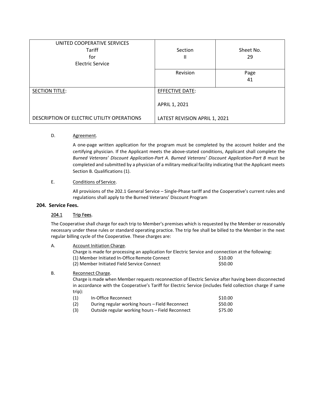| UNITED COOPERATIVE SERVICES<br><b>Tariff</b><br>for<br>Electric Service | Section<br>Ш                  | Sheet No.<br>29 |
|-------------------------------------------------------------------------|-------------------------------|-----------------|
|                                                                         | Revision                      | Page<br>41      |
| <b>SECTION TITLE:</b>                                                   | <b>EFFECTIVE DATE:</b>        |                 |
|                                                                         | APRIL 1, 2021                 |                 |
| DESCRIPTION OF ELECTRIC UTILITY OPERATIONS                              | LATEST REVISION APRIL 1, 2021 |                 |

#### D. **Agreement.**

A one-page written application for the program must be completed by the account holder and the certifying physician. If the Applicant meets the above-stated conditions, Applicant shall complete the *Burned Veterans' Discount Application‐Part A*. *Burned Veterans' Discount Application‐Part B* must be completed and submitted by a physician of a military medical facility indicating that the Applicant meets Section B. Qualifications (1).

# E. Conditions of Service.

All provisions of the 202.1 General Service – Single-Phase tariff and the Cooperative's current rules and regulations shall apply to the Burned Veterans' Discount Program

#### **204. Service Fees.**

# 204.1 Trip Fees.

The Cooperative shall charge for each trip to Member's premises which is requested by the Member or reasonably necessary under these rules or standard operating practice. The trip fee shall be billed to the Member in the next regular billing cycle of the Cooperative. These charges are:

| A. | Account Initiation Charge.                                                                         |         |
|----|----------------------------------------------------------------------------------------------------|---------|
|    | Charge is made for processing an application for Electric Service and connection at the following: |         |
|    | (1) Member Initiated In-Office Remote Connect                                                      | \$10.00 |
|    | (2) Member Initiated Field Service Connect                                                         | \$50.00 |
|    |                                                                                                    |         |

#### B. Reconnect Charge.

Charge is made when Member requests reconnection of Electric Service after having been disconnected in accordance with the Cooperative's Tariff for Electric Service (includes field collection charge if same trip):

| (1) | In-Office Reconnect                             | \$10.00 |
|-----|-------------------------------------------------|---------|
| (2) | During regular working hours – Field Reconnect  | \$50.00 |
| (3) | Outside regular working hours - Field Reconnect | \$75.00 |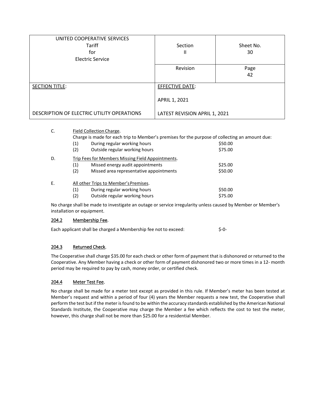| UNITED COOPERATIVE SERVICES<br>Tariff<br>for<br>Electric Service | Section<br>Ш                  | Sheet No.<br>30 |
|------------------------------------------------------------------|-------------------------------|-----------------|
|                                                                  | Revision                      | Page<br>42      |
| <b>SECTION TITLE:</b>                                            | <b>EFFECTIVE DATE:</b>        |                 |
|                                                                  | APRIL 1, 2021                 |                 |
| DESCRIPTION OF ELECTRIC UTILITY OPERATIONS                       | LATEST REVISION APRIL 1, 2021 |                 |

| C. |     | Field Collection Charge.                                                                       |         |  |  |
|----|-----|------------------------------------------------------------------------------------------------|---------|--|--|
|    |     | Charge is made for each trip to Member's premises for the purpose of collecting an amount due: |         |  |  |
|    | (1) | During regular working hours                                                                   | \$50.00 |  |  |
|    | (2) | Outside regular working hours                                                                  | \$75.00 |  |  |
| D. |     | Trip Fees for Members Missing Field Appointments.                                              |         |  |  |
|    | (1) | Missed energy audit appointments                                                               | \$25.00 |  |  |
|    | (2) | Missed area representative appointments                                                        | \$50.00 |  |  |
| Ε. |     | All other Trips to Member's Premises.                                                          |         |  |  |
|    | (1) | During regular working hours                                                                   | \$50.00 |  |  |
|    | (2) | Outside regular working hours                                                                  | \$75.00 |  |  |
|    |     |                                                                                                |         |  |  |

No charge shall be made to investigate an outage or service irregularity unless caused by Member or Member's installation or equipment.

# 204.2 Membership Fee.

|  | Each applicant shall be charged a Membership fee not to exceed: | $S - 0 -$ |
|--|-----------------------------------------------------------------|-----------|
|--|-----------------------------------------------------------------|-----------|

# 204.3 Returned Check.

The Cooperative shall charge \$35.00 for each check or other form of payment that is dishonored or returned to the Cooperative. Any Member having a check or other form of payment dishonored two or more times in a 12- month period may be required to pay by cash, money order, or certified check.

# 204.4 Meter Test Fee.

No charge shall be made for a meter test except as provided in this rule. If Member's meter has been tested at Member's request and within a period of four (4) years the Member requests a new test, the Cooperative shall perform the test but if the meter is found to be within the accuracy standards established by the American National Standards Institute, the Cooperative may charge the Member a fee which reflects the cost to test the meter, however, this charge shall not be more than \$25.00 for a residential Member.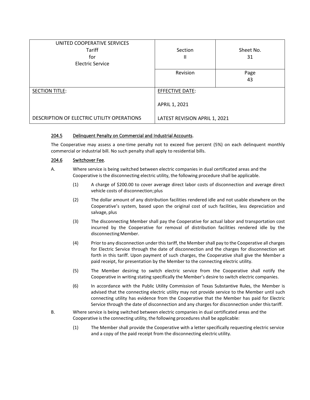| UNITED COOPERATIVE SERVICES<br><b>Tariff</b><br>for<br>Electric Service | Section<br>Ш                  | Sheet No.<br>31 |
|-------------------------------------------------------------------------|-------------------------------|-----------------|
|                                                                         | Revision                      | Page<br>43      |
| <b>SECTION TITLE:</b>                                                   | <b>EFFECTIVE DATE:</b>        |                 |
|                                                                         | APRIL 1, 2021                 |                 |
| DESCRIPTION OF ELECTRIC UTILITY OPERATIONS                              | LATEST REVISION APRIL 1, 2021 |                 |

# 204.5 Delinquent Penalty on Commercial and Industrial Accounts.

The Cooperative may assess a one-time penalty not to exceed five percent (5%) on each delinquent monthly commercial or industrial bill. No such penalty shall apply to residential bills.

#### 204.6 Switchover Fee.

- A. Where service is being switched between electric companies in dual certificated areas and the Cooperative is the disconnecting electric utility, the following procedure shall be applicable.
	- (1) A charge of \$200.00 to cover average direct labor costs of disconnection and average direct vehicle costs of disconnection;plus
	- (2) The dollar amount of any distribution facilities rendered idle and not usable elsewhere on the Cooperative's system, based upon the original cost of such facilities, less depreciation and salvage, plus
	- (3) The disconnecting Member shall pay the Cooperative for actual labor and transportation cost incurred by the Cooperative for removal of distribution facilities rendered idle by the disconnecting Member.
	- (4) Prior to any disconnection under this tariff, the Member shall pay to the Cooperative all charges for Electric Service through the date of disconnection and the charges for disconnection set forth in this tariff. Upon payment of such charges, the Cooperative shall give the Member a paid receipt, for presentation by the Member to the connecting electric utility.
	- (5) The Member desiring to switch electric service from the Cooperative shall notify the Cooperative in writing stating specifically the Member's desire to switch electric companies.
	- (6) In accordance with the Public Utility Commission of Texas Substantive Rules, the Member is advised that the connecting electric utility may not provide service to the Member until such connecting utility has evidence from the Cooperative that the Member has paid for Electric Service through the date of disconnection and any charges for disconnection under thistariff.
- B. Where service is being switched between electric companies in dual certificated areas and the Cooperative is the connecting utility, the following procedures shall be applicable:
	- (1) The Member shall provide the Cooperative with a letter specifically requesting electric service and a copy of the paid receipt from the disconnecting electric utility.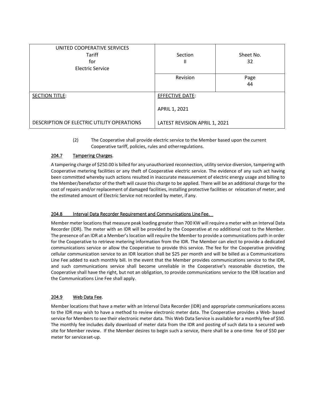| UNITED COOPERATIVE SERVICES<br><b>Tariff</b><br>for<br><b>Electric Service</b> | Section<br>Ш                  | Sheet No.<br>32 |
|--------------------------------------------------------------------------------|-------------------------------|-----------------|
|                                                                                | Revision                      | Page<br>44      |
| SECTION TITLE:                                                                 | <b>EFFECTIVE DATE:</b>        |                 |
|                                                                                | APRIL 1, 2021                 |                 |
| DESCRIPTION OF ELECTRIC UTILITY OPERATIONS                                     | LATEST REVISION APRIL 1, 2021 |                 |

(2) The Cooperative shall provide electric service to the Member based upon the current Cooperative tariff, policies, rules and otherregulations.

# 204.7 Tampering Charges.

A tampering charge of \$250.00 is billed for any unauthorized reconnection, utility service diversion, tampering with Cooperative metering facilities or any theft of Cooperative electric service. The evidence of any such act having been committed whereby such actions resulted in inaccurate measurement of electric energy usage and billing to the Member/benefactor of the theft will cause this charge to be applied. There will be an additional charge for the cost of repairs and/or replacement of damaged facilities, installing protective facilities or relocation of meter, and the estimated amount of Electric Service not recorded by meter, if any.

# 204.8 Interval Data Recorder Requirement and Communications Line Fee.

Member meter locations that measure peak loading greater than 700 KW will require a meter with an Interval Data Recorder (IDR). The meter with an IDR will be provided by the Cooperative at no additional cost to the Member. The presence of an IDR at a Member's location will require the Member to provide a communications path in order for the Cooperative to retrieve metering information from the IDR. The Member can elect to provide a dedicated communications service or allow the Cooperative to provide this service. The fee for the Cooperative providing cellular communication service to an IDR location shall be \$25 per month and will be billed as a Communications Line Fee added to each monthly bill. In the event that the Member provides communications service to the IDR, and such communications service shall become unreliable in the Cooperative's reasonable discretion, the Cooperative shall have the right, but not an obligation, to provide communications service to the IDR location and the Communications Line Fee shall apply.

# 204.9 Web Data Fee.

Member locations that have a meter with an Interval Data Recorder (IDR) and appropriate communications access to the IDR may wish to have a method to review electronic meter data. The Cooperative provides a Web- based service for Members to see their electronic meter data. This Web Data Service is available for a monthly fee of \$50. The monthly fee includes daily download of meter data from the IDR and posting of such data to a secured web site for Member review. If the Member desires to begin such a service, there shall be a one-time fee of \$50 per meter for serviceset-up.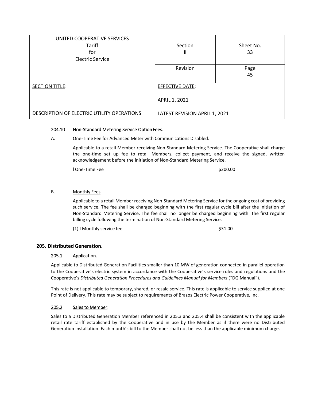| UNITED COOPERATIVE SERVICES<br>Tariff<br>for<br>Electric Service | Section<br>$\mathsf{I}$       | Sheet No.<br>33 |
|------------------------------------------------------------------|-------------------------------|-----------------|
|                                                                  | Revision                      | Page<br>45      |
| SECTION TITLE:                                                   | <b>EFFECTIVE DATE:</b>        |                 |
|                                                                  | APRIL 1, 2021                 |                 |
| DESCRIPTION OF ELECTRIC UTILITY OPERATIONS                       | LATEST REVISION APRIL 1, 2021 |                 |

# 204.10 Non-Standard Metering Service Option Fees.

# A. One-Time Fee for Advanced Meter with Communications Disabled.

Applicable to a retail Member receiving Non-Standard Metering Service. The Cooperative shall charge the one-time set up fee to retail Members, collect payment, and receive the signed, written acknowledgement before the initiation of Non-Standard Metering Service.

l One-Time Fee \$200.00

#### B. Monthly Fees.

Applicable to a retail Member receiving Non-Standard Metering Service for the ongoing cost of providing such service. The fee shall be charged beginning with the first regular cycle bill after the initiation of Non-Standard Metering Service. The fee shall no longer be charged beginning with the first regular billing cycle following the termination of Non-Standard Metering Service.

 $(1)$  I Monthly service fee  $$31.00$ 

#### **205. Distributed Generation**.

#### 205.1 Application.

Applicable to Distributed Generation Facilities smaller than 10 MW of generation connected in parallel operation to the Cooperative's electric system in accordance with the Cooperative's service rules and regulations and the Cooperative's *Distributed Generation Procedures and Guidelines Manual for Members* ("DG Manual").

This rate is not applicable to temporary, shared, or resale service. This rate is applicable to service supplied at one Point of Delivery. This rate may be subject to requirements of Brazos Electric Power Cooperative, Inc.

#### 205.2 Sales to Member.

Sales to a Distributed Generation Member referenced in 205.3 and 205.4 shall be consistent with the applicable retail rate tariff established by the Cooperative and in use by the Member as if there were no Distributed Generation installation. Each month's bill to the Member shall not be less than the applicable minimum charge.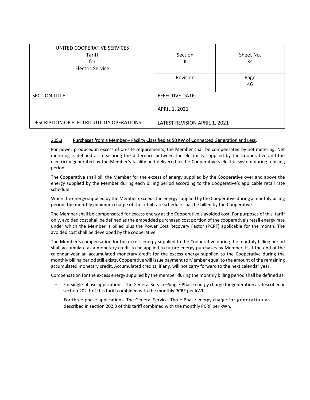| UNITED COOPERATIVE SERVICES<br><b>Tariff</b><br>for<br><b>Electric Service</b> | Section<br>Ш                                   | Sheet No.<br>34 |
|--------------------------------------------------------------------------------|------------------------------------------------|-----------------|
|                                                                                | Revision                                       | Page<br>46      |
| SECTION TITLE:                                                                 | <b>EFFECTIVE DATE:</b>                         |                 |
| DESCRIPTION OF ELECTRIC UTILITY OPERATIONS                                     | APRIL 1, 2021<br>LATEST REVISION APRIL 1, 2021 |                 |

# 205.3 Purchases from a Member – Facility Classified as 50 KW of Connected Generation and Less.

For power produced in excess of on-site requirements, the Member shall be compensated by net metering. Net metering is defined as measuring the difference between the electricity supplied by the Cooperative and the electricity generated by the Member's facility and delivered to the Cooperative's electric system during a billing period.

The Cooperative shall bill the Member for the excess of energy supplied by the Cooperative over and above the energy supplied by the Member during each billing period according to the Cooperative's applicable retail rate schedule.

When the energy supplied by the Member exceeds the energy supplied by the Cooperative during a monthly billing period, the monthly minimum charge of the retail rate schedule shall be billed by the Cooperative.

The Member shall be compensated for excess energy at the Cooperative's avoided cost. For purposes of this tariff only, avoided cost shall be defined as the embedded purchased cost portion of the cooperative's retail energy rate under which the Member is billed plus the Power Cost Recovery Factor (PCRF) applicable for the month. The avoided cost shall be developed by the cooperative.

The Member's compensation for the excess energy supplied to the Cooperative during the monthly billing period shall accumulate as a monetary credit to be applied to future energy purchases by Member. If at the end of the calendar year an accumulated monetary credit for the excess energy supplied to the Cooperative during the monthly billing period still exists, Cooperative will issue payment to Member equal to the amount of the remaining accumulated monetary credit. Accumulated credits, if any, will not carry forward to the next calendar year.

Compensation for the excess energy supplied by the member during the monthly billing period shall be defined as:

- For single-phase applications: The General Service–Single-Phase energy charge for generation as described in section 202.1 of this tariff combined with the monthly PCRF per kWh.
- − For three-phase applications: The General Service–Three-Phase energy charge for generation as described in section 202.3 of this tariff combined with the monthly PCRF per kWh.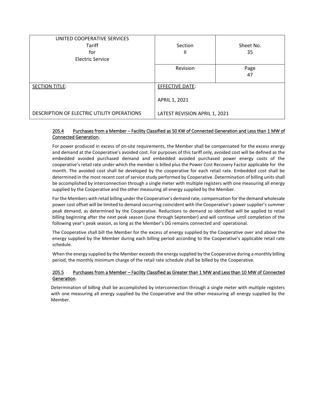| UNITED COOPERATIVE SERVICES<br><b>Tariff</b><br>for<br>Electric Service | Section<br>Ш                  | Sheet No.<br>35 |
|-------------------------------------------------------------------------|-------------------------------|-----------------|
|                                                                         | Revision                      | Page<br>47      |
| <b>SECTION TITLE:</b>                                                   | <b>EFFECTIVE DATE:</b>        |                 |
|                                                                         | APRIL 1, 2021                 |                 |
| DESCRIPTION OF ELECTRIC UTILITY OPERATIONS                              | LATEST REVISION APRIL 1, 2021 |                 |

# 205.4 Purchases from a Member – Facility Classified as 50 KW of Connected Generation and Less than 1 MW of Connected Generation.

For power produced in excess of on-site requirements, the Member shall be compensated for the excess energy and demand at the Cooperative's avoided cost. For purposes of this tariff only, avoided cost will be defined as the embedded avoided purchased demand and embedded avoided purchased power energy costs of the cooperative's retail rate under which the member is billed plus the Power Cost Recovery Factor applicable for the month. The avoided cost shall be developed by the cooperative for each retail rate. Embedded cost shall be determined in the most recent cost of service study performed by Cooperative. Determination of billing units shall be accomplished by interconnection through a single meter with multiple registers with one measuring all energy supplied by the Cooperative and the other measuring all energy supplied by the Member.

For the Members with retail billing under the Cooperative's demand rate, compensation for the demand wholesale power cost offset will be limited to demand occurring coincident with the Cooperative's power supplier's summer peak demand, as determined by the Cooperative. Reductions to demand so identified will be applied to retail billing beginning after the next peak season (June through September) and will continue until completion of the following year's peak season, as long as the Member's DG remains connected and operational.

The Cooperative shall bill the Member for the excess of energy supplied by the Cooperative over and above the energy supplied by the Member during each billing period according to the Cooperative's applicable retail rate schedule.

When the energy supplied by the Member exceeds the energy supplied by the Cooperative during a monthly billing period, the monthly minimum charge of the retail rate schedule shall be billed by the Cooperative.

# 205.5 Purchases from a Member – Facility Classified as Greater than 1 MW and Less than 10 MW of Connected Generation.

Determination of billing shall be accomplished by interconnection through a single meter with multiple registers with one measuring all energy supplied by the Cooperative and the other measuring all energy supplied by the Member.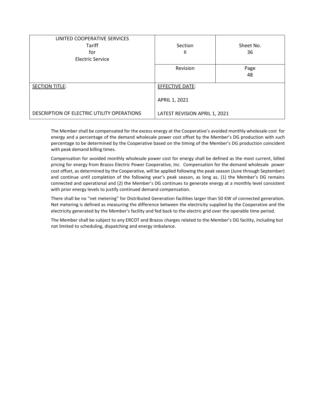| UNITED COOPERATIVE SERVICES<br><b>Tariff</b><br>for<br>Electric Service | Section<br>Ш                  | Sheet No.<br>36 |
|-------------------------------------------------------------------------|-------------------------------|-----------------|
|                                                                         | Revision                      | Page<br>48      |
| SECTION TITLE:                                                          | <b>EFFECTIVE DATE:</b>        |                 |
|                                                                         | APRIL 1, 2021                 |                 |
| DESCRIPTION OF ELECTRIC UTILITY OPERATIONS                              | LATEST REVISION APRIL 1, 2021 |                 |

The Member shall be compensated for the excess energy at the Cooperative's avoided monthly wholesale cost for energy and a percentage of the demand wholesale power cost offset by the Member's DG production with such percentage to be determined by the Cooperative based on the timing of the Member's DG production coincident with peak demand billing times.

Compensation for avoided monthly wholesale power cost for energy shall be defined as the most current, billed pricing for energy from Brazos Electric Power Cooperative, Inc. Compensation for the demand wholesale power cost offset, as determined by the Cooperative, will be applied following the peak season (June through September) and continue until completion of the following year's peak season, as long as, (1) the Member's DG remains connected and operational and (2) the Member's DG continues to generate energy at a monthly level consistent with prior energy levels to justify continued demand compensation.

There shall be no "net metering" for Distributed Generation facilities larger than 50 KW of connected generation. Net metering is defined as measuring the difference between the electricity supplied by the Cooperative and the electricity generated by the Member's facility and fed back to the electric grid over the operable time period.

The Member shall be subject to any ERCOT and Brazos charges related to the Member's DG facility, including but not limited to scheduling, dispatching and energy imbalance.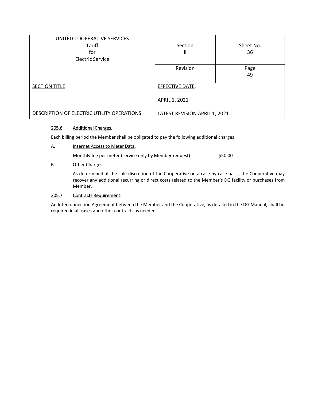| UNITED COOPERATIVE SERVICES<br><b>Tariff</b><br>for<br><b>Electric Service</b> | Section<br>Ш                  | Sheet No.<br>36 |
|--------------------------------------------------------------------------------|-------------------------------|-----------------|
|                                                                                | Revision                      | Page<br>49      |
| SECTION TITLE:                                                                 | <b>EFFECTIVE DATE:</b>        |                 |
|                                                                                | APRIL 1, 2021                 |                 |
| DESCRIPTION OF ELECTRIC UTILITY OPERATIONS                                     | LATEST REVISION APRIL 1, 2021 |                 |

# 205.6 Additional Charges.

Each billing period the Member shall be obligated to pay the following additional charges:

A. Internet Access to Meter Data.

| Monthly fee per meter (service only by Member request) | \$50.00 |
|--------------------------------------------------------|---------|
|--------------------------------------------------------|---------|

B. Other Charges.

As determined at the sole discretion of the Cooperative on a case-by-case basis, the Cooperative may recover any additional recurring or direct costs related to the Member's DG facility or purchases from Member.

# 205.7 Contracts Requirement.

An Interconnection Agreement between the Member and the Cooperative, as detailed in the DG Manual, shall be required in all cases and other contracts as needed.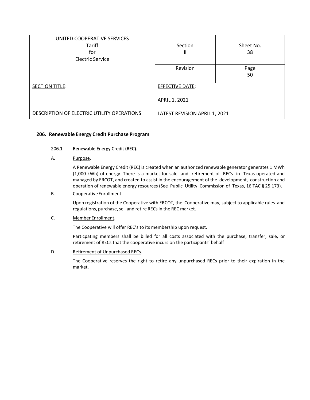| UNITED COOPERATIVE SERVICES<br>Tariff<br>for<br>Electric Service | Section<br>Ш                  | Sheet No.<br>38 |
|------------------------------------------------------------------|-------------------------------|-----------------|
|                                                                  | Revision                      | Page<br>50      |
| <b>SECTION TITLE:</b>                                            | <b>EFFECTIVE DATE:</b>        |                 |
|                                                                  | APRIL 1, 2021                 |                 |
| DESCRIPTION OF ELECTRIC UTILITY OPERATIONS                       | LATEST REVISION APRIL 1, 2021 |                 |

# **206. Renewable Energy Credit Purchase Program**

#### 206.1 Renewable Energy Credit (REC).

A. Purpose.

A Renewable Energy Credit (REC) is created when an authorized renewable generator generates 1 MWh (1,000 kWh) of energy. There is a market for sale and retirement of RECs in Texas operated and managed by ERCOT, and created to assist in the encouragement of the development, construction and operation of renewable energy resources (See Public Utility Commission of Texas, 16 TAC § 25.173).

#### B. Cooperative Enrollment.

Upon registration of the Cooperative with ERCOT, the Cooperative may, subject to applicable rules and regulations, purchase, sell and retire RECs in the REC market.

## C. Member Enrollment.

The Cooperative will offer REC's to its membership upon request.

Particpating members shall be billed for all costs associated with the purchase, transfer, sale, or retirement of RECs that the cooperative incurs on the participants' behalf

D. Retirement of Unpurchased RECs.

The Cooperative reserves the right to retire any unpurchased RECs prior to their expiration in the market.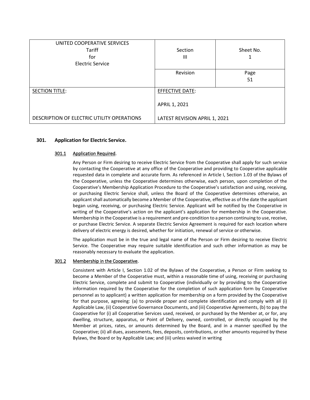| UNITED COOPERATIVE SERVICES<br><b>Tariff</b><br>for<br>Electric Service | Section<br>$\mathbf{III}$     | Sheet No.  |
|-------------------------------------------------------------------------|-------------------------------|------------|
|                                                                         | Revision                      | Page<br>51 |
| <b>SECTION TITLE:</b>                                                   | <b>EFFECTIVE DATE:</b>        |            |
|                                                                         | APRIL 1, 2021                 |            |
| DESCRIPTION OF ELECTRIC UTILITY OPERATIONS                              | LATEST REVISION APRIL 1, 2021 |            |

# **301. Application for Electric Service.**

# 301.1 Application Required.

Any Person or Firm desiring to receive Electric Service from the Cooperative shall apply for such service by contacting the Cooperative at any office of the Cooperative and providing to Cooperative applicable requested data in complete and accurate form. As referenced in Article I, Section 1.03 of the Bylaws of the Cooperative, unless the Cooperative determines otherwise, each person, upon completion of the Cooperative's Membership Application Procedure to the Cooperative's satisfaction and using, receiving, or purchasing Electric Service shall, unless the Board of the Cooperative determines otherwise, an applicant shall automatically become a Member of the Cooperative, effective as of the date the applicant began using, receiving, or purchasing Electric Service. Applicant will be notified by the Cooperative in writing of the Cooperative's action on the applicant's application for membership in the Cooperative. Membership in the Cooperative is a requirement and pre-condition to a person continuing to use, receive, or purchase Electric Service. A separate Electric Service Agreement is required for each location where delivery of electric energy is desired, whether for initiation, renewal of service or otherwise.

The application must be in the true and legal name of the Person or Firm desiring to receive Electric Service. The Cooperative may require suitable identification and such other information as may be reasonably necessary to evaluate the application.

## 301.2 Membership in the Cooperative.

Consistent with Article I, Section 1.02 of the Bylaws of the Cooperative, a Person or Firm seeking to become a Member of the Cooperative must, within a reasonable time of using, receiving or purchasing Electric Service, complete and submit to Cooperative (individually or by providing to the Cooperative information required by the Cooperative for the completion of such application form by Cooperative personnel as to applicant) a written application for membership on a form provided by the Cooperative for that purpose, agreeing: (a) to provide proper and complete identification and comply with all (i) Applicable Law, (ii) Cooperative Governance Documents, and (iii) Cooperative Agreements, (b) to pay the Cooperative for (i) all Cooperative Services used, received, or purchased by the Member at, or for, any dwelling, structure, apparatus, or Point of Delivery, owned, controlled, or directly occupied by the Member at prices, rates, or amounts determined by the Board, and in a manner specified by the Cooperative; (ii) all dues, assessments, fees, deposits, contributions, or other amounts required by these Bylaws, the Board or by Applicable Law; and (iii) unless waived in writing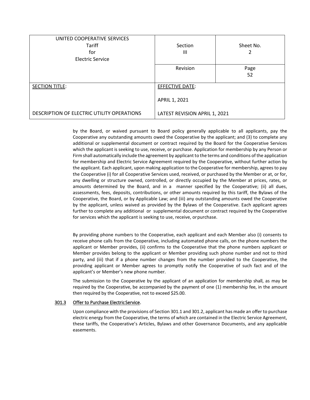| UNITED COOPERATIVE SERVICES<br><b>Tariff</b><br>for<br>Electric Service | Section<br>Ш                  | Sheet No.<br>2 |
|-------------------------------------------------------------------------|-------------------------------|----------------|
|                                                                         | Revision                      | Page<br>52     |
| <b>SECTION TITLE:</b>                                                   | <b>EFFECTIVE DATE:</b>        |                |
|                                                                         | APRIL 1, 2021                 |                |
| DESCRIPTION OF ELECTRIC UTILITY OPERATIONS                              | LATEST REVISION APRIL 1, 2021 |                |

by the Board, or waived pursuant to Board policy generally applicable to all applicants, pay the Cooperative any outstanding amounts owed the Cooperative by the applicant; and (3) to complete any additional or supplemental document or contract required by the Board for the Cooperative Services which the applicant is seeking to use, receive, or purchase. Application for membership by any Person or Firm shall automatically include the agreement by applicant to the terms and conditions of the application for membership and Electric Service Agreement required by the Cooperative, without further action by the applicant. Each applicant, upon making application to the Cooperative for membership, agrees to pay the Cooperative (i) for all Cooperative Services used, received, or purchased by the Member or at, or for, any dwelling or structure owned, controlled, or directly occupied by the Member at prices, rates, or amounts determined by the Board, and in a manner specified by the Cooperative; (ii) all dues, assessments, fees, deposits, contributions, or other amounts required by this tariff, the Bylaws of the Cooperative, the Board, or by Applicable Law; and (iii) any outstanding amounts owed the Cooperative by the applicant, unless waived as provided by the Bylaws of the Cooperative. Each applicant agrees further to complete any additional or supplemental document or contract required by the Cooperative for services which the applicant is seeking to use, receive, orpurchase.

By providing phone numbers to the Cooperative, each applicant and each Member also (i) consents to receive phone calls from the Cooperative, including automated phone calls, on the phone numbers the applicant or Member provides, (ii) confirms to the Cooperative that the phone numbers applicant or Member provides belong to the applicant or Member providing such phone number and not to third party, and (iii) that if a phone number changes from the number provided to the Cooperative, the providing applicant or Member agrees to promptly notify the Cooperative of such fact and of the applicant's or Member's new phone number.

The submission to the Cooperative by the applicant of an application for membership shall, as may be required by the Cooperative, be accompanied by the payment of one (1) membership fee, in the amount then required by the Cooperative, not to exceed \$25.00.

#### 301.3 Offer to Purchase Electric Service.

Upon compliance with the provisions of Section 301.1 and 301.2, applicant has made an offer to purchase electric energy from the Cooperative, the terms of which are contained in the Electric Service Agreement, these tariffs, the Cooperative's Articles, Bylaws and other Governance Documents, and any applicable easements.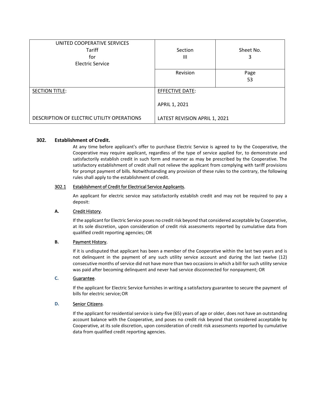| UNITED COOPERATIVE SERVICES<br><b>Tariff</b><br>for<br>Electric Service | Section<br>Ш                  | Sheet No.<br>3 |
|-------------------------------------------------------------------------|-------------------------------|----------------|
|                                                                         | Revision                      | Page<br>53     |
| <b>SECTION TITLE:</b>                                                   | <b>EFFECTIVE DATE:</b>        |                |
|                                                                         | APRIL 1, 2021                 |                |
| DESCRIPTION OF ELECTRIC UTILITY OPERATIONS                              | LATEST REVISION APRIL 1, 2021 |                |

# **302. Establishment of Credit.**

At any time before applicant's offer to purchase Electric Service is agreed to by the Cooperative, the Cooperative may require applicant, regardless of the type of service applied for, to demonstrate and satisfactorily establish credit in such form and manner as may be prescribed by the Cooperative. The satisfactory establishment of credit shall not relieve the applicant from complying with tariff provisions for prompt payment of bills. Notwithstanding any provision of these rules to the contrary, the following rules shall apply to the establishment of credit.

#### 302.1 Establishment of Credit for Electrical Service Applicants.

An applicant for electric service may satisfactorily establish credit and may not be required to pay a deposit:

## **A.** Credit History.

If the applicant for Electric Service poses no credit risk beyond that considered acceptable by Cooperative, at its sole discretion, upon consideration of credit risk assessments reported by cumulative data from qualified credit reporting agencies; OR

## **B.** Payment History.

If it is undisputed that applicant has been a member of the Cooperative within the last two years and is not delinquent in the payment of any such utility service account and during the last twelve (12) consecutive months of service did not have more than two occasions in which a bill for such utility service was paid after becoming delinquent and never had service disconnected for nonpayment; OR

#### **C.** Guarantee.

If the applicant for Electric Service furnishes in writing a satisfactory guarantee to secure the payment of bills for electric service;OR

#### **D.** Senior Citizens.

If the applicant for residential service is sixty-five (65) years of age or older, does not have an outstanding account balance with the Cooperative, and poses no credit risk beyond that considered acceptable by Cooperative, at its sole discretion, upon consideration of credit risk assessments reported by cumulative data from qualified credit reporting agencies.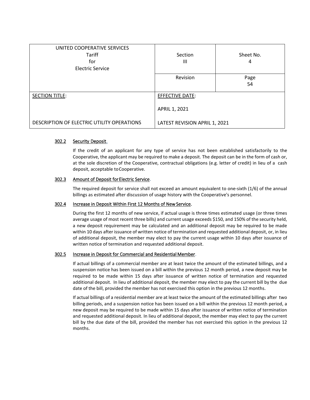| UNITED COOPERATIVE SERVICES<br><b>Tariff</b><br>for<br><b>Electric Service</b> | Section<br>Ш                  | Sheet No.<br>4 |
|--------------------------------------------------------------------------------|-------------------------------|----------------|
|                                                                                | Revision                      | Page<br>54     |
| <b>SECTION TITLE:</b>                                                          | <b>EFFECTIVE DATE:</b>        |                |
|                                                                                | APRIL 1, 2021                 |                |
| DESCRIPTION OF ELECTRIC UTILITY OPERATIONS                                     | LATEST REVISION APRIL 1, 2021 |                |

# 302.2 Security Deposit.

If the credit of an applicant for any type of service has not been established satisfactorily to the Cooperative, the applicant may be required to make a deposit. The deposit can be in the form of cash or, at the sole discretion of the Cooperative, contractual obligations (e.g. letter of credit) in lieu of a cash deposit, acceptable toCooperative.

# 302.3 Amount of Deposit for Electric Service.

The required deposit for service shall not exceed an amount equivalent to one-sixth (1/6) of the annual billings as estimated after discussion of usage history with the Cooperative's personnel.

#### 302.4 Increase in Deposit Within First 12 Months of New Service.

During the first 12 months of new service, if actual usage is three times estimated usage (or three times average usage of most recent three bills) and current usage exceeds \$150, and 150% of the security held, a new deposit requirement may be calculated and an additional deposit may be required to be made within 10 days after issuance of written notice of termination and requested additional deposit, or, in lieu of additional deposit, the member may elect to pay the current usage within 10 days after issuance of written notice of termination and requested additional deposit.

#### 302.5 Increase in Deposit for Commercial and Residential Member.

If actual billings of a commercial member are at least twice the amount of the estimated billings, and a suspension notice has been issued on a bill within the previous 12 month period, a new deposit may be required to be made within 15 days after issuance of written notice of termination and requested additional deposit. In lieu of additional deposit, the member may elect to pay the current bill by the due date of the bill, provided the member has not exercised this option in the previous 12 months.

If actual billings of a residential member are at least twice the amount of the estimated billings after two billing periods, and a suspension notice has been issued on a bill within the previous 12 month period, a new deposit may be required to be made within 15 days after issuance of written notice of termination and requested additional deposit. In lieu of additional deposit, the member may elect to pay the current bill by the due date of the bill, provided the member has not exercised this option in the previous 12 months.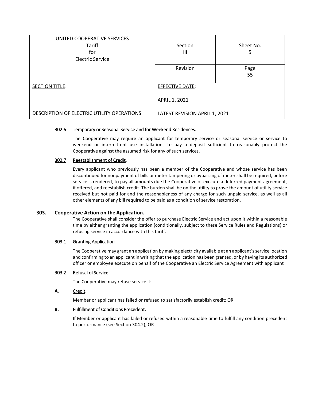| UNITED COOPERATIVE SERVICES<br><b>Tariff</b><br>for<br>Electric Service | Section<br>Ш                  | Sheet No.<br>5 |
|-------------------------------------------------------------------------|-------------------------------|----------------|
|                                                                         | Revision                      | Page<br>55     |
| <b>SECTION TITLE:</b>                                                   | <b>EFFECTIVE DATE:</b>        |                |
|                                                                         | APRIL 1, 2021                 |                |
| DESCRIPTION OF ELECTRIC UTILITY OPERATIONS                              | LATEST REVISION APRIL 1, 2021 |                |

#### 302.6 Temporary or Seasonal Service and for Weekend Residences.

The Cooperative may require an applicant for temporary service or seasonal service or service to weekend or intermittent use installations to pay a deposit sufficient to reasonably protect the Cooperative against the assumed risk for any of such services.

## 302.7 Reestablishment of Credit.

Every applicant who previously has been a member of the Cooperative and whose service has been discontinued for nonpayment of bills or meter tampering or bypassing of meter shall be required, before service is rendered, to pay all amounts due the Cooperative or execute a deferred payment agreement, if offered, and reestablish credit. The burden shall be on the utility to prove the amount of utility service received but not paid for and the reasonableness of any charge for such unpaid service, as well as all other elements of any bill required to be paid as a condition of service restoration.

#### **303. Cooperative Action on the Application.**

The Cooperative shall consider the offer to purchase Electric Service and act upon it within a reasonable time by either granting the application (conditionally, subject to these Service Rules and Regulations) or refusing service in accordance with this tariff.

#### 303.1 Granting Application.

The Cooperative may grant an application by making electricity available at an applicant's service location and confirming to an applicant in writing that the application has been granted, or by having its authorized officer or employee execute on behalf of the Cooperative an Electric Service Agreement with applicant

#### 303.2 Refusal of Service.

The Cooperative may refuse service if:

## **A.** Credit.

Member or applicant has failed or refused to satisfactorily establish credit; OR

#### **B.** Fulfillment of Conditions Precedent.

If Member or applicant has failed or refused within a reasonable time to fulfill any condition precedent to performance (see Section 304.2); OR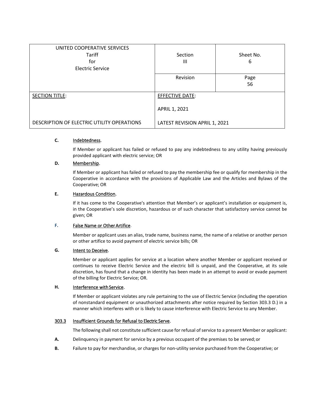| Section<br>Ш           | Sheet No.<br>6                                 |
|------------------------|------------------------------------------------|
| Revision               | Page<br>56                                     |
| <b>EFFECTIVE DATE:</b> |                                                |
|                        |                                                |
|                        | APRIL 1, 2021<br>LATEST REVISION APRIL 1, 2021 |

# **C.** Indebtedness.

If Member or applicant has failed or refused to pay any indebtedness to any utility having previously provided applicant with electric service; OR

#### **D.** Membership.

If Member or applicant has failed or refused to pay the membership fee or qualify for membership in the Cooperative in accordance with the provisions of Applicable Law and the Articles and Bylaws of the Cooperative; OR

#### **E.** Hazardous Condition.

If it has come to the Cooperative's attention that Member's or applicant's installation or equipment is, in the Cooperative's sole discretion, hazardous or of such character that satisfactory service cannot be given; OR

#### **F.** False Name or Other Artifice.

Member or applicant uses an alias, trade name, business name, the name of a relative or another person or other artifice to avoid payment of electric service bills; OR

# **G.** Intent to Deceive.

Member or applicant applies for service at a location where another Member or applicant received or continues to receive Electric Service and the electric bill is unpaid, and the Cooperative, at its sole discretion, has found that a change in identity has been made in an attempt to avoid or evade payment of the billing for Electric Service; OR.

#### **H.** Interference with Service.

If Member or applicant violates any rule pertaining to the use of Electric Service (including the operation of nonstandard equipment or unauthorized attachments after notice required by Section 303.3 D.) in a manner which interferes with or is likely to cause interference with Electric Service to any Member.

#### 303.3 Insufficient Grounds for Refusal to Electric Serve.

The following shall not constitute sufficient cause for refusal of service to a present Member or applicant:

- **A.** Delinquency in payment for service by a previous occupant of the premises to be served;or
- **B.** Failure to pay for merchandise, or charges for non-utility service purchased from the Cooperative; or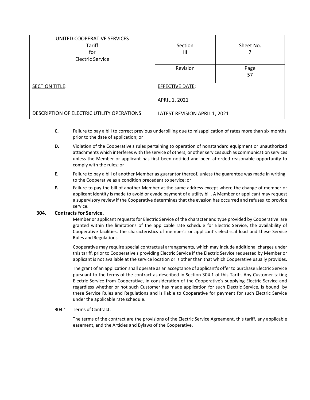| UNITED COOPERATIVE SERVICES<br><b>Tariff</b><br>for<br>Electric Service | Section<br>Ш                  | Sheet No.  |
|-------------------------------------------------------------------------|-------------------------------|------------|
|                                                                         | Revision                      | Page<br>57 |
| <b>SECTION TITLE:</b>                                                   | <b>EFFECTIVE DATE:</b>        |            |
|                                                                         | APRIL 1, 2021                 |            |
| DESCRIPTION OF ELECTRIC UTILITY OPERATIONS                              | LATEST REVISION APRIL 1, 2021 |            |

- **C.** Failure to pay a bill to correct previous underbilling due to misapplication of rates more than six months prior to the date of application; or
- **D.** Violation of the Cooperative's rules pertaining to operation of nonstandard equipment or unauthorized attachments which interferes with the service of others, or other services such as communication services unless the Member or applicant has first been notified and been afforded reasonable opportunity to comply with the rules; or
- **E.** Failure to pay a bill of another Member as guarantor thereof, unless the guarantee was made in writing to the Cooperative as a condition precedent to service; or
- **F.** Failure to pay the bill of another Member at the same address except where the change of member or applicant identity is made to avoid or evade payment of a utility bill. A Member or applicant may request a supervisory review if the Cooperative determines that the evasion has occurred and refuses to provide service.

#### **304. Contracts for Service.**

Member or applicant requests for Electric Service of the character and type provided by Cooperative are granted within the limitations of the applicable rate schedule for Electric Service, the availability of Cooperative facilities, the characteristics of member's or applicant's electrical load and these Service Rules and Regulations.

Cooperative may require special contractual arrangements, which may include additional charges under this tariff, prior to Cooperative's providing Electric Service if the Electric Service requested by Member or applicant is not available at the service location or is other than that which Cooperative usually provides.

The grant of an application shall operate as an acceptance of applicant's offer to purchase Electric Service pursuant to the terms of the contract as described in Section 304.1 of this Tariff. Any Customer taking Electric Service from Cooperative, in consideration of the Cooperative's supplying Electric Service and regardless whether or not such Customer has made application for such Electric Service, is bound by these Service Rules and Regulations and is liable to Cooperative for payment for such Electric Service under the applicable rate schedule.

### 304.1 Terms of Contract.

The terms of the contract are the provisions of the Electric Service Agreement, this tariff, any applicable easement, and the Articles and Bylaws of the Cooperative.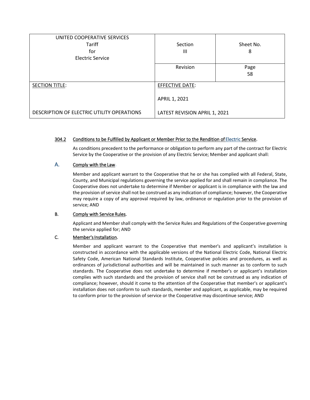| UNITED COOPERATIVE SERVICES<br><b>Tariff</b><br>for<br>Electric Service | Section<br>Ш                  | Sheet No.<br>8 |
|-------------------------------------------------------------------------|-------------------------------|----------------|
|                                                                         | Revision                      | Page<br>58     |
| <b>SECTION TITLE:</b>                                                   | <b>EFFECTIVE DATE:</b>        |                |
|                                                                         | APRIL 1, 2021                 |                |
| DESCRIPTION OF ELECTRIC UTILITY OPERATIONS                              | LATEST REVISION APRIL 1, 2021 |                |

# 304.2 Conditions to be Fulfilled by Applicant or Member Prior to the Rendition of Electric Service.

As conditions precedent to the performance or obligation to perform any part of the contract for Electric Service by the Cooperative or the provision of any Electric Service; Member and applicant shall:

# A. Comply with the Law.

Member and applicant warrant to the Cooperative that he or she has complied with all Federal, State, County, and Municipal regulations governing the service applied for and shall remain in compliance. The Cooperative does not undertake to determine if Member or applicant is in compliance with the law and the provision of service shall not be construed as any indication of compliance; however, the Cooperative may require a copy of any approval required by law, ordinance or regulation prior to the provision of service; AND

#### B. Comply with Service Rules.

Applicant and Member shall comply with the Service Rules and Regulations of the Cooperative governing the service applied for; AND

# C. Member's Installation.

Member and applicant warrant to the Cooperative that member's and applicant's installation is constructed in accordance with the applicable versions of the National Electric Code, National Electric Safety Code, American National Standards Institute, Cooperative policies and procedures, as well as ordinances of jurisdictional authorities and will be maintained in such manner as to conform to such standards. The Cooperative does not undertake to determine if member's or applicant's installation complies with such standards and the provision of service shall not be construed as any indication of compliance; however, should it come to the attention of the Cooperative that member's or applicant's installation does not conform to such standards, member and applicant, as applicable, may be required to conform prior to the provision of service or the Cooperative may discontinue service; AND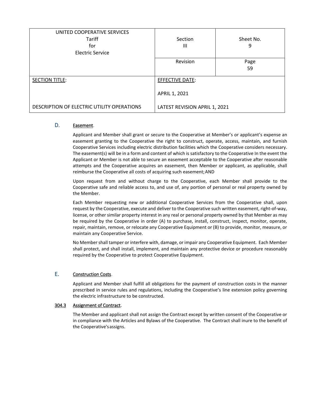| UNITED COOPERATIVE SERVICES<br><b>Tariff</b><br>for<br>Electric Service | Section<br>Ш                  | Sheet No.<br>9 |
|-------------------------------------------------------------------------|-------------------------------|----------------|
|                                                                         | Revision                      | Page<br>59     |
| <b>SECTION TITLE:</b>                                                   | <b>EFFECTIVE DATE:</b>        |                |
|                                                                         | APRIL 1, 2021                 |                |
| DESCRIPTION OF ELECTRIC UTILITY OPERATIONS                              | LATEST REVISION APRIL 1, 2021 |                |

# D. Easement.

Applicant and Member shall grant or secure to the Cooperative at Member's or applicant's expense an easement granting to the Cooperative the right to construct, operate, access, maintain, and furnish Cooperative Services including electric distribution facilities which the Cooperative considers necessary. The easement(s) will be in a form and content of which is satisfactory to the Cooperative In the event the Applicant or Member is not able to secure an easement acceptable to the Cooperative after reasonable attempts and the Cooperative acquires an easement, then Member or applicant, as applicable, shall reimburse the Cooperative all costs of acquiring such easement;AND

Upon request from and without charge to the Cooperative, each Member shall provide to the Cooperative safe and reliable access to, and use of, any portion of personal or real property owned by the Member.

Each Member requesting new or additional Cooperative Services from the Cooperative shall, upon request by the Cooperative, execute and deliver to the Cooperative such written easement, right-of-way, license, or other similar property interest in any real or personal property owned by that Member as may be required by the Cooperative in order (A) to purchase, install, construct, inspect, monitor, operate, repair, maintain, remove, or relocate any Cooperative Equipment or (B) to provide, monitor, measure, or maintain any Cooperative Service.

No Member shall tamper or interfere with, damage, or impair any Cooperative Equipment. Each Member shall protect, and shall install, implement, and maintain any protective device or procedure reasonably required by the Cooperative to protect Cooperative Equipment.

## E. Construction Costs.

Applicant and Member shall fulfill all obligations for the payment of construction costs in the manner prescribed in service rules and regulations, including the Cooperative's line extension policy governing the electric infrastructure to be constructed.

#### 304.3 Assignment of Contract.

The Member and applicant shall not assign the Contract except by written consent of the Cooperative or in compliance with the Articles and Bylaws of the Cooperative. The Contract shall inure to the benefit of the Cooperative'sassigns.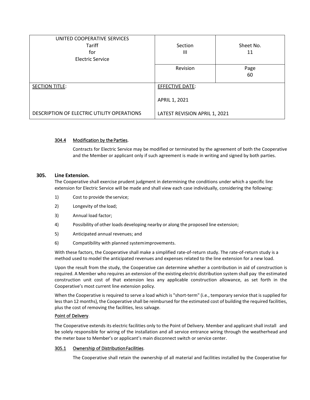| UNITED COOPERATIVE SERVICES<br><b>Tariff</b><br>for<br>Electric Service | Section<br>Ш                  | Sheet No.<br>11 |
|-------------------------------------------------------------------------|-------------------------------|-----------------|
|                                                                         | Revision                      | Page<br>60      |
| <b>SECTION TITLE:</b>                                                   | <b>EFFECTIVE DATE:</b>        |                 |
|                                                                         | APRIL 1, 2021                 |                 |
| DESCRIPTION OF ELECTRIC UTILITY OPERATIONS                              | LATEST REVISION APRIL 1, 2021 |                 |

# 304.4 Modification by the Parties.

Contracts for Electric Service may be modified or terminated by the agreement of both the Cooperative and the Member or applicant only if such agreement is made in writing and signed by both parties.

#### **305. Line Extension.**

The Cooperative shall exercise prudent judgment in determining the conditions under which a specific line extension for Electric Service will be made and shall view each case individually, considering the following:

- 1) Cost to provide the service;
- 2) Longevity of the load;
- 3) Annual load factor;
- 4) Possibility of other loads developing nearby or along the proposed line extension;
- 5) Anticipated annual revenues; and
- 6) Compatibility with planned systemimprovements.

With these factors, the Cooperative shall make a simplified rate-of-return study. The rate-of-return study is a method used to model the anticipated revenues and expenses related to the line extension for a new load.

Upon the result from the study, the Cooperative can determine whether a contribution in aid of construction is required. A Member who requires an extension of the existing electric distribution system shall pay the estimated construction unit cost of that extension less any applicable construction allowance, as set forth in the Cooperative's most current line extension policy.

When the Cooperative is required to serve a load which is "short-term" (i.e., temporary service that is supplied for less than 12 months), the Cooperative shall be reimbursed for the estimated cost of building the required facilities, plus the cost of removing the facilities, less salvage.

#### Point of Delivery.

The Cooperative extends its electric facilities only to the Point of Delivery. Member and applicant shall install and be solely responsible for wiring of the installation and all service entrance wiring through the weatherhead and the meter base to Member's or applicant's main disconnect switch or service center.

#### 305.1 Ownership of Distribution Facilities.

The Cooperative shall retain the ownership of all material and facilities installed by the Cooperative for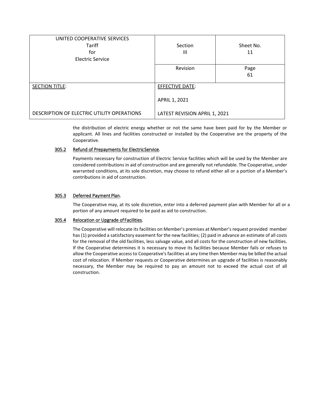| UNITED COOPERATIVE SERVICES<br>Tariff<br>for<br>Electric Service | Section<br>Ш                                   | Sheet No.<br>11 |
|------------------------------------------------------------------|------------------------------------------------|-----------------|
|                                                                  | Revision                                       | Page<br>61      |
| <b>SECTION TITLE:</b>                                            | <b>EFFECTIVE DATE:</b>                         |                 |
| DESCRIPTION OF ELECTRIC UTILITY OPERATIONS                       | APRIL 1, 2021<br>LATEST REVISION APRIL 1, 2021 |                 |

the distribution of electric energy whether or not the same have been paid for by the Member or applicant. All lines and facilities constructed or installed by the Cooperative are the property of the Cooperative.

#### 305.2 Refund of Prepayments for Electric Service.

Payments necessary for construction of Electric Service facilities which will be used by the Member are considered contributions in aid of construction and are generally not refundable. The Cooperative, under warranted conditions, at its sole discretion, may choose to refund either all or a portion of a Member's contributions in aid of construction.

#### 305.3 Deferred Payment Plan.

The Cooperative may, at its sole discretion, enter into a deferred payment plan with Member for all or a portion of any amount required to be paid as aid to construction.

#### 305.4 Relocation or Upgrade of Facilities.

The Cooperative will relocate its facilities on Member's premises at Member's request provided member has (1) provided a satisfactory easement for the new facilities; (2) paid in advance an estimate of all costs for the removal of the old facilities, less salvage value, and all costs for the construction of new facilities. If the Cooperative determines it is necessary to move its facilities because Member fails or refuses to allow the Cooperative access to Cooperative's facilities at any time then Member may be billed the actual cost of relocation. If Member requests or Cooperative determines an upgrade of facilities is reasonably necessary, the Member may be required to pay an amount not to exceed the actual cost of all construction.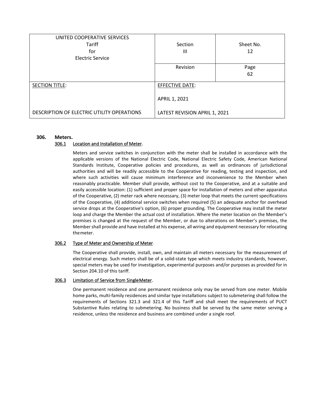| UNITED COOPERATIVE SERVICES<br><b>Tariff</b><br>for<br>Electric Service | Section<br>Ш                  | Sheet No.<br>12 |
|-------------------------------------------------------------------------|-------------------------------|-----------------|
|                                                                         | Revision                      | Page<br>62      |
| <b>SECTION TITLE:</b>                                                   | <b>EFFECTIVE DATE:</b>        |                 |
|                                                                         | APRIL 1, 2021                 |                 |
| DESCRIPTION OF ELECTRIC UTILITY OPERATIONS                              | LATEST REVISION APRIL 1, 2021 |                 |

#### **306. Meters.**

# 306.1 Location and Installation of Meter.

Meters and service switches in conjunction with the meter shall be installed in accordance with the applicable versions of the National Electric Code, National Electric Safety Code, American National Standards Institute, Cooperative policies and procedures, as well as ordinances of jurisdictional authorities and will be readily accessible to the Cooperative for reading, testing and inspection, and where such activities will cause minimum interference and inconvenience to the Member when reasonably practicable. Member shall provide, without cost to the Cooperative, and at a suitable and easily accessible location: (1) sufficient and proper space for installation of meters and other apparatus of the Cooperative, (2) meter rack where necessary, (3) meter loop that meets the current specifications of the Cooperative, (4) additional service switches when required (5) an adequate anchor for overhead service drops at the Cooperative's option, (6) proper grounding. The Cooperative may install the meter loop and charge the Member the actual cost of installation. Where the meter location on the Member's premises is changed at the request of the Member, or due to alterations on Member's premises, the Member shall provide and have installed at his expense, all wiring and equipment necessary for relocating themeter.

#### 306.2 Type of Meter and Ownership of Meter.

The Cooperative shall provide, install, own, and maintain all meters necessary for the measurement of electrical energy. Such meters shall be of a solid-state type which meets industry standards, however, special meters may be used for investigation, experimental purposes and/or purposes as provided for in Section 204.10 of this tariff.

#### 306.3 Limitation of Service from Single Meter.

One permanent residence and one permanent residence only may be served from one meter. Mobile home parks, multi-family residences and similar type installations subject to submetering shall follow the requirements of Sections 321.3 and 321.4 of this Tariff and shall meet the requirements of PUCT Substantive Rules relating to submetering. No business shall be served by the same meter serving a residence, unless the residence and business are combined under a single roof.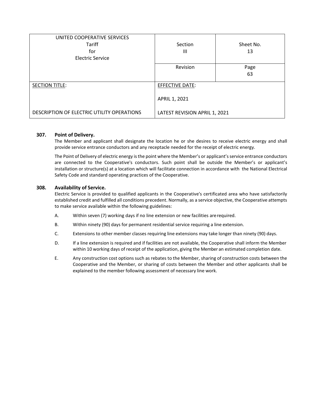| UNITED COOPERATIVE SERVICES<br>Tariff<br>for | Section<br>Ш                  | Sheet No.<br>13 |
|----------------------------------------------|-------------------------------|-----------------|
| Electric Service                             |                               |                 |
|                                              | Revision                      | Page            |
|                                              |                               | 63              |
| <b>SECTION TITLE:</b>                        | <b>EFFECTIVE DATE:</b>        |                 |
|                                              | APRIL 1, 2021                 |                 |
| DESCRIPTION OF ELECTRIC UTILITY OPERATIONS   | LATEST REVISION APRIL 1, 2021 |                 |

# **307. Point of Delivery.**

The Member and applicant shall designate the location he or she desires to receive electric energy and shall provide service entrance conductors and any receptacle needed for the receipt of electric energy.

The Point of Delivery of electric energy is the point where the Member's or applicant's service entrance conductors are connected to the Cooperative's conductors. Such point shall be outside the Member's or applicant's installation or structure(s) at a location which will facilitate connection in accordance with the National Electrical Safety Code and standard operating practices of the Cooperative.

# **308. Availability of Service.**

Electric Service is provided to qualified applicants in the Cooperative's certificated area who have satisfactorily established credit and fulfilled all conditions precedent. Normally, as a service objective, the Cooperative attempts to make service available within the following guidelines:

- A. Within seven (7) working days if no line extension or new facilities arerequired.
- B. Within ninety (90) days for permanent residential service requiring a line extension.
- C. Extensions to other member classes requiring line extensions may take longer than ninety (90) days.
- D. If a line extension is required and if facilities are not available, the Cooperative shall inform the Member within 10 working days of receipt of the application, giving the Member an estimated completion date.
- E. Any construction cost options such as rebates to the Member, sharing of construction costs between the Cooperative and the Member, or sharing of costs between the Member and other applicants shall be explained to the member following assessment of necessary line work.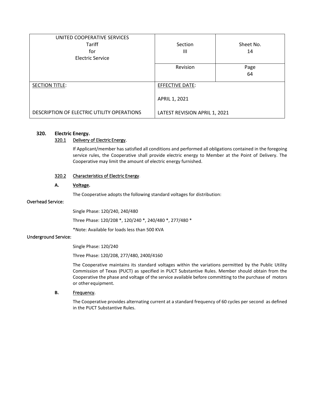| UNITED COOPERATIVE SERVICES<br><b>Tariff</b><br>for<br>Electric Service | Section<br>Ш                  | Sheet No.<br>14 |
|-------------------------------------------------------------------------|-------------------------------|-----------------|
|                                                                         | Revision                      | Page<br>64      |
| SECTION TITLE:                                                          | <b>EFFECTIVE DATE:</b>        |                 |
|                                                                         | APRIL 1, 2021                 |                 |
| DESCRIPTION OF ELECTRIC UTILITY OPERATIONS                              | LATEST REVISION APRIL 1, 2021 |                 |

# **320. Electric Energy.**

# 320.1 Delivery of Electric Energy.

If Applicant/member has satisfied all conditions and performed all obligations contained in the foregoing service rules, the Cooperative shall provide electric energy to Member at the Point of Delivery. The Cooperative may limit the amount of electric energy furnished.

#### 320.2 Characteristics of Electric Energy.

#### **A. Voltage.**

The Cooperative adopts the following standard voltages for distribution:

#### Overhead Service:

Single Phase: 120/240, 240/480

Three Phase: 120/208 \*, 120/240 \*, 240/480 \*, 277/480 \*

\*Note: Available for loads less than 500 KVA

## Underground Service:

Single Phase: 120/240

Three Phase: 120/208, 277/480, 2400/4160

The Cooperative maintains its standard voltages within the variations permitted by the Public Utility Commission of Texas (PUCT) as specified in PUCT Substantive Rules. Member should obtain from the Cooperative the phase and voltage of the service available before committing to the purchase of motors or other equipment.

# B. Frequency.

The Cooperative provides alternating current at a standard frequency of 60 cycles per second as defined in the PUCT Substantive Rules.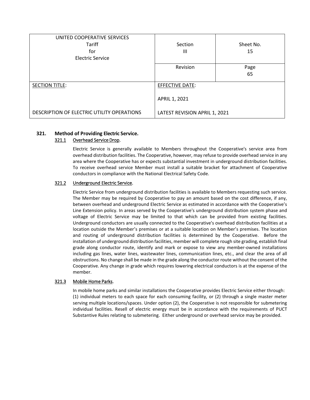| UNITED COOPERATIVE SERVICES<br><b>Tariff</b><br>for<br>Electric Service | Section<br>Ш                  | Sheet No.<br>15 |
|-------------------------------------------------------------------------|-------------------------------|-----------------|
|                                                                         | Revision                      | Page<br>65      |
| <b>SECTION TITLE:</b>                                                   | <b>EFFECTIVE DATE:</b>        |                 |
|                                                                         | APRIL 1, 2021                 |                 |
| DESCRIPTION OF ELECTRIC UTILITY OPERATIONS                              | LATEST REVISION APRIL 1, 2021 |                 |

# **321. Method of Providing Electric Service.**

# 321.1 Overhead Service Drop.

Electric Service is generally available to Members throughout the Cooperative's service area from overhead distribution facilities. The Cooperative, however, may refuse to provide overhead service in any area where the Cooperative has or expects substantial investment in underground distribution facilities. To receive overhead service Member must install a suitable bracket for attachment of Cooperative conductors in compliance with the National Electrical Safety Code.

# 321.2 Underground Electric Service.

Electric Service from underground distribution facilities is available to Members requesting such service. The Member may be required by Cooperative to pay an amount based on the cost difference, if any, between overhead and underground Electric Service as estimated in accordance with the Cooperative's Line Extension policy. In areas served by the Cooperative's underground distribution system phase and voltage of Electric Service may be limited to that which can be provided from existing facilities. Underground conductors are usually connected to the Cooperative's overhead distribution facilities at a location outside the Member's premises or at a suitable location on Member's premises. The location and routing of underground distribution facilities is determined by the Cooperative. Before the installation of underground distribution facilities, member will complete rough site grading, establish final grade along conductor route, identify and mark or expose to view any member-owned installations including gas lines, water lines, wastewater lines, communication lines, etc., and clear the area of all obstructions. No change shall be made in the grade along the conductor route without the consent of the Cooperative. Any change in grade which requires lowering electrical conductors is at the expense of the member.

# 321.3 Mobile Home Parks.

In mobile home parks and similar installations the Cooperative provides Electric Service either through: (1) individual meters to each space for each consuming facility, or (2) through a single master meter serving multiple locations/spaces. Under option (2), the Cooperative is not responsible for submetering individual facilities. Resell of electric energy must be in accordance with the requirements of PUCT Substantive Rules relating to submetering. Either underground or overhead service may be provided.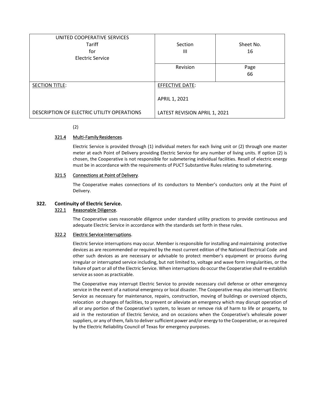| UNITED COOPERATIVE SERVICES<br>Tariff<br>for<br>Electric Service | Section<br>Ш                  | Sheet No.<br>16 |
|------------------------------------------------------------------|-------------------------------|-----------------|
|                                                                  | Revision                      | Page<br>66      |
| <b>SECTION TITLE:</b>                                            | <b>EFFECTIVE DATE:</b>        |                 |
|                                                                  | APRIL 1, 2021                 |                 |
| DESCRIPTION OF ELECTRIC UTILITY OPERATIONS                       | LATEST REVISION APRIL 1, 2021 |                 |

(2)

#### 321.4 Multi‐Family Residences.

Electric Service is provided through (1) individual meters for each living unit or (2) through one master meter at each Point of Delivery providing Electric Service for any number of living units. If option (2) is chosen, the Cooperative is not responsible for submetering individual facilities. Resell of electric energy must be in accordance with the requirements of PUCT Substantive Rules relating to submetering.

#### 321.5 Connections at Point of Delivery.

The Cooperative makes connections of its conductors to Member's conductors only at the Point of Delivery.

#### **322. Continuity of Electric Service.**

#### 322.1 Reasonable Diligence.

The Cooperative uses reasonable diligence under standard utility practices to provide continuous and adequate Electric Service in accordance with the standards set forth in these rules.

#### 322.2 Electric Service Interruptions.

Electric Service interruptions may occur. Member is responsible for installing and maintaining protective devices as are recommended or required by the most current edition of the National Electrical Code and other such devices as are necessary or advisable to protect member's equipment or process during irregular or interrupted service including, but not limited to, voltage and wave form irregularities, or the failure of part or all of the Electric Service. When interruptions do occur the Cooperative shall re-establish service as soon as practicable.

The Cooperative may interrupt Electric Service to provide necessary civil defense or other emergency service in the event of a national emergency or local disaster. The Cooperative may also interrupt Electric Service as necessary for maintenance, repairs, construction, moving of buildings or oversized objects, relocation or changes of facilities, to prevent or alleviate an emergency which may disrupt operation of all or any portion of the Cooperative's system, to lessen or remove risk of harm to life or property, to aid in the restoration of Electric Service, and on occasions when the Cooperative's wholesale power suppliers, or any of them, fails to deliver sufficient power and/or energy to the Cooperative, or as required by the Electric Reliability Council of Texas for emergency purposes.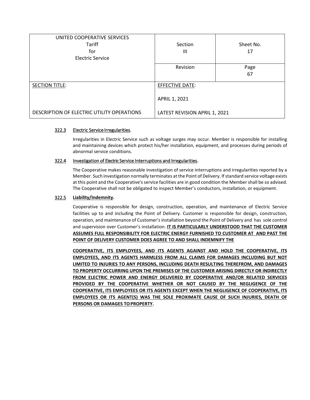| UNITED COOPERATIVE SERVICES<br><b>Tariff</b><br>for<br>Electric Service | Section<br>Ш                  | Sheet No.<br>17 |
|-------------------------------------------------------------------------|-------------------------------|-----------------|
|                                                                         | Revision                      | Page<br>67      |
| <b>SECTION TITLE:</b>                                                   | <b>EFFECTIVE DATE:</b>        |                 |
|                                                                         | APRIL 1, 2021                 |                 |
| DESCRIPTION OF ELECTRIC UTILITY OPERATIONS                              | LATEST REVISION APRIL 1, 2021 |                 |

#### 322.3 Electric Service Irregularities.

Irregularities in Electric Service such as voltage surges may occur. Member is responsible for installing and maintaining devices which protect his/her installation, equipment, and processes during periods of abnormal service conditions.

#### 322.4 Investigation of Electric Service Interruptions and Irregularities.

The Cooperative makes reasonable investigation of service interruptions and irregularities reported by a Member. Such investigation normally terminates at the Point of Delivery. If standard service voltage exists at this point and the Cooperative's service facilities are in good condition the Member shall be so advised. The Cooperative shall not be obligated to inspect Member's conductors, installation, or equipment.

# 322.5 **Liability/Indemnity.**

Cooperative is responsible for design, construction, operation, and maintenance of Electric Service facilities up to and including the Point of Delivery. Customer is responsible for design, construction, operation, and maintenance of Customer's installation beyond the Point of Delivery and has sole control and supervision over Customer's installation. **IT IS PARTICULARLY UNDERSTOOD THAT THE CUSTOMER ASSUMES FULL RESPONSIBILITY FOR ELECTRIC ENERGY FURNISHED TO CUSTOMER AT AND PAST THE POINT OF DELIVERY CUSTOMER DOES AGREE TO AND SHALL INDEMNIFY THE** 

**COOPERATIVE, ITS EMPLOYEES, AND ITS AGENTS AGAINST AND HOLD THE COOPERATIVE, ITS EMPLOYEES, AND ITS AGENTS HARMLESS FROM ALL CLAIMS FOR DAMAGES INCLUDING BUT NOT LIMITED TO INJURIES TO ANY PERSONS, INCLUDING DEATH RESULTING THEREFROM, AND DAMAGES TO PROPERTY OCCURRING UPON THE PREMISES OF THE CUSTOMER ARISING DIRECTLY OR INDIRECTLY FROM ELECTRIC POWER AND ENERGY DELIVERED BY COOPERATIVE AND/OR RELATED SERVICES PROVIDED BY THE COOPERATIVE WHETHER OR NOT CAUSED BY THE NEGLIGENCE OF THE COOPERATIVE, ITS EMPLOYEES OR ITS AGENTS EXCEPT WHEN THE NEGLIGENCE OF COOPERATIVE, ITS EMPLOYEES OR ITS AGENT(S) WAS THE SOLE PROXIMATE CAUSE OF SUCH INJURIES, DEATH OF PERSONS OR DAMAGES TOPROPERTY.**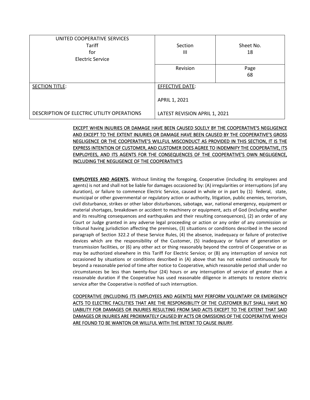| UNITED COOPERATIVE SERVICES<br>Tariff<br>for<br>Electric Service | Section<br>Ш                  | Sheet No.<br>18 |
|------------------------------------------------------------------|-------------------------------|-----------------|
|                                                                  | Revision                      | Page<br>68      |
| <b>SECTION TITLE:</b>                                            | <b>EFFECTIVE DATE:</b>        |                 |
|                                                                  | APRIL 1, 2021                 |                 |
| DESCRIPTION OF ELECTRIC UTILITY OPERATIONS                       | LATEST REVISION APRIL 1, 2021 |                 |

# EXCEPT WHEN INJURIES OR DAMAGE HAVE BEEN CAUSED SOLELY BY THE COOPERATIVE'S NEGLIGENCE AND EXCEPT TO THE EXTENT INJURIES OR DAMAGE HAVE BEEN CAUSED BY THE COOPERATIVE'S GROSS NEGLIGENCE OR THE COOPERATIVE'S WILLFUL MISCONDUCT AS PROVIDED IN THIS SECTION, IT IS THE EXPRESS INTENTION OF CUSTOMER, AND CUSTOMER DOES AGREE TO INDEMNIFY THE COOPERATIVE, ITS EMPLOYEES, AND ITS AGENTS FOR THE CONSEQUENCES OF THE COOPERATIVE'S OWN NEGLIGENCE, INCLUDING THE NEGLIGENCE OF THE COOPERATIVE'S

**EMPLOYEES AND AGENTS.** Without limiting the foregoing, Cooperative (including its employees and agents) is not and shall not be liable for damages occasioned by: (A) irregularities or interruptions (of any duration), or failure to commence Electric Service, caused in whole or in part by (1) federal, state, municipal or other governmental or regulatory action or authority, litigation, public enemies, terrorism, civil disturbance, strikes or other labor disturbances, sabotage, war, national emergency, equipment or material shortages, breakdown or accident to machinery or equipment, acts of God (including weather and its resulting consequences and earthquakes and their resulting consequences), (2) an order of any Court or Judge granted in any adverse legal proceeding or action or any order of any commission or tribunal having jurisdiction affecting the premises, (3) situations or conditions described in the second paragraph of Section 322.2 of these Service Rules, (4) the absence, inadequacy or failure of protective devices which are the responsibility of the Customer, (5) inadequacy or failure of generation or transmission facilities, or (6) any other act or thing reasonably beyond the control of Cooperative or as may be authorized elsewhere in this Tariff For Electric Service; or (B) any interruption of service not occasioned by situations or conditions described in (A) above that has not existed continuously for beyond a reasonable period of time after notice to Cooperative, which reasonable period shall under no circumstances be less than twenty-four (24) hours or any interruption of service of greater than a reasonable duration if the Cooperative has used reasonable diligence in attempts to restore electric service after the Cooperative is notified of such interruption.

COOPERATIVE (INCLUDING ITS EMPLOYEES AND AGENTS) MAY PERFORM VOLUNTARY OR EMERGENCY ACTS TO ELECTRIC FACILITIES THAT ARE THE RESPONSIBILITY OF THE CUSTOMER BUT SHALL HAVE NO LIABILITY FOR DAMAGES OR INJURIES RESULTING FROM SAID ACTS EXCEPT TO THE EXTENT THAT SAID DAMAGES OR INJURIES ARE PROXIMATELY CAUSED BY ACTS OR OMISSIONS OF THE COOPERATIVE WHICH ARE FOUND TO BE WANTON OR WILLFUL WITH THE INTENT TO CAUSE INJURY.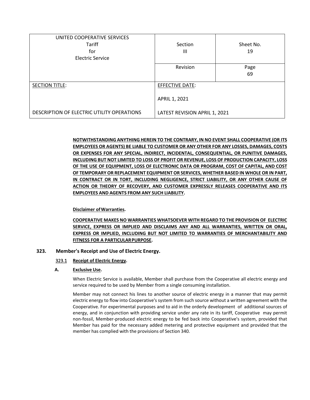| UNITED COOPERATIVE SERVICES<br><b>Tariff</b><br>for<br>Electric Service | Section<br>Ш                  | Sheet No.<br>19 |
|-------------------------------------------------------------------------|-------------------------------|-----------------|
|                                                                         | Revision                      | Page<br>69      |
| <b>SECTION TITLE:</b>                                                   | <b>EFFECTIVE DATE:</b>        |                 |
|                                                                         | APRIL 1, 2021                 |                 |
| DESCRIPTION OF ELECTRIC UTILITY OPERATIONS                              | LATEST REVISION APRIL 1, 2021 |                 |

**NOTWITHSTANDING ANYTHING HEREIN TO THE CONTRARY, IN NO EVENT SHALL COOPERATIVE (OR ITS EMPLOYEES OR AGENTS) BE LIABLE TO CUSTOMER OR ANY OTHER FOR ANY LOSSES, DAMAGES, COSTS OR EXPENSES FOR ANY SPECIAL, INDIRECT, INCIDENTAL, CONSEQUENTIAL, OR PUNITIVE DAMAGES, INCLUDING BUT NOT LIMITED TO LOSS OF PROFIT OR REVENUE, LOSS OF PRODUCTION CAPACITY, LOSS OF THE USE OF EQUIPMENT, LOSS OF ELECTRONIC DATA OR PROGRAM, COST OF CAPITAL, AND COST OF TEMPORARY OR REPLACEMENT EQUIPMENT OR SERVICES, WHETHER BASED IN WHOLE OR IN PART, IN CONTRACT OR IN TORT, INCLUDING NEGLIGENCE, STRICT LIABILITY, OR ANY OTHER CAUSE OF ACTION OR THEORY OF RECOVERY, AND CUSTOMER EXPRESSLY RELEASES COOPERATIVE AND ITS EMPLOYEES AND AGENTS FROM ANY SUCH LIABILITY.**

# **Disclaimer ofWarranties.**

**COOPERATIVE MAKES NO WARRANTIES WHATSOEVER WITH REGARD TO THE PROVISION OF ELECTRIC SERVICE, EXPRESS OR IMPLIED AND DISCLAIMS ANY AND ALL WARRANTIES, WRITTEN OR ORAL, EXPRESS OR IMPLIED, INCLUDING BUT NOT LIMITED TO WARRANTIES OF MERCHANTABILITY AND FITNESS FOR A PARTICULARPURPOSE.**

# **323. Member's Receipt and Use of Electric Energy.**

#### 323.1 **Receipt of Electric Energy.**

## **A. Exclusive Use.**

When Electric Service is available, Member shall purchase from the Cooperative all electric energy and service required to be used by Member from a single consuming installation.

Member may not connect his lines to another source of electric energy in a manner that may permit electric energy to flow into Cooperative's system from such source without a written agreement with the Cooperative. For experimental purposes and to aid in the orderly development of additional sources of energy, and in conjunction with providing service under any rate in its tariff, Cooperative may permit non-fossil, Member-produced electric energy to be fed back into Cooperative's system, provided that Member has paid for the necessary added metering and protective equipment and provided that the member has complied with the provisions of Section 340.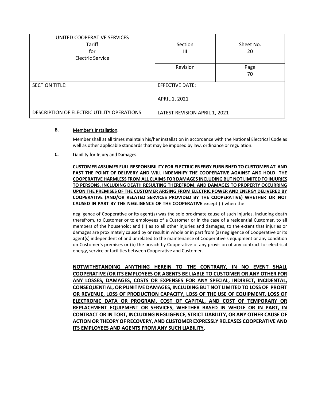| UNITED COOPERATIVE SERVICES<br><b>Tariff</b><br>for<br>Electric Service | Section<br>Ш                  | Sheet No.<br>20 |
|-------------------------------------------------------------------------|-------------------------------|-----------------|
|                                                                         | Revision                      | Page<br>70      |
| <b>SECTION TITLE:</b>                                                   | <b>EFFECTIVE DATE:</b>        |                 |
|                                                                         | APRIL 1, 2021                 |                 |
| DESCRIPTION OF ELECTRIC UTILITY OPERATIONS                              | LATEST REVISION APRIL 1, 2021 |                 |

#### **B.** Member's Installation.

Member shall at all times maintain his/her installation in accordance with the National Electrical Code as well as other applicable standards that may be imposed by law, ordinance or regulation.

# **C.** Liability for Injury and Damages.

**CUSTOMER ASSUMES FULL RESPONSIBILITY FOR ELECTRIC ENERGY FURNISHED TO CUSTOMER AT AND PAST THE POINT OF DELIVERY AND WILL INDEMNIFY THE COOPERATIVE AGAINST AND HOLD THE COOPERATIVE HARMLESS FROM ALL CLAIMS FOR DAMAGES INCLUDING BUT NOT LIMITED TO INJURIES TO PERSONS, INCLUDING DEATH RESULTING THEREFROM, AND DAMAGES TO PROPERTY OCCURRING UPON THE PREMISES OF THE CUSTOMER ARISING FROM ELECTRIC POWER AND ENERGY DELIVERED BY COOPERATIVE (AND/OR RELATED SERVICES PROVIDED BY THE COOPERATIVE) WHETHER OR NOT CAUSED IN PART BY THE NEGLIGENCE OF THE COOPERATIVE** except (i) when the

negligence of Cooperative or its agent(s) was the sole proximate cause of such injuries, including death therefrom, to Customer or to employees of a Customer or in the case of a residential Customer, to all members of the household; and (ii) as to all other injuries and damages, to the extent that injuries or damages are proximately caused by or result in whole or in part from (a) negligence of Cooperative or its agent(s) independent of and unrelated to the maintenance of Cooperative's equipment or any condition on Customer's premises or (b) the breach by Cooperative of any provision of any contract for electrical energy, service or facilities between Cooperative and Customer.

**NOTWITHSTANDING ANYTHING HEREIN TO THE CONTRARY, IN NO EVENT SHALL COOPERATIVE (OR ITS EMPLOYEES OR AGENTS BE LIABLE TO CUSTOMER OR ANY OTHER FOR ANY LOSSES, DAMAGES, COSTS OR EXPENSES FOR ANY SPECIAL, INDIRECT, INCIDENTAL, CONSEQUENTIAL, OR PUNITIVE DAMAGES, INCLUDING BUT NOT LIMITED TO LOSS OF PROFIT OR REVENUE, LOSS OF PRODUCTION CAPACITY, LOSS OF THE USE OF EQUIPMENT, LOSS OF ELECTRONIC DATA OR PROGRAM, COST OF CAPITAL, AND COST OF TEMPORARY OR REPLACEMENT EQUIPMENT OR SERVICES, WHETHER BASED IN WHOLE OR IN PART, IN CONTRACT OR IN TORT, INCLUDING NEGLIGENCE, STRICT LIABILITY, OR ANY OTHER CAUSE OF ACTION OR THEORY OF RECOVERY, AND CUSTOMER EXPRESSLY RELEASES COOPERATIVE AND ITS EMPLOYEES AND AGENTS FROM ANY SUCH LIABILITY.**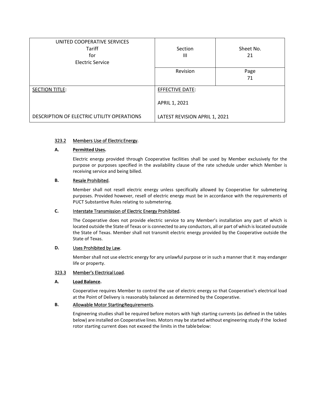| UNITED COOPERATIVE SERVICES<br><b>Tariff</b><br>for<br>Electric Service | Section<br>Ш                  | Sheet No.<br>21 |
|-------------------------------------------------------------------------|-------------------------------|-----------------|
|                                                                         | Revision                      | Page<br>71      |
| <b>SECTION TITLE:</b>                                                   | <b>EFFECTIVE DATE:</b>        |                 |
|                                                                         | APRIL 1, 2021                 |                 |
| DESCRIPTION OF ELECTRIC UTILITY OPERATIONS                              | LATEST REVISION APRIL 1, 2021 |                 |

# 323.2 Members Use of Electric Energy.

## **A. Permitted Uses.**

Electric energy provided through Cooperative facilities shall be used by Member exclusively for the purpose or purposes specified in the availability clause of the rate schedule under which Member is receiving service and being billed.

# **B.** Resale Prohibited.

Member shall not resell electric energy unless specifically allowed by Cooperative for submetering purposes. Provided however, resell of electric energy must be in accordance with the requirements of PUCT Substantive Rules relating to submetering.

#### **C.** Interstate Transmission of Electric Energy Prohibited.

The Cooperative does not provide electric service to any Member's installation any part of which is located outside the State of Texas or is connected to any conductors, all or part of which is located outside the State of Texas. Member shall not transmit electric energy provided by the Cooperative outside the State of Texas.

#### **D.** Uses Prohibited by Law.

Member shall not use electric energy for any unlawful purpose or in such a manner that it may endanger life or property.

#### 323.3 Member's Electrical Load.

#### **A. Load Balance.**

Cooperative requires Member to control the use of electric energy so that Cooperative's electrical load at the Point of Delivery is reasonably balanced as determined by the Cooperative.

#### **B.** Allowable Motor Starting Requirements.

Engineering studies shall be required before motors with high starting currents (as defined in the tables below) are installed on Cooperative lines. Motors may be started without engineering study if the locked rotor starting current does not exceed the limits in the tablebelow: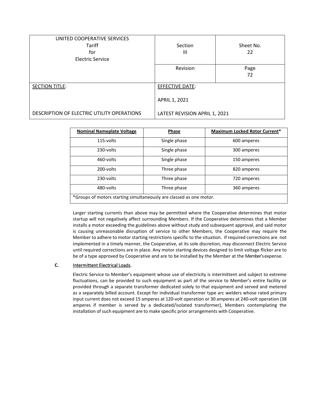| UNITED COOPERATIVE SERVICES<br><b>Tariff</b><br>for<br>Electric Service | Section<br>Ш                                   | Sheet No.<br>22 |
|-------------------------------------------------------------------------|------------------------------------------------|-----------------|
|                                                                         | Revision                                       | Page<br>72      |
| SECTION TITLE:                                                          | <b>EFFECTIVE DATE:</b>                         |                 |
| DESCRIPTION OF ELECTRIC UTILITY OPERATIONS                              | APRIL 1, 2021<br>LATEST REVISION APRIL 1, 2021 |                 |

| <b>Nominal Nameplate Voltage</b>                                    | <b>Phase</b> | <b>Maximum Locked Rotor Current*</b> |
|---------------------------------------------------------------------|--------------|--------------------------------------|
| 115-volts                                                           | Single phase | 600 amperes                          |
| 230-volts                                                           | Single phase | 300 amperes                          |
| 460-volts                                                           | Single phase | 150 amperes                          |
| 200-volts                                                           | Three phase  | 820 amperes                          |
| 230-volts                                                           | Three phase  | 720 amperes                          |
| 480-volts                                                           | Three phase  | 360 amperes                          |
| *Groups of motors starting simultaneously are classed as one motor. |              |                                      |

Larger starting currents than above may be permitted where the Cooperative determines that motor startup will not negatively affect surrounding Members. If the Cooperative determines that a Member installs a motor exceeding the guidelines above without study and subsequent approval, and said motor is causing unreasonable disruption of service to other Members, the Cooperative may require the Member to adhere to motor starting restrictions specific to the situation. If required corrections are not implemented in a timely manner, the Cooperative, at its sole discretion, may disconnect Electric Service until required corrections are in place. Any motor starting devices designed to limit voltage flicker are to be of a type approved by Cooperative and are to be installed by the Member at the Member's expense.

# **C.** Intermittent Electrical Loads.

Electric Service to Member's equipment whose use of electricity is intermittent and subject to extreme fluctuations, can be provided to such equipment as part of the service to Member's entire facility or provided through a separate transformer dedicated solely to that equipment and served and metered as a separately billed account. Except for individual transformer type arc welders whose rated primary input current does not exceed 15 amperes at 120-volt operation or 30 amperes at 240-volt operation (38 amperes if member is served by a dedicated/isolated transformer), Members contemplating the installation ofsuch equipment are to make specific prior arrangements with Cooperative.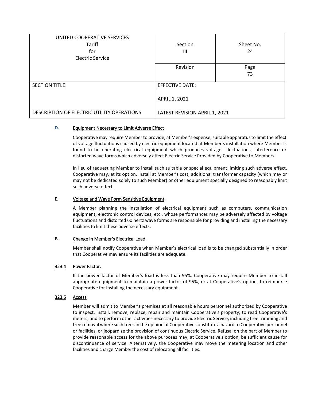| UNITED COOPERATIVE SERVICES<br><b>Tariff</b><br>for<br>Electric Service | Section<br>$\mathsf{III}$                      | Sheet No.<br>24 |
|-------------------------------------------------------------------------|------------------------------------------------|-----------------|
|                                                                         | Revision                                       | Page<br>73      |
| SECTION TITLE:                                                          | <b>EFFECTIVE DATE:</b>                         |                 |
| DESCRIPTION OF ELECTRIC UTILITY OPERATIONS                              | APRIL 1, 2021<br>LATEST REVISION APRIL 1, 2021 |                 |

## **D.** Equipment Necessary to Limit Adverse Effect.

Cooperative may require Member to provide, at Member's expense, suitable apparatus to limit the effect of voltage fluctuations caused by electric equipment located at Member's installation where Member is found to be operating electrical equipment which produces voltage fluctuations, interference or distorted wave forms which adversely affect Electric Service Provided by Cooperative to Members.

In lieu of requesting Member to install such suitable or special equipment limiting such adverse effect, Cooperative may, at its option, install at Member's cost, additional transformer capacity (which may or may not be dedicated solely to such Member) or other equipment specially designed to reasonably limit such adverse effect.

## **E.** Voltage and Wave Form Sensitive Equipment.

A Member planning the installation of electrical equipment such as computers, communication equipment, electronic control devices, etc., whose performances may be adversely affected by voltage fluctuations and distorted 60 hertz wave forms are responsible for providing and installing the necessary facilities to limit these adverse effects.

# **F.** Change in Member's Electrical Load.

Member shall notify Cooperative when Member's electrical load is to be changed substantially in order that Cooperative may ensure its facilities are adequate.

### 323.4 Power Factor.

If the power factor of Member's load is less than 95%, Cooperative may require Member to install appropriate equipment to maintain a power factor of 95%, or at Cooperative's option, to reimburse Cooperative for installing the necessary equipment.

## 323.5 Access.

Member will admit to Member's premises at all reasonable hours personnel authorized by Cooperative to inspect, install, remove, replace, repair and maintain Cooperative's property; to read Cooperative's meters; and to perform other activities necessary to provide Electric Service, including tree trimming and tree removal where such trees in the opinion of Cooperative constitute a hazard to Cooperative personnel or facilities, or jeopardize the provision of continuous Electric Service. Refusal on the part of Member to provide reasonable access for the above purposes may, at Cooperative's option, be sufficient cause for discontinuance of service. Alternatively, the Cooperative may move the metering location and other facilities and charge Member the cost of relocating all facilities.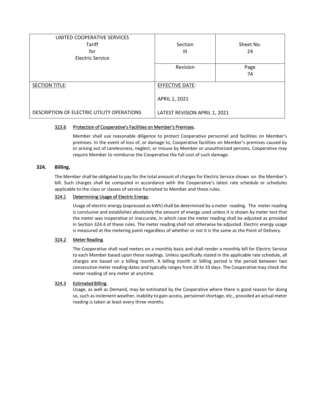| UNITED COOPERATIVE SERVICES<br><b>Tariff</b><br>for<br>Electric Service | Section<br>$\mathsf{III}$     | Sheet No.<br>24 |
|-------------------------------------------------------------------------|-------------------------------|-----------------|
|                                                                         | Revision                      | Page<br>74      |
| <b>SECTION TITLE:</b>                                                   | <b>EFFECTIVE DATE:</b>        |                 |
|                                                                         | APRIL 1, 2021                 |                 |
| DESCRIPTION OF ELECTRIC UTILITY OPERATIONS                              | LATEST REVISION APRIL 1, 2021 |                 |

### 323.6 Protection of Cooperative's Facilities on Member's Premises.

Member shall use reasonable diligence to protect Cooperative personnel and facilities on Member's premises. In the event of loss of, or damage to, Cooperative facilities on Member's premises caused by or arising out of carelessness, neglect, or misuse by Member or unauthorized persons, Cooperative may require Member to reimburse the Cooperative the full cost of such damage.

#### **324. Billing.**

The Member shall be obligated to pay for the total amount of charges for Electric Service shown on the Member's bill. Such charges shall be computed in accordance with the Cooperative's latest rate schedule or schedules applicable to the class or classes of service furnished to Member and these rules.

#### 324.1 Determining Usage of Electric Energy.

Usage of electric energy (expressed as kWh) shall be determined by a meter reading. The meter reading is conclusive and establishes absolutely the amount of energy used unless it is shown by meter test that the meter was inoperative or inaccurate, in which case the meter reading shall be adjusted as provided in Section 324.4 of these rules. The meter reading shall not otherwise be adjusted. Electric energy usage is measured at the metering point regardless of whether or not it is the same as the Point of Delivery.

### 324.2 Meter Reading.

The Cooperative shall read meters on a monthly basis and shall render a monthly bill for Electric Service to each Member based upon these readings. Unless specifically stated in the applicable rate schedule, all charges are based on a billing month. A billing month or billing period is the period between two consecutive meter reading dates and typically ranges from 28 to 33 days. The Cooperative may check the meter reading of any meter at anytime.

#### 324.3 Estimated Billing.

Usage, as well as Demand, may be estimated by the Cooperative where there is good reason for doing so, such as inclement weather, inability to gain access, personnel shortage, etc., provided an actual meter reading is taken at least every three months.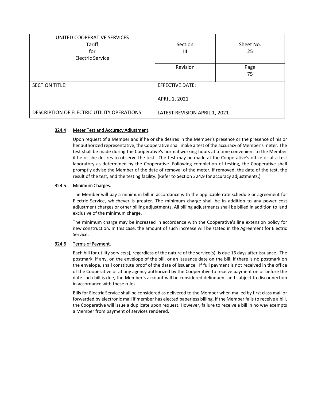| UNITED COOPERATIVE SERVICES<br><b>Tariff</b><br>for<br>Electric Service | Section<br>$\mathsf{III}$                      | Sheet No.<br>25 |
|-------------------------------------------------------------------------|------------------------------------------------|-----------------|
|                                                                         | Revision                                       | Page<br>75      |
| <b>SECTION TITLE:</b>                                                   | <b>EFFECTIVE DATE:</b>                         |                 |
| DESCRIPTION OF ELECTRIC UTILITY OPERATIONS                              | APRIL 1, 2021<br>LATEST REVISION APRIL 1, 2021 |                 |

## 324.4 Meter Test and Accuracy Adjustment.

Upon request of a Member and if he or she desires in the Member's presence or the presence of his or her authorized representative, the Cooperative shall make a test of the accuracy of Member's meter. The test shall be made during the Cooperative's normal working hours at a time convenient to the Member if he or she desires to observe the test. The test may be made at the Cooperative's office or at a test laboratory as determined by the Cooperative. Following completion of testing, the Cooperative shall promptly advise the Member of the date of removal of the meter, if removed, the date of the test, the result of the test, and the testing facility. (Refer to Section 324.9 for accuracy adjustments.)

## 324.5 Minimum Charges.

The Member will pay a minimum bill in accordance with the applicable rate schedule or agreement for Electric Service, whichever is greater. The minimum charge shall be in addition to any power cost adjustment charges or other billing adjustments. All billing adjustments shall be billed in addition to and exclusive of the minimum charge.

The minimum charge may be increased in accordance with the Cooperative's line extension policy for new construction. In this case, the amount of such increase will be stated in the Agreement for Electric Service.

### 324.6 Terms of Payment.

Each bill for utility service(s), regardless of the nature of the service(s), is due 16 days after issuance. The postmark, if any, on the envelope of the bill, or an issuance date on the bill, if there is no postmark on the envelope, shall constitute proof of the date of issuance. If full payment is not received in the office of the Cooperative or at any agency authorized by the Cooperative to receive payment on or before the date such bill is due, the Member's account will be considered delinquent and subject to disconnection in accordance with these rules.

Bills for Electric Service shall be considered as delivered to the Member when mailed by first class mail or forwarded by electronic mail if member has elected paperless billing. If the Member fails to receive a bill, the Cooperative will issue a duplicate upon request. However, failure to receive a bill in no way exempts a Member from payment of services rendered.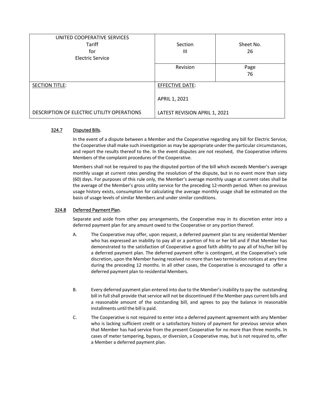| UNITED COOPERATIVE SERVICES<br><b>Tariff</b><br>for<br>Electric Service | Section<br>Ш                  | Sheet No.<br>26 |
|-------------------------------------------------------------------------|-------------------------------|-----------------|
|                                                                         | Revision                      | Page<br>76      |
| SECTION TITLE:                                                          | <b>EFFECTIVE DATE:</b>        |                 |
|                                                                         | APRIL 1, 2021                 |                 |
| DESCRIPTION OF ELECTRIC UTILITY OPERATIONS                              | LATEST REVISION APRIL 1, 2021 |                 |

### 324.7 Disputed Bills.

In the event of a dispute between a Member and the Cooperative regarding any bill for Electric Service, the Cooperative shall make such investigation as may be appropriate under the particular circumstances, and report the results thereof to the. In the event disputes are not resolved, the Cooperative informs Members of the complaint procedures of the Cooperative.

Members shall not be required to pay the disputed portion of the bill which exceeds Member's average monthly usage at current rates pending the resolution of the dispute, but in no event more than sixty (60) days. For purposes of this rule only, the Member's average monthly usage at current rates shall be the average of the Member's gross utility service for the preceding 12-month period. When no previous usage history exists, consumption for calculating the average monthly usage shall be estimated on the basis of usage levels of similar Members and under similar conditions.

## 324.8 Deferred Payment Plan.

Separate and aside from other pay arrangements, the Cooperative may in its discretion enter into a deferred payment plan for any amount owed to the Cooperative or any portion thereof.

- A. The Cooperative may offer, upon request, a deferred payment plan to any residential Member who has expressed an inability to pay all or a portion of his or her bill and if that Member has demonstrated to the satisfaction of Cooperative a good faith ability to pay all of his/her bill by a deferred payment plan. The deferred payment offer is contingent, at the Cooperative's sole discretion, upon the Member having received no more than two termination notices at any time during the preceding 12 months. In all other cases, the Cooperative is encouraged to offer a deferred payment plan to residential Members.
- B. Every deferred payment plan entered into due to the Member's inability to pay the outstanding bill in full shall provide that service will not be discontinued if the Member pays current bills and a reasonable amount of the outstanding bill, and agrees to pay the balance in reasonable installments until the bill is paid.
- C. The Cooperative is not required to enter into a deferred payment agreement with any Member who is lacking sufficient credit or a satisfactory history of payment for previous service when that Member has had service from the present Cooperative for no more than three months. In cases of meter tampering, bypass, or diversion, a Cooperative may, but is not required to, offer a Member a deferred payment plan.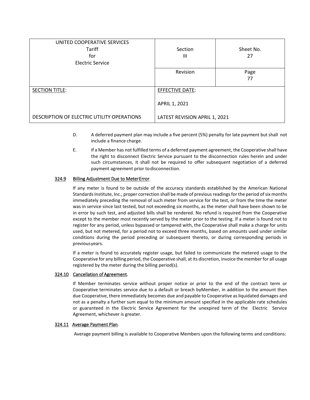| UNITED COOPERATIVE SERVICES<br><b>Tariff</b><br>for | Section<br>$\mathsf{III}$     | Sheet No.<br>27 |
|-----------------------------------------------------|-------------------------------|-----------------|
| <b>Electric Service</b>                             |                               |                 |
|                                                     | Revision                      | Page            |
|                                                     |                               | 77              |
|                                                     |                               |                 |
| <b>SECTION TITLE:</b>                               | <b>EFFECTIVE DATE:</b>        |                 |
|                                                     | APRIL 1, 2021                 |                 |
| DESCRIPTION OF ELECTRIC UTILITY OPERATIONS          | LATEST REVISION APRIL 1, 2021 |                 |

- D. A deferred payment plan may include a five percent (5%) penalty for late payment but shall not include a finance charge.
- E. If a Member has not fulfilled terms of a deferred payment agreement, the Cooperative shall have the right to disconnect Electric Service pursuant to the disconnection rules herein and under such circumstances, it shall not be required to offer subsequent negotiation of a deferred payment agreement prior todisconnection.

### 324.9 Billing Adjustment Due to Meter Error.

If any meter is found to be outside of the accuracy standards established by the American National Standards Institute, Inc., proper correction shall be made of previous readings for the period of six months immediately preceding the removal of such meter from service for the test, or from the time the meter was in service since last tested, but not exceeding six months, as the meter shall have been shown to be in error by such test, and adjusted bills shall be rendered. No refund is required from the Cooperative except to the member most recently served by the meter prior to the testing. If a meter is found not to register for any period, unless bypassed or tampered with, the Cooperative shall make a charge for units used, but not metered, for a period not to exceed three months, based on amounts used under similar conditions during the period preceding or subsequent thereto, or during corresponding periods in previousyears.

If a meter is found to accurately register usage, but failed to communicate the metered usage to the Cooperative for any billing period, the Cooperative shall, at its discretion, invoice the member for all usage registered by the meter during the billing period(s).

### 324.10 Cancellation of Agreement.

If Member terminates service without proper notice or prior to the end of the contract term or Cooperative terminates service due to a default or breach byMember, in addition to the amount then due Cooperative, there immediately becomes due and payable to Cooperative as liquidated damages and not as a penalty a further sum equal to the minimum amount specified in the applicable rate schedules or guaranteed in the Electric Service Agreement for the unexpired term of the Electric Service Agreement, whichever is greater.

#### 324.11 Average Payment Plan.

Average payment billing is available to Cooperative Members upon the following terms and conditions: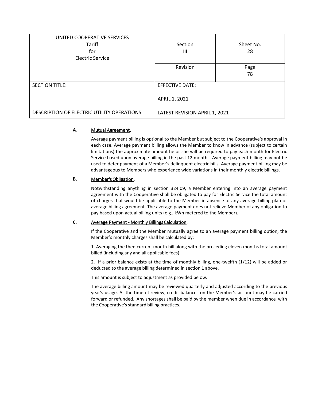| Section<br>Ш           | Sheet No.<br>28                                |
|------------------------|------------------------------------------------|
| Revision               | Page<br>78                                     |
| <b>EFFECTIVE DATE:</b> |                                                |
|                        |                                                |
|                        | APRIL 1, 2021<br>LATEST REVISION APRIL 1, 2021 |

### **A.** Mutual Agreement.

Average payment billing is optional to the Member but subject to the Cooperative's approval in each case. Average payment billing allows the Member to know in advance (subject to certain limitations) the approximate amount he or she will be required to pay each month for Electric Service based upon average billing in the past 12 months. Average payment billing may not be used to defer payment of a Member's delinquent electric bills. Average payment billing may be advantageous to Members who experience wide variations in their monthly electric billings.

## **B.** Member's Obligation.

Notwithstanding anything in section 324.09, a Member entering into an average payment agreement with the Cooperative shall be obligated to pay for Electric Service the total amount of charges that would be applicable to the Member in absence of any average billing plan or average billing agreement. The average payment does not relieve Member of any obligation to pay based upon actual billing units (e.g., kWh metered to the Member).

# **C.** Average Payment ‐ Monthly Billings Calculation.

If the Cooperative and the Member mutually agree to an average payment billing option, the Member's monthly charges shall be calculated by:

1. Averaging the then current month bill along with the preceding eleven months total amount billed (including any and all applicable fees).

2. If a prior balance exists at the time of monthly billing, one-twelfth (1/12) will be added or deducted to the average billing determined in section 1 above.

This amount is subject to adjustment as provided below.

The average billing amount may be reviewed quarterly and adjusted according to the previous year's usage. At the time of review, credit balances on the Member's account may be carried forward or refunded. Any shortages shall be paid by the member when due in accordance with the Cooperative's standard billing practices.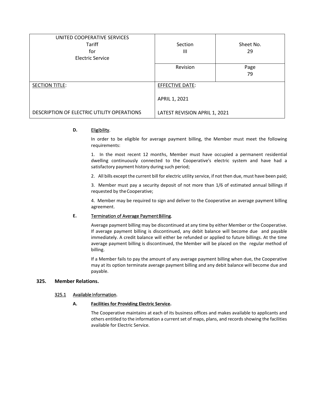| UNITED COOPERATIVE SERVICES<br><b>Tariff</b><br>for<br>Electric Service | Section<br>Ш                  | Sheet No.<br>29 |
|-------------------------------------------------------------------------|-------------------------------|-----------------|
|                                                                         | Revision                      | Page<br>79      |
| <b>SECTION TITLE:</b>                                                   | <b>EFFECTIVE DATE:</b>        |                 |
|                                                                         | APRIL 1, 2021                 |                 |
| DESCRIPTION OF ELECTRIC UTILITY OPERATIONS                              | LATEST REVISION APRIL 1, 2021 |                 |

## **D.** Eligibility.

In order to be eligible for average payment billing, the Member must meet the following requirements:

1. In the most recent 12 months, Member must have occupied a permanent residential dwelling continuously connected to the Cooperative's electric system and have had a satisfactory payment history during such period;

2. All bills except the current bill for electric utility service, if not then due, must have been paid;

3. Member must pay a security deposit of not more than 1/6 of estimated annual billings if requested by the Cooperative;

4. Member may be required to sign and deliver to the Cooperative an average payment billing agreement.

### **E.** Termination of Average Payment Billing.

Average payment billing may be discontinued at any time by either Member or the Cooperative. If average payment billing is discontinued, any debit balance will become due and payable immediately. A credit balance will either be refunded or applied to future billings. At the time average payment billing is discontinued, the Member will be placed on the regular method of billing.

If a Member fails to pay the amount of any average payment billing when due, the Cooperative may at its option terminate average payment billing and any debit balance will become due and payable.

### **325. Member Relations.**

### 325.1 Available Information.

### **A. Facilities for Providing Electric Service.**

The Cooperative maintains at each of its business offices and makes available to applicants and others entitled to the information a current set of maps, plans, and records showing the facilities available for Electric Service.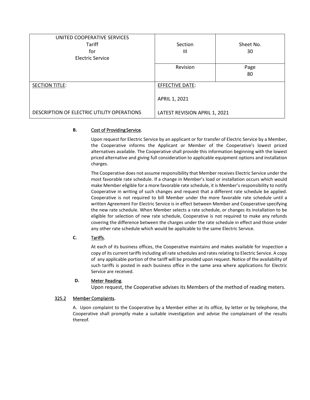| UNITED COOPERATIVE SERVICES<br><b>Tariff</b><br>for<br>Electric Service | Section<br>Ш                  | Sheet No.<br>30 |
|-------------------------------------------------------------------------|-------------------------------|-----------------|
|                                                                         | Revision                      | Page<br>80      |
| <b>SECTION TITLE:</b>                                                   | <b>EFFECTIVE DATE:</b>        |                 |
|                                                                         | APRIL 1, 2021                 |                 |
| DESCRIPTION OF ELECTRIC UTILITY OPERATIONS                              | LATEST REVISION APRIL 1, 2021 |                 |

## **B.** Cost of Providing Service.

Upon request for Electric Service by an applicant or for transfer of Electric Service by a Member, the Cooperative informs the Applicant or Member of the Cooperative's lowest priced alternatives available. The Cooperative shall provide this information beginning with the lowest priced alternative and giving full consideration to applicable equipment options and installation charges.

The Cooperative does not assume responsibility that Member receives Electric Service under the most favorable rate schedule. If a change in Member's load or installation occurs which would make Member eligible for a more favorable rate schedule, it is Member's responsibility to notify Cooperative in writing of such changes and request that a different rate schedule be applied. Cooperative is not required to bill Member under the more favorable rate schedule until a written Agreement For Electric Service is in effect between Member and Cooperative specifying the new rate schedule. When Member selects a rate schedule, or changes its installation to be eligible for selection of new rate schedule, Cooperative is not required to make any refunds covering the difference between the charges under the rate schedule in effect and those under any other rate schedule which would be applicable to the same Electric Service.

# **C.** Tariffs.

At each of its business offices, the Cooperative maintains and makes available for inspection a copy of its current tariffs including all rate schedules and rates relating to Electric Service. A copy of any applicable portion of the tariff will be provided upon request. Notice of the availability of such tariffs is posted in each business office in the same area where applications for Electric Service are received.

# **D.** Meter Reading.

Upon request, the Cooperative advises its Members of the method of reading meters.

### 325.2 Member Complaints.

A. Upon complaint to the Cooperative by a Member either at its office, by letter or by telephone, the Cooperative shall promptly make a suitable investigation and advise the complainant of the results thereof.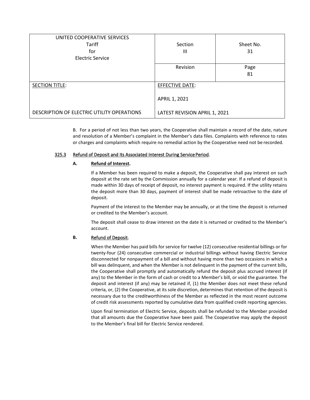| UNITED COOPERATIVE SERVICES<br><b>Tariff</b><br>for<br>Electric Service | Section<br>Ш                  | Sheet No.<br>31 |
|-------------------------------------------------------------------------|-------------------------------|-----------------|
|                                                                         | Revision                      | Page            |
|                                                                         |                               | 81              |
| <b>SECTION TITLE:</b>                                                   | <b>EFFECTIVE DATE:</b>        |                 |
|                                                                         | APRIL 1, 2021                 |                 |
| DESCRIPTION OF ELECTRIC UTILITY OPERATIONS                              | LATEST REVISION APRIL 1, 2021 |                 |

B. For a period of not less than two years, the Cooperative shall maintain a record of the date, nature and resolution of a Member's complaint in the Member's data files. Complaints with reference to rates or charges and complaints which require no remedial action by the Cooperative need not be recorded.

### 325.3 Refund of Deposit and Its Associated Interest During Service Period.

## **A. Refund of Interest.**

If a Member has been required to make a deposit, the Cooperative shall pay interest on such deposit at the rate set by the Commission annually for a calendar year. If a refund of deposit is made within 30 days of receipt of deposit, no interest payment is required. If the utility retains the deposit more than 30 days, payment of interest shall be made retroactive to the date of deposit.

Payment of the interest to the Member may be annually, or at the time the deposit is returned or credited to the Member's account.

The deposit shall cease to draw interest on the date it is returned or credited to the Member's account.

# **B.** Refund of Deposit.

When the Member has paid bills for service for twelve (12) consecutive residential billings or for twenty-four (24) consecutive commercial or industrial billings without having Electric Service disconnected for nonpayment of a bill and without having more than two occasions in which a bill was delinquent, and when the Member is not delinquent in the payment of the current bills, the Cooperative shall promptly and automatically refund the deposit plus accrued interest (if any) to the Member in the form of cash or credit to a Member's bill, or void the guarantee. The deposit and interest (if any) may be retained if, (1) the Member does not meet these refund criteria, or, (2) the Cooperative, at its sole discretion, determines that retention of the deposit is necessary due to the creditworthiness of the Member as reflected in the most recent outcome of credit risk assessments reported by cumulative data from qualified credit reporting agencies.

Upon final termination of Electric Service, deposits shall be refunded to the Member provided that all amounts due the Cooperative have been paid. The Cooperative may apply the deposit to the Member's final bill for Electric Service rendered.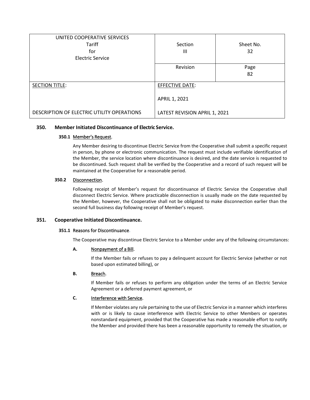| UNITED COOPERATIVE SERVICES<br>Tariff      | Section                       | Sheet No.  |
|--------------------------------------------|-------------------------------|------------|
| for                                        | Ш                             | 32         |
| Electric Service                           |                               |            |
|                                            | Revision                      | Page<br>82 |
| SECTION TITLE:                             | <b>EFFECTIVE DATE:</b>        |            |
|                                            | APRIL 1, 2021                 |            |
| DESCRIPTION OF ELECTRIC UTILITY OPERATIONS | LATEST REVISION APRIL 1, 2021 |            |

### **350. Member Initiated Discontinuance of Electric Service.**

### **350.1** Member's Request.

Any Member desiring to discontinue Electric Service from the Cooperative shall submit a specific request in person, by phone or electronic communication. The request must include verifiable identification of the Member, the service location where discontinuance is desired, and the date service is requested to be discontinued. Such request shall be verified by the Cooperative and a record of such request will be maintained at the Cooperative for a reasonable period.

#### **350.2** Disconnection.

Following receipt of Member's request for discontinuance of Electric Service the Cooperative shall disconnect Electric Service. Where practicable disconnection is usually made on the date requested by the Member, however, the Cooperative shall not be obligated to make disconnection earlier than the second full business day following receipt of Member's request.

### **351. Cooperative Initiated Discontinuance.**

#### **351.1** Reasons for Discontinuance.

The Cooperative may discontinue Electric Service to a Member under any of the following circumstances:

#### **A.** Nonpayment of a Bill.

If the Member fails or refuses to pay a delinquent account for Electric Service (whether or not based upon estimated billing), or

### **B.** Breach.

If Member fails or refuses to perform any obligation under the terms of an Electric Service Agreement or a deferred payment agreement, or

## **C.** Interference with Service.

If Member violates any rule pertaining to the use of Electric Service in a manner which interferes with or is likely to cause interference with Electric Service to other Members or operates nonstandard equipment, provided that the Cooperative has made a reasonable effort to notify the Member and provided there has been a reasonable opportunity to remedy the situation, or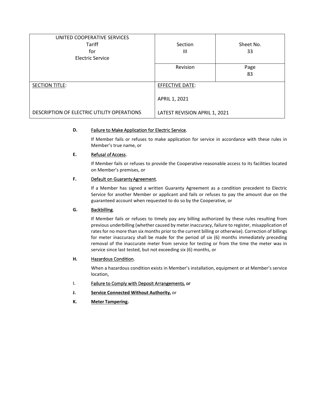| UNITED COOPERATIVE SERVICES<br>Tariff<br>for<br>Electric Service | Section<br>$\mathsf{III}$     | Sheet No.<br>33 |
|------------------------------------------------------------------|-------------------------------|-----------------|
|                                                                  | Revision                      | Page<br>83      |
| <b>SECTION TITLE:</b>                                            | <b>EFFECTIVE DATE:</b>        |                 |
|                                                                  | APRIL 1, 2021                 |                 |
| DESCRIPTION OF ELECTRIC UTILITY OPERATIONS                       | LATEST REVISION APRIL 1, 2021 |                 |

## **D.** Failure to Make Application for Electric Service.

If Member fails or refuses to make application for service in accordance with these rules in Member's true name, or

## **E.** Refusal of Access.

If Member fails or refuses to provide the Cooperative reasonable access to its facilities located on Member's premises, or

### **F.** Default on Guaranty Agreement.

If a Member has signed a written Guaranty Agreement as a condition precedent to Electric Service for another Member or applicant and fails or refuses to pay the amount due on the guaranteed account when requested to do so by the Cooperative, or

# **G.** Backbilling.

If Member fails or refuses to timely pay any billing authorized by these rules resulting from previous underbilling (whether caused by meter inaccuracy, failure to register, misapplication of rates for no more than six months prior to the current billing or otherwise). Correction of billings for meter inaccuracy shall be made for the period of six (6) months immediately preceding removal of the inaccurate meter from service for testing or from the time the meter was in service since last tested, but not exceeding six (6) months, or

### **H.** Hazardous Condition.

When a hazardous condition exists in Member's installation, equipment or at Member's service location,

# **I.** Failure to Comply with Deposit Arrangements, or

- **J. Service Connected Without Authority,** or
- **K. Meter Tampering.**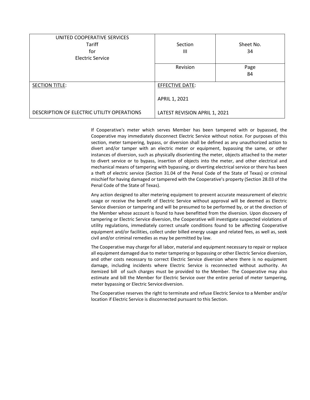| UNITED COOPERATIVE SERVICES                |                               |           |
|--------------------------------------------|-------------------------------|-----------|
| <b>Tariff</b>                              | Section                       | Sheet No. |
| for                                        | Ш                             | 34        |
| Electric Service                           |                               |           |
|                                            | Revision                      | Page      |
|                                            |                               | 84        |
| <b>SECTION TITLE:</b>                      | <b>EFFECTIVE DATE:</b>        |           |
|                                            |                               |           |
|                                            | APRIL 1, 2021                 |           |
| DESCRIPTION OF ELECTRIC UTILITY OPERATIONS | LATEST REVISION APRIL 1, 2021 |           |

If Cooperative's meter which serves Member has been tampered with or bypassed, the Cooperative may immediately disconnect Electric Service without notice. For purposes of this section, meter tampering, bypass, or diversion shall be defined as any unauthorized action to divert and/or tamper with an electric meter or equipment, bypassing the same, or other instances of diversion, such as physically disorienting the meter, objects attached to the meter to divert service or to bypass, insertion of objects into the meter, and other electrical and mechanical means of tampering with bypassing, or diverting electrical service or there has been a theft of electric service (Section 31.04 of the Penal Code of the State of Texas) or criminal mischief for having damaged or tampered with the Cooperative's property (Section 28.03 of the Penal Code of the State of Texas).

Any action designed to alter metering equipment to prevent accurate measurement of electric usage or receive the benefit of Electric Service without approval will be deemed as Electric Service diversion or tampering and will be presumed to be performed by, or at the direction of the Member whose account is found to have benefitted from the diversion. Upon discovery of tampering or Electric Service diversion, the Cooperative will investigate suspected violations of utility regulations, immediately correct unsafe conditions found to be affecting Cooperative equipment and/or facilities, collect under billed energy usage and related fees, as well as, seek civil and/or criminal remedies as may be permitted by law.

The Cooperative may charge for all labor, material and equipment necessary to repair or replace all equipment damaged due to meter tampering or bypassing or other Electric Service diversion, and other costs necessary to correct Electric Service diversion where there is no equipment damage, including incidents where Electric Service is reconnected without authority. An itemized bill of such charges must be provided to the Member. The Cooperative may also estimate and bill the Member for Electric Service over the entire period of meter tampering, meter bypassing or Electric Service diversion.

The Cooperative reserves the right to terminate and refuse Electric Service to a Member and/or location if Electric Service is disconnected pursuant to this Section.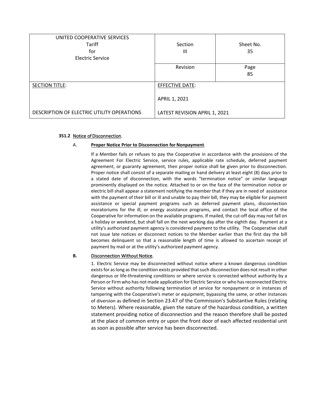| UNITED COOPERATIVE SERVICES<br><b>Tariff</b><br>for<br>Electric Service | <b>Section</b><br>$\mathsf{III}$ | Sheet No.<br>35 |
|-------------------------------------------------------------------------|----------------------------------|-----------------|
|                                                                         | Revision                         | Page<br>85      |
| <b>SECTION TITLE:</b>                                                   | <b>EFFECTIVE DATE:</b>           |                 |
|                                                                         | APRIL 1, 2021                    |                 |
| DESCRIPTION OF ELECTRIC UTILITY OPERATIONS                              | LATEST REVISION APRIL 1, 2021    |                 |

#### **351.2** Notice of Disconnection.

### A. **Proper Notice Prior to Disconnection for Nonpayment**.

If a Member fails or refuses to pay the Cooperative in accordance with the provisions of the Agreement For Electric Service, service rules, applicable rate schedule, deferred payment agreement, or guaranty agreement, then proper notice shall be given prior to disconnection. Proper notice shall consist of a separate mailing or hand delivery at least eight (8) days prior to a stated date of disconnection, with the words "termination notice" or similar language prominently displayed on the notice. Attached to or on the face of the termination notice or electric bill shall appear a statement notifying the member that if they are in need of assistance with the payment of their bill or ill and unable to pay their bill, they may be eligible for payment assistance or special payment programs such as deferred payment plans, disconnection moratoriums for the ill, or energy assistance programs, and contact the local office of the Cooperative for information on the available programs. If mailed, the cut-off day may not fall on a holiday or weekend, but shall fall on the next working day after the eighth day. Payment at a utility's authorized payment agency is considered payment to the utility. The Cooperative shall not issue late notices or disconnect notices to the Member earlier than the first day the bill becomes delinquent so that a reasonable length of time is allowed to ascertain receipt of payment by mail or at the utility's authorized payment agency.

### **B.** Disconnection Without Notice.

1. Electric Service may be disconnected without notice where a known dangerous condition exists for as long as the condition exists provided that such disconnection does not result in other dangerous or life-threatening conditions or where service is connected without authority by a Person or Firm who has not made application for Electric Service or who has reconnected Electric Service without authority following termination of service for nonpayment or in instances of tampering with the Cooperative's meter or equipment, bypassing the same, or other instances of diversion as defined in Section 23.47 of the Commission's Substantive Rules (relating to Meters). Where reasonable, given the nature of the hazardous condition, a written statement providing notice of disconnection and the reason therefore shall be posted at the place of common entry or upon the front door of each affected residential unit as soon as possible after service has been disconnected.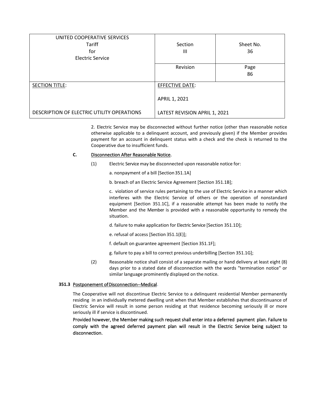| UNITED COOPERATIVE SERVICES<br><b>Tariff</b><br>for<br>Electric Service | Section<br>Ш                            | Sheet No.<br>36 |
|-------------------------------------------------------------------------|-----------------------------------------|-----------------|
|                                                                         | Revision                                | Page<br>86      |
| <b>SECTION TITLE:</b>                                                   | <b>EFFECTIVE DATE:</b><br>APRIL 1, 2021 |                 |
| DESCRIPTION OF ELECTRIC UTILITY OPERATIONS                              | LATEST REVISION APRIL 1, 2021           |                 |

2. Electric Service may be disconnected without further notice (other than reasonable notice otherwise applicable to a delinquent account, and previously given) if the Member provides payment for an account in delinquent status with a check and the check is returned to the Cooperative due to insufficient funds.

### **C.** Disconnection After Reasonable Notice.

- (1) Electric Service may be disconnected upon reasonable notice for:
	- a. nonpayment of a bill [Section351.1A]
	- b. breach of an Electric Service Agreement [Section 351.1B];

c. violation of service rules pertaining to the use of Electric Service in a manner which interferes with the Electric Service of others or the operation of nonstandard equipment [Section 351.1C], if a reasonable attempt has been made to notify the Member and the Member is provided with a reasonable opportunity to remedy the situation.

- d. failure to make application for Electric Service [Section 351.1D];
- e. refusal of access [Section 351.1(E)];
- f. default on guarantee agreement [Section 351.1F];
- g. failure to pay a bill to correct previous underbilling [Section 351.1G];
- (2) Reasonable notice shall consist of a separate mailing or hand delivery at least eight (8) days prior to a stated date of disconnection with the words "termination notice" or similar language prominently displayed on the notice.

### **351.3** Postponement of Disconnection‐‐Medical.

The Cooperative will not discontinue Electric Service to a delinquent residential Member permanently residing in an individually metered dwelling unit when that Member establishes that discontinuance of Electric Service will result in some person residing at that residence becoming seriously ill or more seriously ill if service is discontinued.

Provided however, the Member making such request shall enter into a deferred payment plan. Failure to comply with the agreed deferred payment plan will result in the Electric Service being subject to disconnection.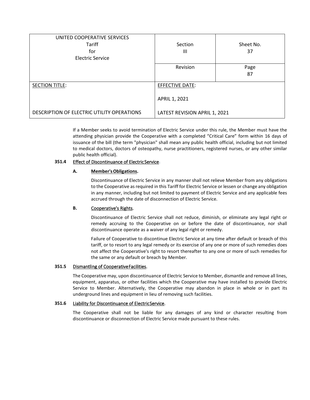| UNITED COOPERATIVE SERVICES<br><b>Tariff</b><br>for<br>Electric Service | Section<br>Ш                  | Sheet No.<br>37 |
|-------------------------------------------------------------------------|-------------------------------|-----------------|
|                                                                         | Revision                      | Page<br>87      |
| <b>SECTION TITLE:</b>                                                   | <b>EFFECTIVE DATE:</b>        |                 |
|                                                                         | APRIL 1, 2021                 |                 |
| DESCRIPTION OF ELECTRIC UTILITY OPERATIONS                              | LATEST REVISION APRIL 1, 2021 |                 |

If a Member seeks to avoid termination of Electric Service under this rule, the Member must have the attending physician provide the Cooperative with a completed "Critical Care" form within 16 days of issuance of the bill (the term "physician" shall mean any public health official, including but not limited to medical doctors, doctors of osteopathy, nurse practitioners, registered nurses, or any other similar public health official).

## **351.4** Effect of Discontinuance of Electric Service.

### **A. Member'sObligations.**

Discontinuance of Electric Service in any manner shall not relieve Member from any obligations to the Cooperative as required in this Tariff for Electric Service or lessen or change any obligation in any manner, including but not limited to payment of Electric Service and any applicable fees accrued through the date of disconnection of Electric Service.

## **B.** Cooperative's Rights.

Discontinuance of Electric Service shall not reduce, diminish, or eliminate any legal right or remedy accruing to the Cooperative on or before the date of discontinuance, nor shall discontinuance operate as a waiver of any legal right or remedy.

Failure of Cooperative to discontinue Electric Service at any time after default or breach of this tariff, or to resort to any legal remedy or its exercise of any one or more of such remedies does not affect the Cooperative's right to resort thereafter to any one or more of such remedies for the same or any default or breach by Member.

#### **351.5** Dismantling of Cooperative Facilities.

The Cooperative may, upon discontinuance of Electric Service to Member, dismantle and remove all lines, equipment, apparatus, or other facilities which the Cooperative may have installed to provide Electric Service to Member. Alternatively, the Cooperative may abandon in place in whole or in part its underground lines and equipment in lieu of removing such facilities.

### **351.6** Liability for Discontinuance of Electric Service.

The Cooperative shall not be liable for any damages of any kind or character resulting from discontinuance or disconnection of Electric Service made pursuant to these rules.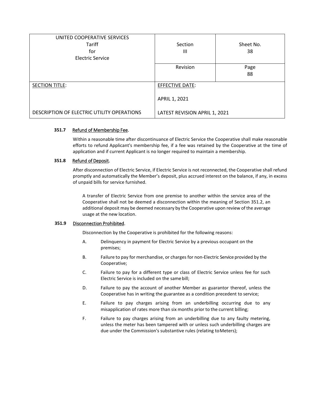| UNITED COOPERATIVE SERVICES<br><b>Tariff</b><br>for<br>Electric Service | Section<br>$\mathsf{III}$     | Sheet No.<br>38 |
|-------------------------------------------------------------------------|-------------------------------|-----------------|
|                                                                         | Revision                      | Page<br>88      |
| SECTION TITLE:                                                          | <b>EFFECTIVE DATE:</b>        |                 |
|                                                                         | APRIL 1, 2021                 |                 |
| DESCRIPTION OF ELECTRIC UTILITY OPERATIONS                              | LATEST REVISION APRIL 1, 2021 |                 |

### **351.7** Refund of Membership Fee.

Within a reasonable time after discontinuance of Electric Service the Cooperative shall make reasonable efforts to refund Applicant's membership fee, if a fee was retained by the Cooperative at the time of application and if current Applicant is no longer required to maintain a membership.

#### **351.8** Refund of Deposit.

After disconnection of Electric Service, if Electric Service is not reconnected, the Cooperative shall refund promptly and automatically the Member's deposit, plus accrued interest on the balance, if any, in excess of unpaid bills for service furnished.

A transfer of Electric Service from one premise to another within the service area of the Cooperative shall not be deemed a disconnection within the meaning of Section 351.2, an additional deposit may be deemed necessary by the Cooperative upon review of the average usage at the new location.

### **351.9** Disconnection Prohibited.

Disconnection by the Cooperative is prohibited for the following reasons:

- A. Delinquency in payment for Electric Service by a previous occupant on the premises;
- B. Failure to pay for merchandise, or charges for non-Electric Service provided by the Cooperative;
- C. Failure to pay for a different type or class of Electric Service unless fee for such Electric Service is included on the samebill;
- D. Failure to pay the account of another Member as guarantor thereof, unless the Cooperative has in writing the guarantee as a condition precedent to service;
- E. Failure to pay charges arising from an underbilling occurring due to any misapplication of rates more than six months prior to the current billing;
- F. Failure to pay charges arising from an underbilling due to any faulty metering, unless the meter has been tampered with or unless such underbilling charges are due under the Commission's substantive rules (relating toMeters);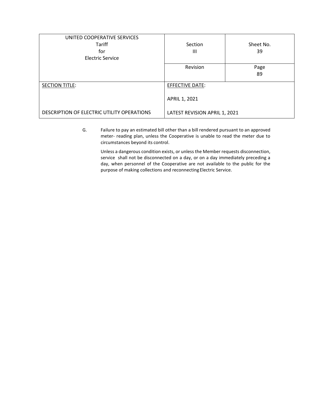| UNITED COOPERATIVE SERVICES<br>Tariff<br>for<br>Electric Service | Section<br>Ш                  | Sheet No.<br>39 |
|------------------------------------------------------------------|-------------------------------|-----------------|
|                                                                  | Revision                      | Page<br>89      |
| SECTION TITLE:                                                   | <b>EFFECTIVE DATE:</b>        |                 |
|                                                                  | APRIL 1, 2021                 |                 |
| DESCRIPTION OF ELECTRIC UTILITY OPERATIONS                       | LATEST REVISION APRIL 1, 2021 |                 |

G. Failure to pay an estimated bill other than a bill rendered pursuant to an approved meter- reading plan, unless the Cooperative is unable to read the meter due to circumstances beyond its control.

Unless a dangerous condition exists, or unless the Member requests disconnection, service shall not be disconnected on a day, or on a day immediately preceding a day, when personnel of the Cooperative are not available to the public for the purpose of making collections and reconnecting Electric Service.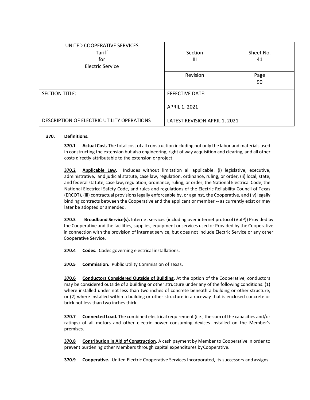| UNITED COOPERATIVE SERVICES<br><b>Tariff</b><br>for<br><b>Electric Service</b> | Section<br>Ш                  | Sheet No.<br>41 |
|--------------------------------------------------------------------------------|-------------------------------|-----------------|
|                                                                                | Revision                      | Page<br>90      |
| <b>SECTION TITLE:</b>                                                          | <b>EFFECTIVE DATE:</b>        |                 |
|                                                                                | APRIL 1, 2021                 |                 |
| DESCRIPTION OF ELECTRIC UTILITY OPERATIONS                                     | LATEST REVISION APRIL 1, 2021 |                 |

#### **370. Definitions.**

**370.1 Actual Cost.** The total cost of all construction including not only the labor and materials used in constructing the extension but also engineering, right of way acquisition and clearing, and all other costs directly attributable to the extension orproject.

**370.2 Applicable Law.** Includes without limitation all applicable: (i) legislative, executive, administrative, and judicial statute, case law, regulation, ordinance, ruling, or order, (ii) local, state, and federal statute, case law, regulation, ordinance, ruling, or order, the National Electrical Code, the National Electrical Safety Code, and rules and regulations of the Electric Reliability Council of Texas (ERCOT), (iii) contractual provisions legally enforceable by, or against, the Cooperative, and (iv) legally binding contracts between the Cooperative and the applicant or member -- as currently exist or may later be adopted or amended.

**370.3 Broadband Service(s).** Internet services (including over internet protocol (VoIP)) Provided by the Cooperative and the facilities, supplies, equipment or services used or Provided by the Cooperative in connection with the provision of internet service, but does not include Electric Service or any other Cooperative Service.

**370.4 Codes.** Codes governing electrical installations.

**370.5 Commission.** Public Utility Commission of Texas.

**370.6 Conductors Considered Outside of Building.** At the option of the Cooperative, conductors may be considered outside of a building or other structure under any of the following conditions: (1) where installed under not less than two inches of concrete beneath a building or other structure, or (2) where installed within a building or other structure in a raceway that is enclosed concrete or brick not less than two inches thick.

**370.7 Connected Load.** The combined electrical requirement (i.e., the sum of the capacities and/or ratings) of all motors and other electric power consuming devices installed on the Member's premises.

**370.8 Contribution in Aid of Construction.** A cash payment by Member to Cooperative in order to prevent burdening other Members through capital expenditures byCooperative.

**370.9 Cooperative.** United Electric Cooperative Services Incorporated, its successors and assigns.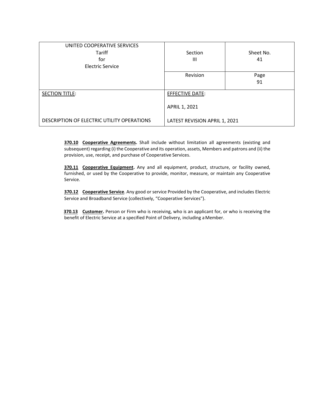| UNITED COOPERATIVE SERVICES<br><b>Tariff</b><br>for<br>Electric Service | Section<br>Ш                  | Sheet No.<br>41 |
|-------------------------------------------------------------------------|-------------------------------|-----------------|
|                                                                         | Revision                      | Page<br>91      |
| <b>SECTION TITLE:</b>                                                   | <b>EFFECTIVE DATE:</b>        |                 |
|                                                                         | APRIL 1, 2021                 |                 |
| DESCRIPTION OF ELECTRIC UTILITY OPERATIONS                              | LATEST REVISION APRIL 1, 2021 |                 |

**370.10 Cooperative Agreements.** Shall include without limitation all agreements (existing and subsequent) regarding (i) the Cooperative and its operation, assets, Members and patrons and (ii) the provision, use, receipt, and purchase of Cooperative Services.

**370.11 Cooperative Equipment.** Any and all equipment, product, structure, or facility owned, furnished, or used by the Cooperative to provide, monitor, measure, or maintain any Cooperative Service.

**370.12 Cooperative Service**. Any good or service Provided by the Cooperative, and includes Electric Service and Broadband Service (collectively, "Cooperative Services").

**370.13 Customer.** Person or Firm who is receiving, who is an applicant for, or who is receiving the benefit of Electric Service at a specified Point of Delivery, including aMember.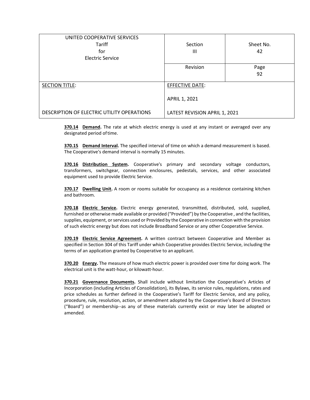| UNITED COOPERATIVE SERVICES<br><b>Tariff</b><br>for<br>Electric Service | Section<br>Ш                                   | Sheet No.<br>42 |
|-------------------------------------------------------------------------|------------------------------------------------|-----------------|
|                                                                         | Revision                                       | Page<br>92      |
| SECTION TITLE:                                                          | <b>EFFECTIVE DATE:</b>                         |                 |
| DESCRIPTION OF ELECTRIC UTILITY OPERATIONS                              | APRIL 1, 2021<br>LATEST REVISION APRIL 1, 2021 |                 |

**370.14 Demand.** The rate at which electric energy is used at any instant or averaged over any designated period oftime.

**370.15 Demand Interval.** The specified interval of time on which a demand measurement is based. The Cooperative's demand interval is normally 15 minutes.

**370.16 Distribution System.** Cooperative's primary and secondary voltage conductors, transformers, switchgear, connection enclosures, pedestals, services, and other associated equipment used to provide Electric Service.

**370.17 Dwelling Unit.** A room or rooms suitable for occupancy as a residence containing kitchen and bathroom.

**370.18 Electric Service.** Electric energy generated, transmitted, distributed, sold, supplied, furnished or otherwise made available or provided ("Provided") by the Cooperative , and the facilities, supplies, equipment, or services used or Provided by the Cooperative in connection with the provision of such electric energy but does not include Broadband Service or any other Cooperative Service.

**370.19 Electric Service Agreement.** A written contract between Cooperative and Member as specified in Section 304 of this Tariff under which Cooperative provides Electric Service, including the terms of an application granted by Cooperative to an applicant.

**370.20 Energy.** The measure of how much electric power is provided over time for doing work. The electrical unit is the watt-hour, or kilowatt-hour.

**370.21 Governance Documents.** Shall include without limitation the Cooperative's Articles of Incorporation (including Articles of Consolidation), its Bylaws, its service rules, regulations, rates and price schedules as further defined in the Cooperative's Tariff for Electric Service, and any policy, procedure, rule, resolution, action, or amendment adopted by the Cooperative's Board of Directors ("Board") or membership--as any of these materials currently exist or may later be adopted or amended.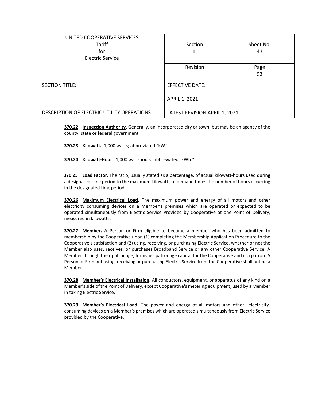| UNITED COOPERATIVE SERVICES<br><b>Tariff</b><br>for<br>Electric Service | Section<br>Ш                  | Sheet No.<br>43 |
|-------------------------------------------------------------------------|-------------------------------|-----------------|
|                                                                         | Revision                      | Page<br>93      |
| <b>SECTION TITLE:</b>                                                   | <b>EFFECTIVE DATE:</b>        |                 |
|                                                                         | APRIL 1, 2021                 |                 |
| DESCRIPTION OF ELECTRIC UTILITY OPERATIONS                              | LATEST REVISION APRIL 1, 2021 |                 |

**370.22 Inspection Authority.** Generally, an incorporated city or town, but may be an agency of the county, state or federal government.

**370.23 Kilowatt.** 1,000 watts; abbreviated "kW."

**370.24 Kilowatt-Hour.** 1,000 watt-hours; abbreviated "kWh."

**370.25 Load Factor.** The ratio, usually stated as a percentage, of actual kilowatt-hours used during a designated time period to the maximum kilowatts of demand times the number of hours occurring in the designated time period.

**370.26 Maximum Electrical Load.** The maximum power and energy of all motors and other electricity consuming devices on a Member's premises which are operated or expected to be operated simultaneously from Electric Service Provided by Cooperative at one Point of Delivery, measured in kilowatts.

**370.27 Member.** A Person or Firm eligible to become a member who has been admitted to membership by the Cooperative upon (1) completing the Membership Application Procedure to the Cooperative's satisfaction and (2) using, receiving, or purchasing Electric Service, whether or not the Member also uses, receives, or purchases Broadband Service or any other Cooperative Service. A Member through their patronage, furnishes patronage capital for the Cooperative and is a patron. A Person or Firm not using, receiving or purchasing Electric Service from the Cooperative shall not be a Member.

**370.28 Member's Electrical Installation.** All conductors, equipment, or apparatus of any kind on a Member's side of the Point of Delivery, except Cooperative's metering equipment, used by a Member in taking Electric Service.

**370.29 Member's Electrical Load.** The power and energy of all motors and other electricityconsuming devices on a Member's premises which are operated simultaneously from Electric Service provided by the Cooperative.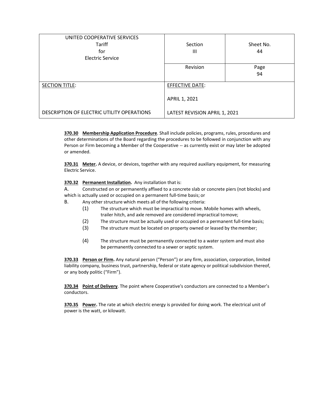| UNITED COOPERATIVE SERVICES<br><b>Tariff</b><br>for<br>Electric Service | Section<br>Ш                  | Sheet No.<br>44 |
|-------------------------------------------------------------------------|-------------------------------|-----------------|
|                                                                         | Revision                      | Page<br>94      |
| <b>SECTION TITLE:</b>                                                   | <b>EFFECTIVE DATE:</b>        |                 |
|                                                                         | APRIL 1, 2021                 |                 |
| DESCRIPTION OF ELECTRIC UTILITY OPERATIONS                              | LATEST REVISION APRIL 1, 2021 |                 |

**370.30 Membership Application Procedure**. Shall include policies, programs, rules, procedures and other determinations of the Board regarding the procedures to be followed in conjunction with any Person or Firm becoming a Member of the Cooperative -- as currently exist or may later be adopted or amended.

**370.31 Meter.** A device, or devices, together with any required auxiliary equipment, for measuring Electric Service.

### **370.32 Permanent Installation.** Any installation that is:

A. Constructed on or permanently affixed to a concrete slab or concrete piers (not blocks) and which is actually used or occupied on a permanent full-time basis; or

- B. Any other structure which meets all of the following criteria:
	- (1) The structure which must be impractical to move. Mobile homes with wheels, trailer hitch, and axle removed are considered impractical tomove;
	- (2) The structure must be actually used or occupied on a permanent full-time basis;
	- (3) The structure must be located on property owned or leased by themember;
	- (4) The structure must be permanently connected to a water system and must also be permanently connected to a sewer or septic system.

**370.33 Person or Firm.** Any natural person ("Person") or any firm, association, corporation, limited liability company, business trust, partnership, federal or state agency or political subdivision thereof, or any body politic ("Firm").

**370.34 Point of Delivery**. The point where Cooperative's conductors are connected to a Member's conductors.

**370.35 Power.** The rate at which electric energy is provided for doing work. The electrical unit of power is the watt, or kilowatt.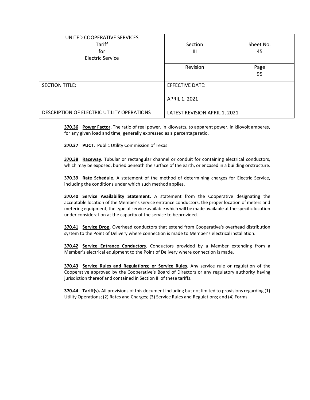| UNITED COOPERATIVE SERVICES<br><b>Tariff</b><br>for<br><b>Electric Service</b> | Section<br>Ш                  | Sheet No.<br>45 |
|--------------------------------------------------------------------------------|-------------------------------|-----------------|
|                                                                                | Revision                      | Page<br>95      |
| <b>SECTION TITLE:</b>                                                          | <b>EFFECTIVE DATE:</b>        |                 |
|                                                                                | APRIL 1, 2021                 |                 |
| DESCRIPTION OF ELECTRIC UTILITY OPERATIONS                                     | LATEST REVISION APRIL 1, 2021 |                 |

**370.36 Power Factor.** The ratio of real power, in kilowatts, to apparent power, in kilovolt amperes, for any given load and time, generally expressed as a percentage ratio.

**370.37 PUCT.** Public Utility Commission of Texas

**370.38 Raceway.** Tubular or rectangular channel or conduit for containing electrical conductors, which may be exposed, buried beneath the surface of the earth, or encased in a building orstructure.

**370.39 Rate Schedule.** A statement of the method of determining charges for Electric Service, including the conditions under which such method applies.

**370.40 Service Availability Statement.** A statement from the Cooperative designating the acceptable location of the Member's service entrance conductors, the proper location of meters and metering equipment, the type of service available which will be made available at the specific location under consideration at the capacity of the service to beprovided.

**370.41 Service Drop.** Overhead conductors that extend from Cooperative's overhead distribution system to the Point of Delivery where connection is made to Member's electrical installation.

**370.42 Service Entrance Conductors.** Conductors provided by a Member extending from a Member's electrical equipment to the Point of Delivery where connection is made.

**370.43 Service Rules and Regulations; or Service Rules.** Any service rule or regulation of the Cooperative approved by the Cooperative's Board of Directors or any regulatory authority having jurisdiction thereof and contained in Section III of these tariffs.

**370.44 Tariff(s).** All provisions of this document including but not limited to provisions regarding (1) Utility Operations; (2) Rates and Charges; (3) Service Rules and Regulations; and (4) Forms.